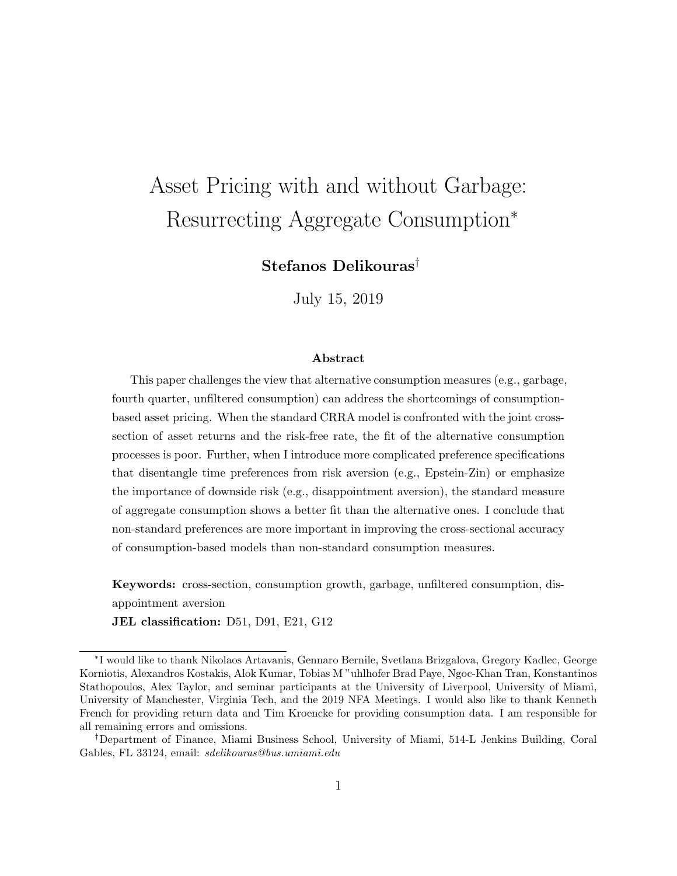# Asset Pricing with and without Garbage: Resurrecting Aggregate Consumption<sup>∗</sup>

Stefanos Delikouras†

July 15, 2019

#### Abstract

This paper challenges the view that alternative consumption measures (e.g., garbage, fourth quarter, unfiltered consumption) can address the shortcomings of consumptionbased asset pricing. When the standard CRRA model is confronted with the joint crosssection of asset returns and the risk-free rate, the fit of the alternative consumption processes is poor. Further, when I introduce more complicated preference specifications that disentangle time preferences from risk aversion (e.g., Epstein-Zin) or emphasize the importance of downside risk (e.g., disappointment aversion), the standard measure of aggregate consumption shows a better fit than the alternative ones. I conclude that non-standard preferences are more important in improving the cross-sectional accuracy of consumption-based models than non-standard consumption measures.

Keywords: cross-section, consumption growth, garbage, unfiltered consumption, disappointment aversion JEL classification: D51, D91, E21, G12

<sup>∗</sup> I would like to thank Nikolaos Artavanis, Gennaro Bernile, Svetlana Brizgalova, Gregory Kadlec, George Korniotis, Alexandros Kostakis, Alok Kumar, Tobias M "uhlhofer Brad Paye, Ngoc-Khan Tran, Konstantinos Stathopoulos, Alex Taylor, and seminar participants at the University of Liverpool, University of Miami, University of Manchester, Virginia Tech, and the 2019 NFA Meetings. I would also like to thank Kenneth French for providing return data and Tim Kroencke for providing consumption data. I am responsible for all remaining errors and omissions.

<sup>†</sup>Department of Finance, Miami Business School, University of Miami, 514-L Jenkins Building, Coral Gables, FL 33124, email: sdelikouras@bus.umiami.edu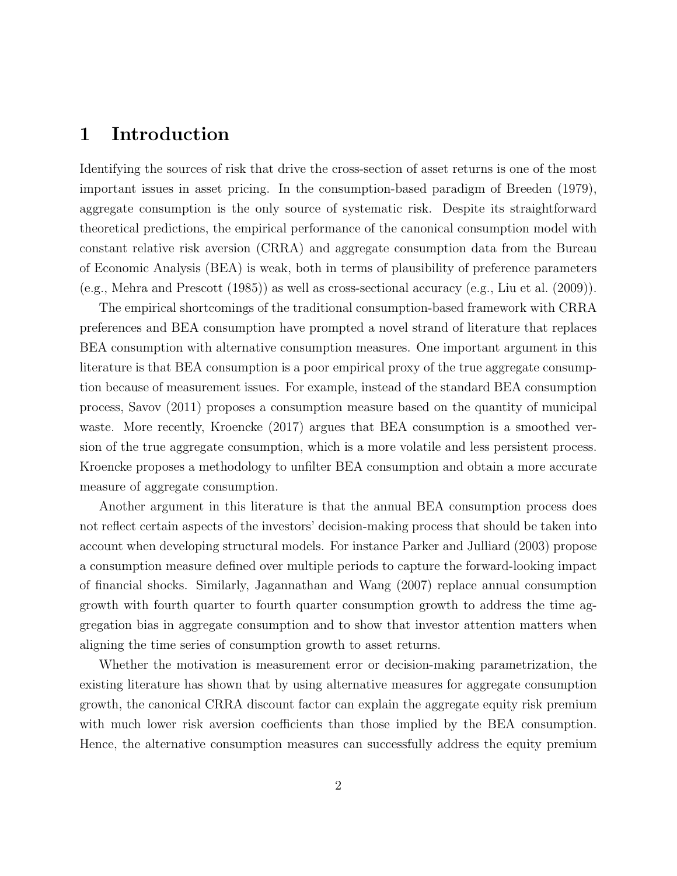## 1 Introduction

Identifying the sources of risk that drive the cross-section of asset returns is one of the most important issues in asset pricing. In the consumption-based paradigm of Breeden (1979), aggregate consumption is the only source of systematic risk. Despite its straightforward theoretical predictions, the empirical performance of the canonical consumption model with constant relative risk aversion (CRRA) and aggregate consumption data from the Bureau of Economic Analysis (BEA) is weak, both in terms of plausibility of preference parameters (e.g., Mehra and Prescott (1985)) as well as cross-sectional accuracy (e.g., Liu et al. (2009)).

The empirical shortcomings of the traditional consumption-based framework with CRRA preferences and BEA consumption have prompted a novel strand of literature that replaces BEA consumption with alternative consumption measures. One important argument in this literature is that BEA consumption is a poor empirical proxy of the true aggregate consumption because of measurement issues. For example, instead of the standard BEA consumption process, Savov (2011) proposes a consumption measure based on the quantity of municipal waste. More recently, Kroencke (2017) argues that BEA consumption is a smoothed version of the true aggregate consumption, which is a more volatile and less persistent process. Kroencke proposes a methodology to unfilter BEA consumption and obtain a more accurate measure of aggregate consumption.

Another argument in this literature is that the annual BEA consumption process does not reflect certain aspects of the investors' decision-making process that should be taken into account when developing structural models. For instance Parker and Julliard (2003) propose a consumption measure defined over multiple periods to capture the forward-looking impact of financial shocks. Similarly, Jagannathan and Wang (2007) replace annual consumption growth with fourth quarter to fourth quarter consumption growth to address the time aggregation bias in aggregate consumption and to show that investor attention matters when aligning the time series of consumption growth to asset returns.

Whether the motivation is measurement error or decision-making parametrization, the existing literature has shown that by using alternative measures for aggregate consumption growth, the canonical CRRA discount factor can explain the aggregate equity risk premium with much lower risk aversion coefficients than those implied by the BEA consumption. Hence, the alternative consumption measures can successfully address the equity premium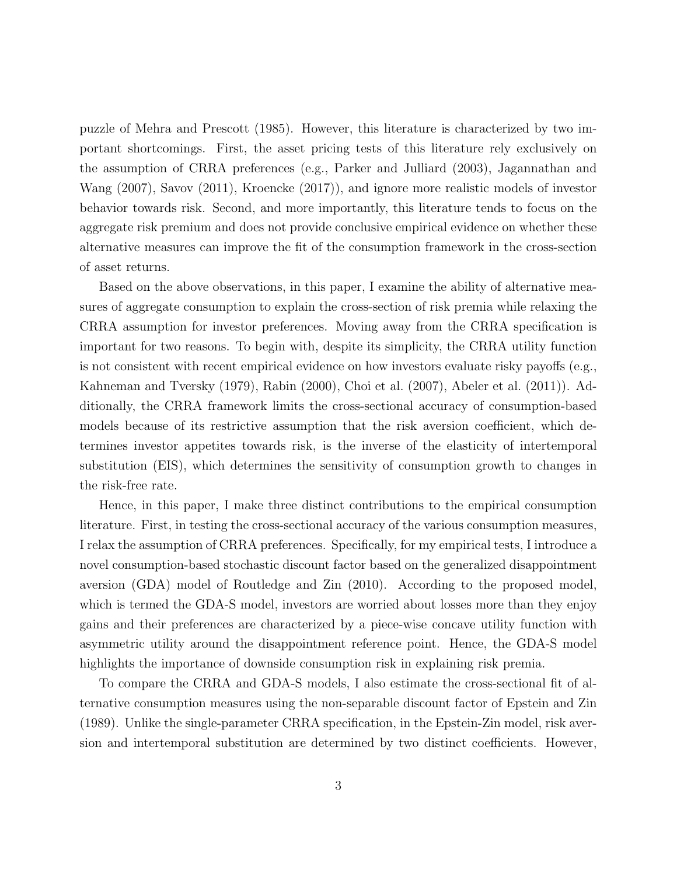puzzle of Mehra and Prescott (1985). However, this literature is characterized by two important shortcomings. First, the asset pricing tests of this literature rely exclusively on the assumption of CRRA preferences (e.g., Parker and Julliard (2003), Jagannathan and Wang (2007), Savov (2011), Kroencke (2017)), and ignore more realistic models of investor behavior towards risk. Second, and more importantly, this literature tends to focus on the aggregate risk premium and does not provide conclusive empirical evidence on whether these alternative measures can improve the fit of the consumption framework in the cross-section of asset returns.

Based on the above observations, in this paper, I examine the ability of alternative measures of aggregate consumption to explain the cross-section of risk premia while relaxing the CRRA assumption for investor preferences. Moving away from the CRRA specification is important for two reasons. To begin with, despite its simplicity, the CRRA utility function is not consistent with recent empirical evidence on how investors evaluate risky payoffs (e.g., Kahneman and Tversky (1979), Rabin (2000), Choi et al. (2007), Abeler et al. (2011)). Additionally, the CRRA framework limits the cross-sectional accuracy of consumption-based models because of its restrictive assumption that the risk aversion coefficient, which determines investor appetites towards risk, is the inverse of the elasticity of intertemporal substitution (EIS), which determines the sensitivity of consumption growth to changes in the risk-free rate.

Hence, in this paper, I make three distinct contributions to the empirical consumption literature. First, in testing the cross-sectional accuracy of the various consumption measures, I relax the assumption of CRRA preferences. Specifically, for my empirical tests, I introduce a novel consumption-based stochastic discount factor based on the generalized disappointment aversion (GDA) model of Routledge and Zin (2010). According to the proposed model, which is termed the GDA-S model, investors are worried about losses more than they enjoy gains and their preferences are characterized by a piece-wise concave utility function with asymmetric utility around the disappointment reference point. Hence, the GDA-S model highlights the importance of downside consumption risk in explaining risk premia.

To compare the CRRA and GDA-S models, I also estimate the cross-sectional fit of alternative consumption measures using the non-separable discount factor of Epstein and Zin (1989). Unlike the single-parameter CRRA specification, in the Epstein-Zin model, risk aversion and intertemporal substitution are determined by two distinct coefficients. However,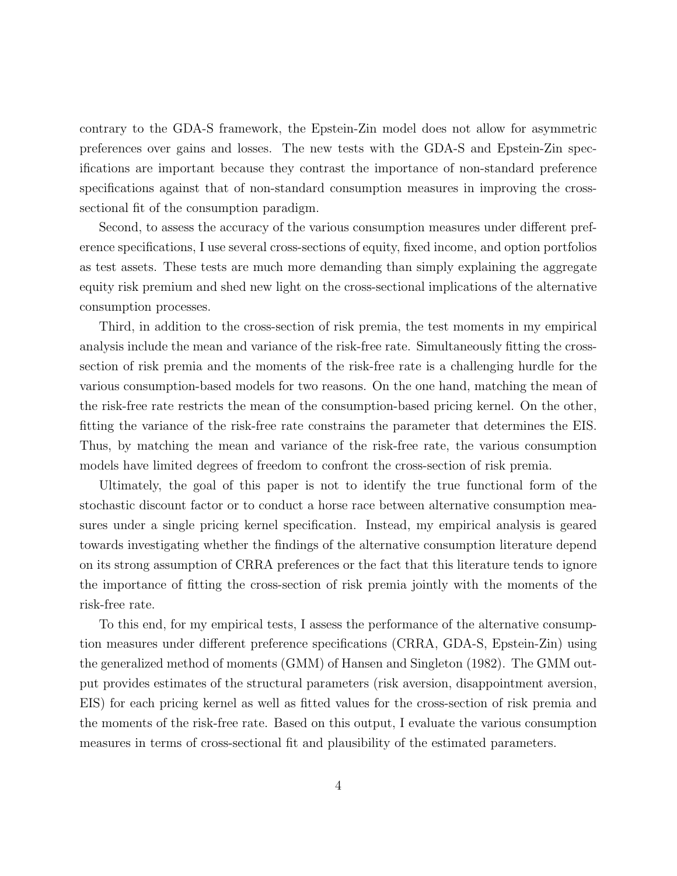contrary to the GDA-S framework, the Epstein-Zin model does not allow for asymmetric preferences over gains and losses. The new tests with the GDA-S and Epstein-Zin specifications are important because they contrast the importance of non-standard preference specifications against that of non-standard consumption measures in improving the crosssectional fit of the consumption paradigm.

Second, to assess the accuracy of the various consumption measures under different preference specifications, I use several cross-sections of equity, fixed income, and option portfolios as test assets. These tests are much more demanding than simply explaining the aggregate equity risk premium and shed new light on the cross-sectional implications of the alternative consumption processes.

Third, in addition to the cross-section of risk premia, the test moments in my empirical analysis include the mean and variance of the risk-free rate. Simultaneously fitting the crosssection of risk premia and the moments of the risk-free rate is a challenging hurdle for the various consumption-based models for two reasons. On the one hand, matching the mean of the risk-free rate restricts the mean of the consumption-based pricing kernel. On the other, fitting the variance of the risk-free rate constrains the parameter that determines the EIS. Thus, by matching the mean and variance of the risk-free rate, the various consumption models have limited degrees of freedom to confront the cross-section of risk premia.

Ultimately, the goal of this paper is not to identify the true functional form of the stochastic discount factor or to conduct a horse race between alternative consumption measures under a single pricing kernel specification. Instead, my empirical analysis is geared towards investigating whether the findings of the alternative consumption literature depend on its strong assumption of CRRA preferences or the fact that this literature tends to ignore the importance of fitting the cross-section of risk premia jointly with the moments of the risk-free rate.

To this end, for my empirical tests, I assess the performance of the alternative consumption measures under different preference specifications (CRRA, GDA-S, Epstein-Zin) using the generalized method of moments (GMM) of Hansen and Singleton (1982). The GMM output provides estimates of the structural parameters (risk aversion, disappointment aversion, EIS) for each pricing kernel as well as fitted values for the cross-section of risk premia and the moments of the risk-free rate. Based on this output, I evaluate the various consumption measures in terms of cross-sectional fit and plausibility of the estimated parameters.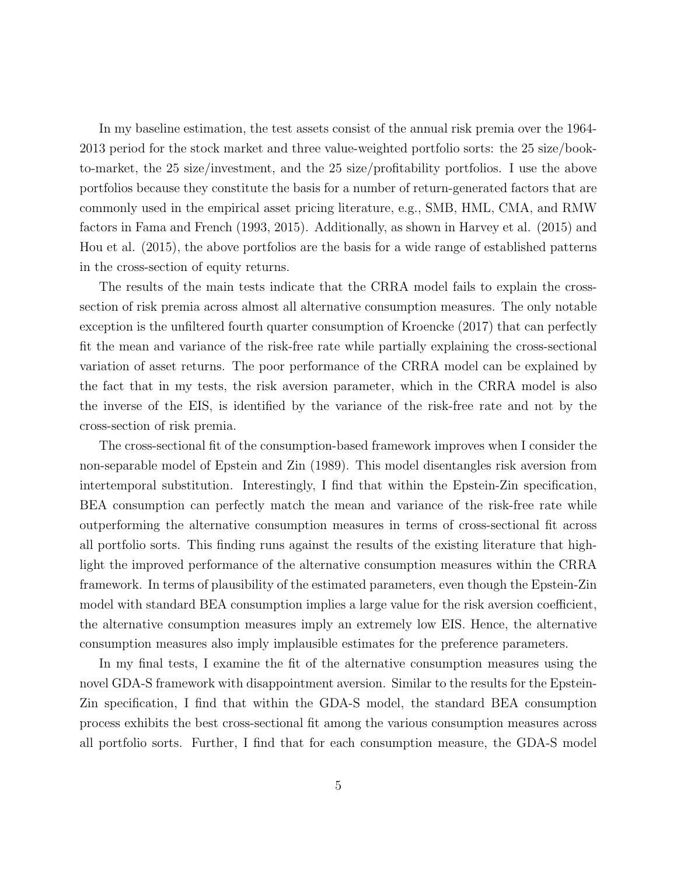In my baseline estimation, the test assets consist of the annual risk premia over the 1964- 2013 period for the stock market and three value-weighted portfolio sorts: the 25 size/bookto-market, the 25 size/investment, and the 25 size/profitability portfolios. I use the above portfolios because they constitute the basis for a number of return-generated factors that are commonly used in the empirical asset pricing literature, e.g., SMB, HML, CMA, and RMW factors in Fama and French (1993, 2015). Additionally, as shown in Harvey et al. (2015) and Hou et al. (2015), the above portfolios are the basis for a wide range of established patterns in the cross-section of equity returns.

The results of the main tests indicate that the CRRA model fails to explain the crosssection of risk premia across almost all alternative consumption measures. The only notable exception is the unfiltered fourth quarter consumption of Kroencke (2017) that can perfectly fit the mean and variance of the risk-free rate while partially explaining the cross-sectional variation of asset returns. The poor performance of the CRRA model can be explained by the fact that in my tests, the risk aversion parameter, which in the CRRA model is also the inverse of the EIS, is identified by the variance of the risk-free rate and not by the cross-section of risk premia.

The cross-sectional fit of the consumption-based framework improves when I consider the non-separable model of Epstein and Zin (1989). This model disentangles risk aversion from intertemporal substitution. Interestingly, I find that within the Epstein-Zin specification, BEA consumption can perfectly match the mean and variance of the risk-free rate while outperforming the alternative consumption measures in terms of cross-sectional fit across all portfolio sorts. This finding runs against the results of the existing literature that highlight the improved performance of the alternative consumption measures within the CRRA framework. In terms of plausibility of the estimated parameters, even though the Epstein-Zin model with standard BEA consumption implies a large value for the risk aversion coefficient, the alternative consumption measures imply an extremely low EIS. Hence, the alternative consumption measures also imply implausible estimates for the preference parameters.

In my final tests, I examine the fit of the alternative consumption measures using the novel GDA-S framework with disappointment aversion. Similar to the results for the Epstein-Zin specification, I find that within the GDA-S model, the standard BEA consumption process exhibits the best cross-sectional fit among the various consumption measures across all portfolio sorts. Further, I find that for each consumption measure, the GDA-S model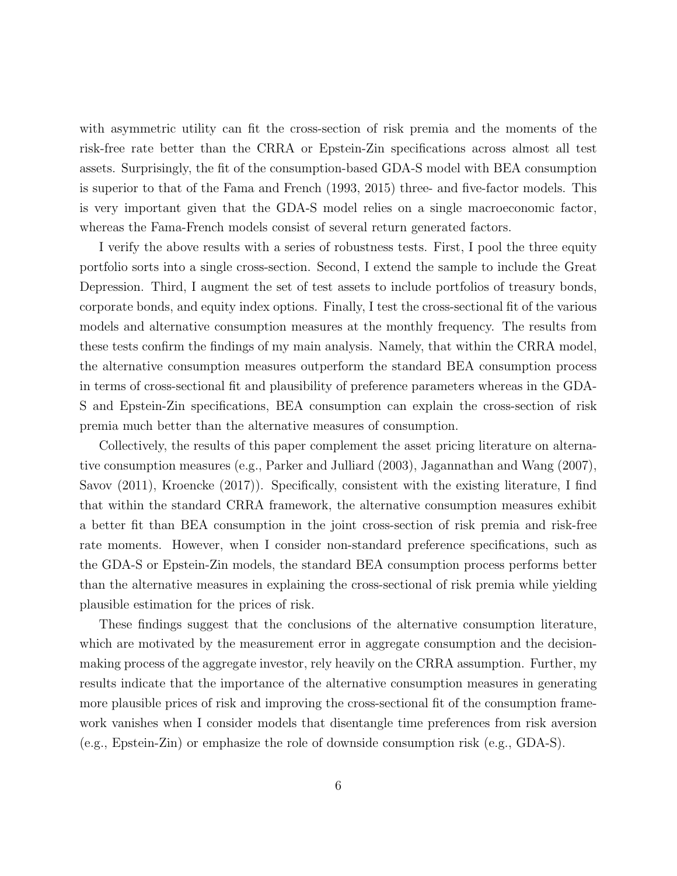with asymmetric utility can fit the cross-section of risk premia and the moments of the risk-free rate better than the CRRA or Epstein-Zin specifications across almost all test assets. Surprisingly, the fit of the consumption-based GDA-S model with BEA consumption is superior to that of the Fama and French (1993, 2015) three- and five-factor models. This is very important given that the GDA-S model relies on a single macroeconomic factor, whereas the Fama-French models consist of several return generated factors.

I verify the above results with a series of robustness tests. First, I pool the three equity portfolio sorts into a single cross-section. Second, I extend the sample to include the Great Depression. Third, I augment the set of test assets to include portfolios of treasury bonds, corporate bonds, and equity index options. Finally, I test the cross-sectional fit of the various models and alternative consumption measures at the monthly frequency. The results from these tests confirm the findings of my main analysis. Namely, that within the CRRA model, the alternative consumption measures outperform the standard BEA consumption process in terms of cross-sectional fit and plausibility of preference parameters whereas in the GDA-S and Epstein-Zin specifications, BEA consumption can explain the cross-section of risk premia much better than the alternative measures of consumption.

Collectively, the results of this paper complement the asset pricing literature on alternative consumption measures (e.g., Parker and Julliard (2003), Jagannathan and Wang (2007), Savov (2011), Kroencke (2017)). Specifically, consistent with the existing literature, I find that within the standard CRRA framework, the alternative consumption measures exhibit a better fit than BEA consumption in the joint cross-section of risk premia and risk-free rate moments. However, when I consider non-standard preference specifications, such as the GDA-S or Epstein-Zin models, the standard BEA consumption process performs better than the alternative measures in explaining the cross-sectional of risk premia while yielding plausible estimation for the prices of risk.

These findings suggest that the conclusions of the alternative consumption literature, which are motivated by the measurement error in aggregate consumption and the decisionmaking process of the aggregate investor, rely heavily on the CRRA assumption. Further, my results indicate that the importance of the alternative consumption measures in generating more plausible prices of risk and improving the cross-sectional fit of the consumption framework vanishes when I consider models that disentangle time preferences from risk aversion (e.g., Epstein-Zin) or emphasize the role of downside consumption risk (e.g., GDA-S).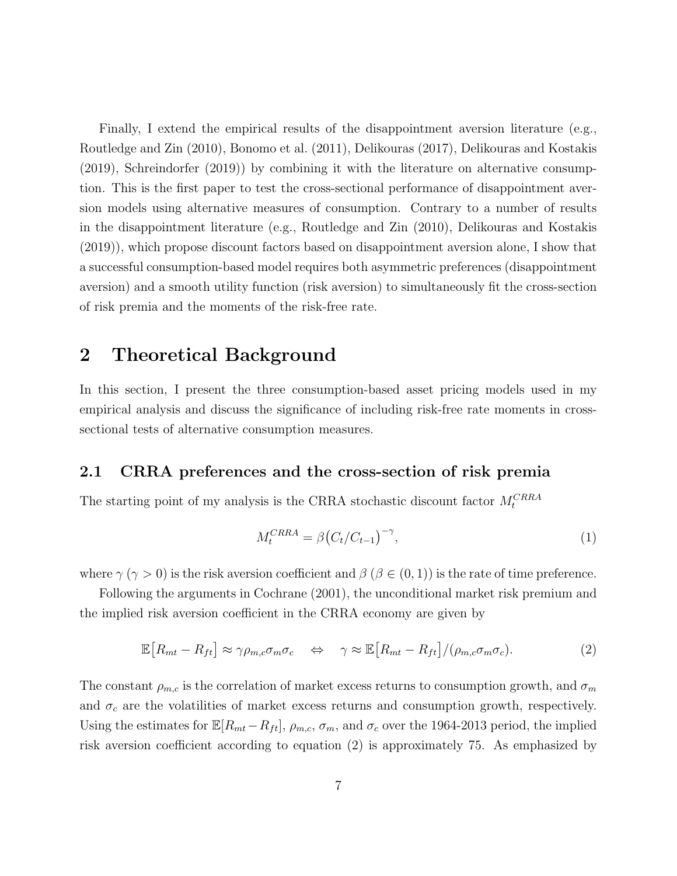Finally, I extend the empirical results of the disappointment aversion literature (e.g., Routledge and Zin (2010), Bonomo et al. (2011), Delikouras (2017), Delikouras and Kostakis (2019), Schreindorfer (2019)) by combining it with the literature on alternative consumption. This is the first paper to test the cross-sectional performance of disappointment aversion models using alternative measures of consumption. Contrary to a number of results in the disappointment literature (e.g., Routledge and Zin (2010), Delikouras and Kostakis (2019)), which propose discount factors based on disappointment aversion alone, I show that a successful consumption-based model requires both asymmetric preferences (disappointment aversion) and a smooth utility function (risk aversion) to simultaneously fit the cross-section of risk premia and the moments of the risk-free rate.

## 2 Theoretical Background

In this section, I present the three consumption-based asset pricing models used in my empirical analysis and discuss the significance of including risk-free rate moments in crosssectional tests of alternative consumption measures.

#### 2.1 CRRA preferences and the cross-section of risk premia

The starting point of my analysis is the CRRA stochastic discount factor  $M_t^{CRRA}$ 

$$
M_t^{CRRA} = \beta \left( C_t / C_{t-1} \right)^{-\gamma}, \tag{1}
$$

where  $\gamma (\gamma > 0)$  is the risk aversion coefficient and  $\beta (\beta \in (0,1))$  is the rate of time preference.

Following the arguments in Cochrane (2001), the unconditional market risk premium and the implied risk aversion coefficient in the CRRA economy are given by

$$
\mathbb{E}\left[R_{mt} - R_{ft}\right] \approx \gamma \rho_{m,c} \sigma_m \sigma_c \quad \Leftrightarrow \quad \gamma \approx \mathbb{E}\left[R_{mt} - R_{ft}\right] / (\rho_{m,c} \sigma_m \sigma_c). \tag{2}
$$

The constant  $\rho_{m,c}$  is the correlation of market excess returns to consumption growth, and  $\sigma_m$ and  $\sigma_c$  are the volatilities of market excess returns and consumption growth, respectively. Using the estimates for  $\mathbb{E}[R_{mt}-R_{ft}], \rho_{m,c}, \sigma_m$ , and  $\sigma_c$  over the 1964-2013 period, the implied risk aversion coefficient according to equation (2) is approximately 75. As emphasized by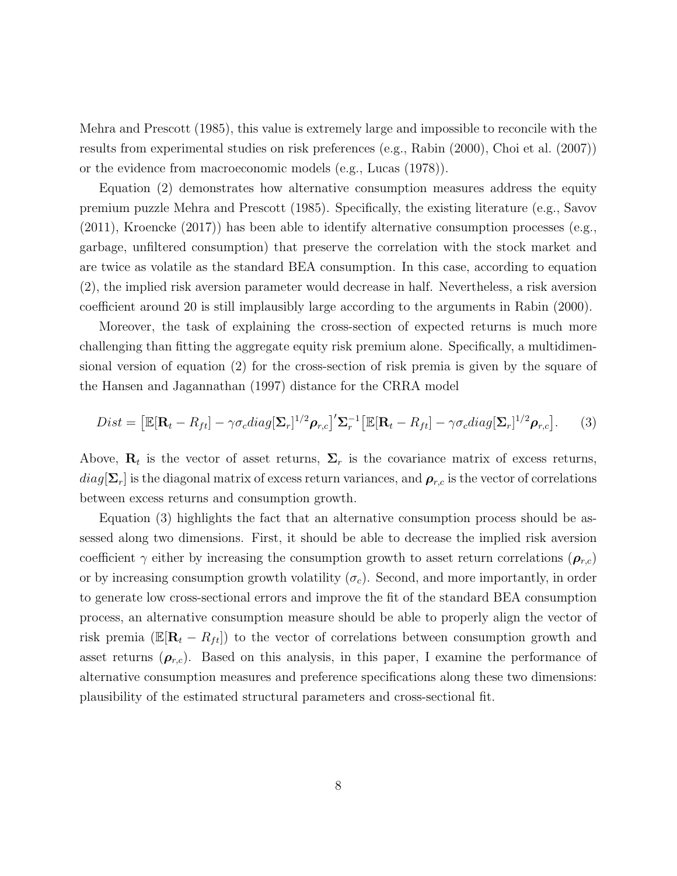Mehra and Prescott (1985), this value is extremely large and impossible to reconcile with the results from experimental studies on risk preferences (e.g., Rabin (2000), Choi et al. (2007)) or the evidence from macroeconomic models (e.g., Lucas (1978)).

Equation (2) demonstrates how alternative consumption measures address the equity premium puzzle Mehra and Prescott (1985). Specifically, the existing literature (e.g., Savov  $(2011)$ , Kroencke  $(2017)$ ) has been able to identify alternative consumption processes (e.g., garbage, unfiltered consumption) that preserve the correlation with the stock market and are twice as volatile as the standard BEA consumption. In this case, according to equation (2), the implied risk aversion parameter would decrease in half. Nevertheless, a risk aversion coefficient around 20 is still implausibly large according to the arguments in Rabin (2000).

Moreover, the task of explaining the cross-section of expected returns is much more challenging than fitting the aggregate equity risk premium alone. Specifically, a multidimensional version of equation (2) for the cross-section of risk premia is given by the square of the Hansen and Jagannathan (1997) distance for the CRRA model

$$
Dist = \left[\mathbb{E}[\mathbf{R}_t - R_{ft}] - \gamma \sigma_c diag[\mathbf{\Sigma}_r]^{1/2} \boldsymbol{\rho}_{r,c}\right]' \mathbf{\Sigma}_r^{-1} \left[\mathbb{E}[\mathbf{R}_t - R_{ft}] - \gamma \sigma_c diag[\mathbf{\Sigma}_r]^{1/2} \boldsymbol{\rho}_{r,c}\right].
$$
 (3)

Above,  $\mathbf{R}_t$  is the vector of asset returns,  $\Sigma_r$  is the covariance matrix of excess returns,  $diag[\Sigma_r]$  is the diagonal matrix of excess return variances, and  $\rho_{r,c}$  is the vector of correlations between excess returns and consumption growth.

Equation (3) highlights the fact that an alternative consumption process should be assessed along two dimensions. First, it should be able to decrease the implied risk aversion coefficient  $\gamma$  either by increasing the consumption growth to asset return correlations  $(\rho_{r,c})$ or by increasing consumption growth volatility  $(\sigma_c)$ . Second, and more importantly, in order to generate low cross-sectional errors and improve the fit of the standard BEA consumption process, an alternative consumption measure should be able to properly align the vector of risk premia ( $\mathbb{E}[\mathbf{R}_t - R_{ft}]$ ) to the vector of correlations between consumption growth and asset returns  $(\rho_{r,c})$ . Based on this analysis, in this paper, I examine the performance of alternative consumption measures and preference specifications along these two dimensions: plausibility of the estimated structural parameters and cross-sectional fit.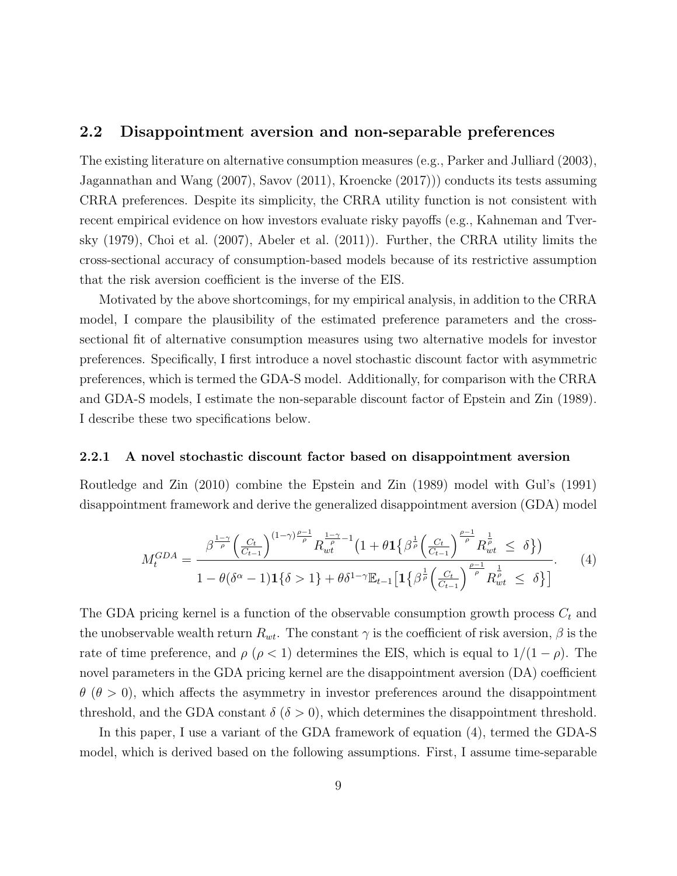#### 2.2 Disappointment aversion and non-separable preferences

The existing literature on alternative consumption measures (e.g., Parker and Julliard (2003), Jagannathan and Wang (2007), Savov (2011), Kroencke (2017))) conducts its tests assuming CRRA preferences. Despite its simplicity, the CRRA utility function is not consistent with recent empirical evidence on how investors evaluate risky payoffs (e.g., Kahneman and Tversky (1979), Choi et al. (2007), Abeler et al. (2011)). Further, the CRRA utility limits the cross-sectional accuracy of consumption-based models because of its restrictive assumption that the risk aversion coefficient is the inverse of the EIS.

Motivated by the above shortcomings, for my empirical analysis, in addition to the CRRA model, I compare the plausibility of the estimated preference parameters and the crosssectional fit of alternative consumption measures using two alternative models for investor preferences. Specifically, I first introduce a novel stochastic discount factor with asymmetric preferences, which is termed the GDA-S model. Additionally, for comparison with the CRRA and GDA-S models, I estimate the non-separable discount factor of Epstein and Zin (1989). I describe these two specifications below.

#### 2.2.1 A novel stochastic discount factor based on disappointment aversion

Routledge and Zin (2010) combine the Epstein and Zin (1989) model with Gul's (1991) disappointment framework and derive the generalized disappointment aversion (GDA) model

$$
M_t^{GDA} = \frac{\beta^{\frac{1-\gamma}{\rho}} \left(\frac{C_t}{C_{t-1}}\right)^{(1-\gamma)\frac{\rho-1}{\rho}} R_{wt}^{\frac{1-\gamma}{\rho}-1} \left(1 + \theta \mathbf{1} \left\{\beta^{\frac{1}{\rho}} \left(\frac{C_t}{C_{t-1}}\right)^{\frac{\rho-1}{\rho}} R_{wt}^{\frac{1}{\rho}} \le \delta\right\}\right)}{1 - \theta(\delta^{\alpha} - 1) \mathbf{1} \left\{\delta > 1\right\} + \theta \delta^{1-\gamma} \mathbb{E}_{t-1} \left[\mathbf{1} \left\{\beta^{\frac{1}{\rho}} \left(\frac{C_t}{C_{t-1}}\right)^{\frac{\rho-1}{\rho}} R_{wt}^{\frac{1}{\rho}} \le \delta\right\}\right]}.
$$
 (4)

The GDA pricing kernel is a function of the observable consumption growth process  $C_t$  and the unobservable wealth return  $R_{wt}$ . The constant  $\gamma$  is the coefficient of risk aversion,  $\beta$  is the rate of time preference, and  $\rho$  ( $\rho$  < 1) determines the EIS, which is equal to  $1/(1 - \rho)$ . The novel parameters in the GDA pricing kernel are the disappointment aversion (DA) coefficient  $\theta$  ( $\theta > 0$ ), which affects the asymmetry in investor preferences around the disappointment threshold, and the GDA constant  $\delta$  ( $\delta > 0$ ), which determines the disappointment threshold.

In this paper, I use a variant of the GDA framework of equation (4), termed the GDA-S model, which is derived based on the following assumptions. First, I assume time-separable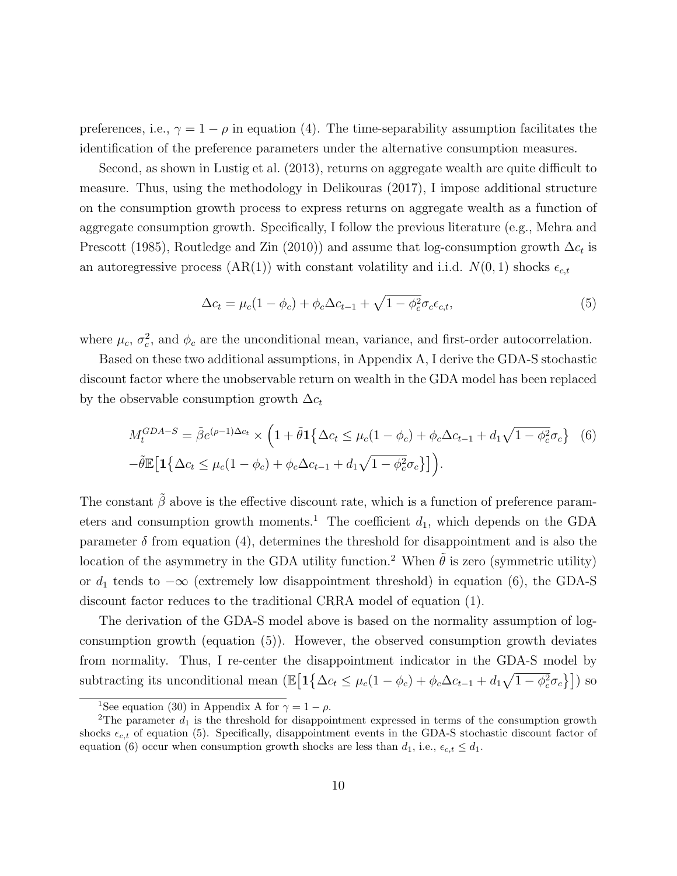preferences, i.e.,  $\gamma = 1 - \rho$  in equation (4). The time-separability assumption facilitates the identification of the preference parameters under the alternative consumption measures.

Second, as shown in Lustig et al. (2013), returns on aggregate wealth are quite difficult to measure. Thus, using the methodology in Delikouras (2017), I impose additional structure on the consumption growth process to express returns on aggregate wealth as a function of aggregate consumption growth. Specifically, I follow the previous literature (e.g., Mehra and Prescott (1985), Routledge and Zin (2010)) and assume that log-consumption growth  $\Delta c_t$  is an autoregressive process (AR(1)) with constant volatility and i.i.d.  $N(0, 1)$  shocks  $\epsilon_{c,t}$ 

$$
\Delta c_t = \mu_c (1 - \phi_c) + \phi_c \Delta c_{t-1} + \sqrt{1 - \phi_c^2} \sigma_c \epsilon_{c,t}, \tag{5}
$$

where  $\mu_c$ ,  $\sigma_c^2$ , and  $\phi_c$  are the unconditional mean, variance, and first-order autocorrelation.

Based on these two additional assumptions, in Appendix A, I derive the GDA-S stochastic discount factor where the unobservable return on wealth in the GDA model has been replaced by the observable consumption growth  $\Delta c_t$ 

$$
M_t^{GDA-S} = \tilde{\beta}e^{(\rho-1)\Delta c_t} \times \left(1 + \tilde{\theta}\mathbf{1}\left\{\Delta c_t \le \mu_c(1-\phi_c) + \phi_c\Delta c_{t-1} + d_1\sqrt{1-\phi_c^2}\sigma_c\right\} \right)
$$
(6)  
 
$$
-\tilde{\theta}\mathbb{E}\left[\mathbf{1}\left\{\Delta c_t \le \mu_c(1-\phi_c) + \phi_c\Delta c_{t-1} + d_1\sqrt{1-\phi_c^2}\sigma_c\right\}\right].
$$

The constant  $\tilde{\beta}$  above is the effective discount rate, which is a function of preference parameters and consumption growth moments.<sup>1</sup> The coefficient  $d_1$ , which depends on the GDA parameter  $\delta$  from equation (4), determines the threshold for disappointment and is also the location of the asymmetry in the GDA utility function.<sup>2</sup> When  $\tilde{\theta}$  is zero (symmetric utility) or  $d_1$  tends to  $-\infty$  (extremely low disappointment threshold) in equation (6), the GDA-S discount factor reduces to the traditional CRRA model of equation (1).

The derivation of the GDA-S model above is based on the normality assumption of logconsumption growth (equation (5)). However, the observed consumption growth deviates from normality. Thus, I re-center the disappointment indicator in the GDA-S model by subtracting its unconditional mean  $(\mathbb{E}\big[\mathbf{1}\big\{\Delta c_t \leq \mu_c(1-\phi_c) + \phi_c \Delta c_{t-1} + d_1\sqrt{1-\phi_c^2}\sigma_c\big\}\big])$  so

<sup>&</sup>lt;sup>1</sup>See equation (30) in Appendix A for  $\gamma = 1 - \rho$ .

<sup>&</sup>lt;sup>2</sup>The parameter  $d_1$  is the threshold for disappointment expressed in terms of the consumption growth shocks  $\epsilon_{c,t}$  of equation (5). Specifically, disappointment events in the GDA-S stochastic discount factor of equation (6) occur when consumption growth shocks are less than  $d_1$ , i.e.,  $\epsilon_{c,t} \leq d_1$ .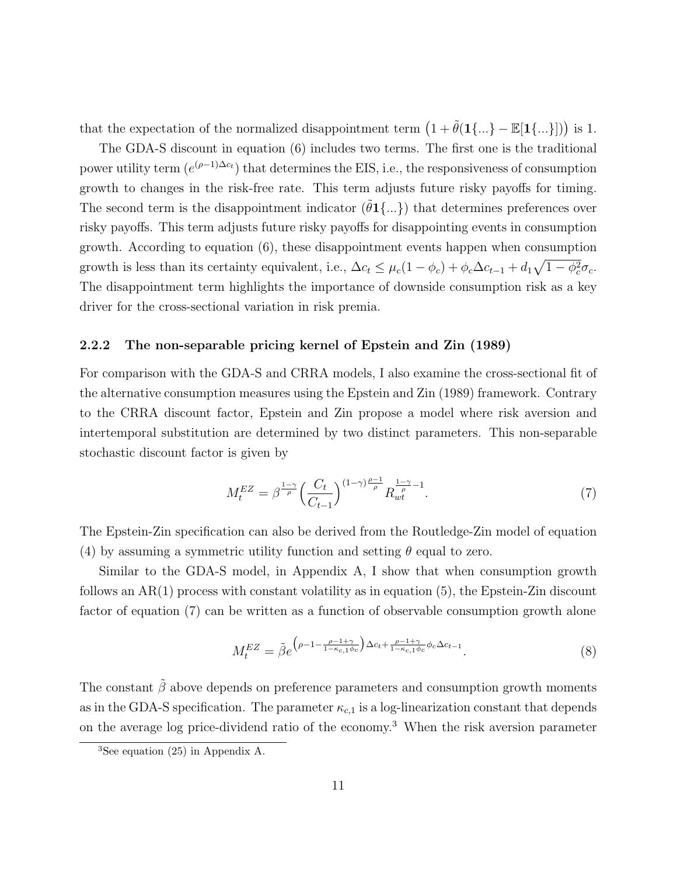that the expectation of the normalized disappointment term  $(1 + \tilde{\theta}(1\{...\} - \mathbb{E}[1\{...\}]))$  is 1.

The GDA-S discount in equation (6) includes two terms. The first one is the traditional power utility term  $(e^{(\rho-1)\Delta c_t})$  that determines the EIS, i.e., the responsiveness of consumption growth to changes in the risk-free rate. This term adjusts future risky payoffs for timing. The second term is the disappointment indicator  $(\hat{\theta}1\{...\})$  that determines preferences over risky payoffs. This term adjusts future risky payoffs for disappointing events in consumption growth. According to equation (6), these disappointment events happen when consumption growth is less than its certainty equivalent, i.e.,  $\Delta c_t \leq \mu_c (1 - \phi_c) + \phi_c \Delta c_{t-1} + d_1 \sqrt{1 - \phi_c^2} \sigma_c$ . The disappointment term highlights the importance of downside consumption risk as a key driver for the cross-sectional variation in risk premia.

#### 2.2.2 The non-separable pricing kernel of Epstein and Zin (1989)

For comparison with the GDA-S and CRRA models, I also examine the cross-sectional fit of the alternative consumption measures using the Epstein and Zin (1989) framework. Contrary to the CRRA discount factor, Epstein and Zin propose a model where risk aversion and intertemporal substitution are determined by two distinct parameters. This non-separable stochastic discount factor is given by

$$
M_t^{EZ} = \beta^{\frac{1-\gamma}{\rho}} \left(\frac{C_t}{C_{t-1}}\right)^{(1-\gamma)\frac{\rho-1}{\rho}} R_{wt}^{\frac{1-\gamma}{\rho}-1}.
$$
 (7)

The Epstein-Zin specification can also be derived from the Routledge-Zin model of equation (4) by assuming a symmetric utility function and setting  $\theta$  equal to zero.

Similar to the GDA-S model, in Appendix A, I show that when consumption growth follows an  $AR(1)$  process with constant volatility as in equation (5), the Epstein-Zin discount factor of equation (7) can be written as a function of observable consumption growth alone

$$
M_t^{EZ} = \tilde{\beta}e^{\left(\rho - 1 - \frac{\rho - 1 + \gamma}{1 - \kappa_{c,1}\phi_c}\right)\Delta c_t + \frac{\rho - 1 + \gamma}{1 - \kappa_{c,1}\phi_c}\phi_c\Delta c_{t-1}}.
$$
\n
$$
(8)
$$

The constant  $\tilde{\beta}$  above depends on preference parameters and consumption growth moments as in the GDA-S specification. The parameter  $\kappa_{c,1}$  is a log-linearization constant that depends on the average log price-dividend ratio of the economy.<sup>3</sup> When the risk aversion parameter

<sup>&</sup>lt;sup>3</sup>See equation (25) in Appendix A.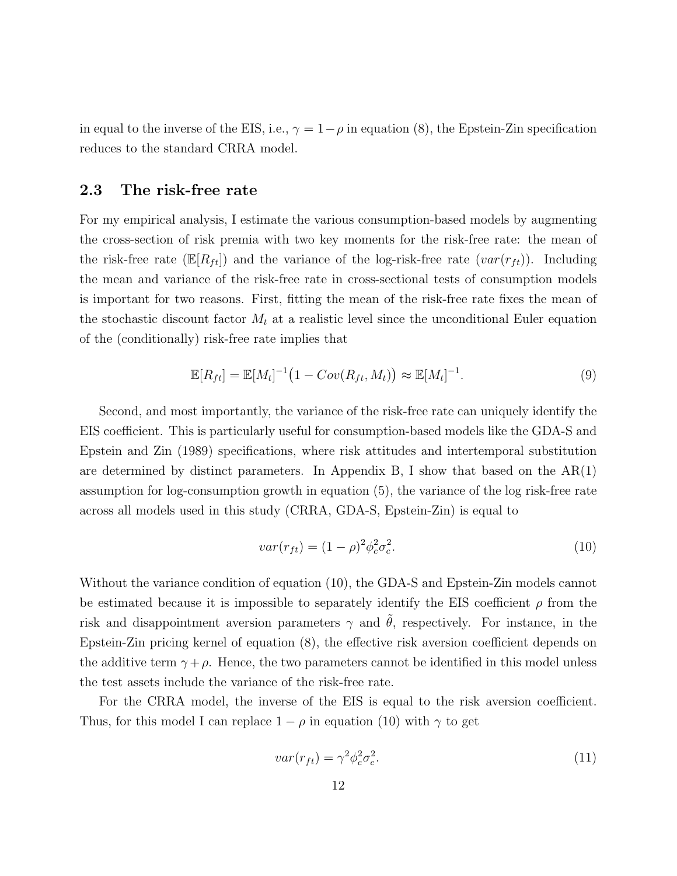in equal to the inverse of the EIS, i.e.,  $\gamma = 1 - \rho$  in equation (8), the Epstein-Zin specification reduces to the standard CRRA model.

### 2.3 The risk-free rate

For my empirical analysis, I estimate the various consumption-based models by augmenting the cross-section of risk premia with two key moments for the risk-free rate: the mean of the risk-free rate  $(\mathbb{E}[R_{ft}])$  and the variance of the log-risk-free rate  $(var(r_{ft}))$ . Including the mean and variance of the risk-free rate in cross-sectional tests of consumption models is important for two reasons. First, fitting the mean of the risk-free rate fixes the mean of the stochastic discount factor  $M_t$  at a realistic level since the unconditional Euler equation of the (conditionally) risk-free rate implies that

$$
\mathbb{E}[R_{ft}] = \mathbb{E}[M_t]^{-1} \big( 1 - Cov(R_{ft}, M_t) \big) \approx \mathbb{E}[M_t]^{-1}.
$$
\n(9)

Second, and most importantly, the variance of the risk-free rate can uniquely identify the EIS coefficient. This is particularly useful for consumption-based models like the GDA-S and Epstein and Zin (1989) specifications, where risk attitudes and intertemporal substitution are determined by distinct parameters. In Appendix B, I show that based on the  $AR(1)$ assumption for log-consumption growth in equation (5), the variance of the log risk-free rate across all models used in this study (CRRA, GDA-S, Epstein-Zin) is equal to

$$
var(r_{ft}) = (1 - \rho)^2 \phi_c^2 \sigma_c^2.
$$
\n(10)

Without the variance condition of equation (10), the GDA-S and Epstein-Zin models cannot be estimated because it is impossible to separately identify the EIS coefficient  $\rho$  from the risk and disappointment aversion parameters  $\gamma$  and  $\hat{\theta}$ , respectively. For instance, in the Epstein-Zin pricing kernel of equation (8), the effective risk aversion coefficient depends on the additive term  $\gamma + \rho$ . Hence, the two parameters cannot be identified in this model unless the test assets include the variance of the risk-free rate.

For the CRRA model, the inverse of the EIS is equal to the risk aversion coefficient. Thus, for this model I can replace  $1 - \rho$  in equation (10) with  $\gamma$  to get

$$
var(r_{ft}) = \gamma^2 \phi_c^2 \sigma_c^2. \tag{11}
$$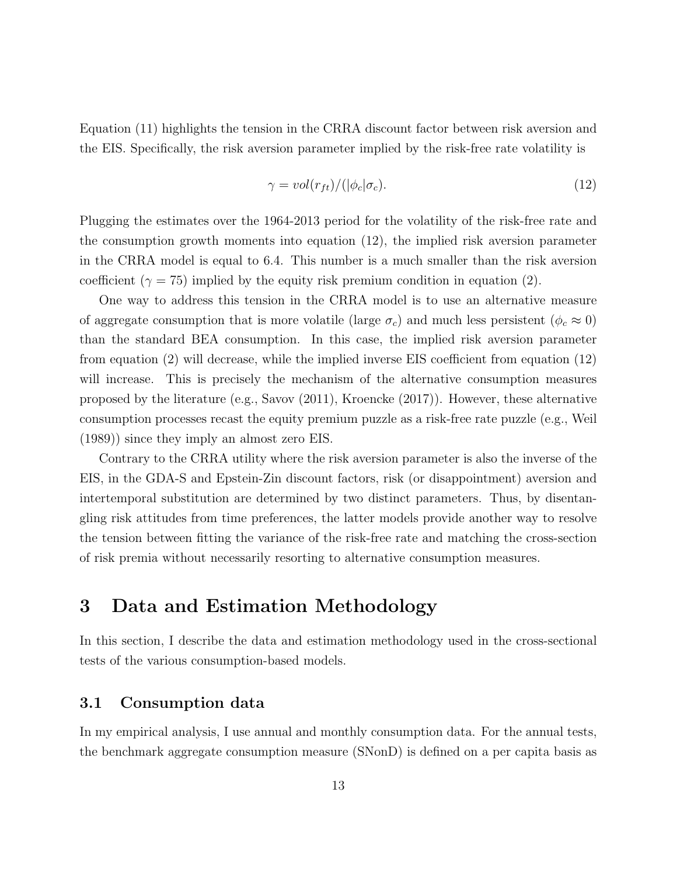Equation (11) highlights the tension in the CRRA discount factor between risk aversion and the EIS. Specifically, the risk aversion parameter implied by the risk-free rate volatility is

$$
\gamma = vol(r_{ft})/(|\phi_c|\sigma_c). \tag{12}
$$

Plugging the estimates over the 1964-2013 period for the volatility of the risk-free rate and the consumption growth moments into equation (12), the implied risk aversion parameter in the CRRA model is equal to 6.4. This number is a much smaller than the risk aversion coefficient ( $\gamma = 75$ ) implied by the equity risk premium condition in equation (2).

One way to address this tension in the CRRA model is to use an alternative measure of aggregate consumption that is more volatile (large  $\sigma_c$ ) and much less persistent ( $\phi_c \approx 0$ ) than the standard BEA consumption. In this case, the implied risk aversion parameter from equation (2) will decrease, while the implied inverse EIS coefficient from equation (12) will increase. This is precisely the mechanism of the alternative consumption measures proposed by the literature (e.g., Savov (2011), Kroencke (2017)). However, these alternative consumption processes recast the equity premium puzzle as a risk-free rate puzzle (e.g., Weil (1989)) since they imply an almost zero EIS.

Contrary to the CRRA utility where the risk aversion parameter is also the inverse of the EIS, in the GDA-S and Epstein-Zin discount factors, risk (or disappointment) aversion and intertemporal substitution are determined by two distinct parameters. Thus, by disentangling risk attitudes from time preferences, the latter models provide another way to resolve the tension between fitting the variance of the risk-free rate and matching the cross-section of risk premia without necessarily resorting to alternative consumption measures.

# 3 Data and Estimation Methodology

In this section, I describe the data and estimation methodology used in the cross-sectional tests of the various consumption-based models.

### 3.1 Consumption data

In my empirical analysis, I use annual and monthly consumption data. For the annual tests, the benchmark aggregate consumption measure (SNonD) is defined on a per capita basis as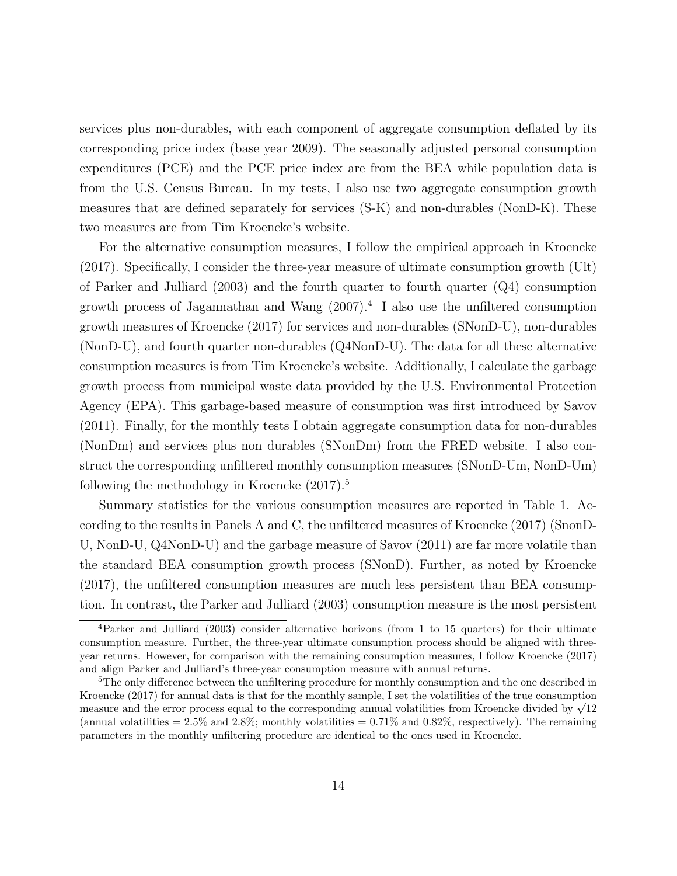services plus non-durables, with each component of aggregate consumption deflated by its corresponding price index (base year 2009). The seasonally adjusted personal consumption expenditures (PCE) and the PCE price index are from the BEA while population data is from the U.S. Census Bureau. In my tests, I also use two aggregate consumption growth measures that are defined separately for services (S-K) and non-durables (NonD-K). These two measures are from Tim Kroencke's website.

For the alternative consumption measures, I follow the empirical approach in Kroencke (2017). Specifically, I consider the three-year measure of ultimate consumption growth (Ult) of Parker and Julliard (2003) and the fourth quarter to fourth quarter (Q4) consumption growth process of Jagannathan and Wang (2007).<sup>4</sup> I also use the unfiltered consumption growth measures of Kroencke (2017) for services and non-durables (SNonD-U), non-durables (NonD-U), and fourth quarter non-durables (Q4NonD-U). The data for all these alternative consumption measures is from Tim Kroencke's website. Additionally, I calculate the garbage growth process from municipal waste data provided by the U.S. Environmental Protection Agency (EPA). This garbage-based measure of consumption was first introduced by Savov (2011). Finally, for the monthly tests I obtain aggregate consumption data for non-durables (NonDm) and services plus non durables (SNonDm) from the FRED website. I also construct the corresponding unfiltered monthly consumption measures (SNonD-Um, NonD-Um) following the methodology in Kroencke  $(2017).<sup>5</sup>$ 

Summary statistics for the various consumption measures are reported in Table 1. According to the results in Panels A and C, the unfiltered measures of Kroencke (2017) (SnonD-U, NonD-U, Q4NonD-U) and the garbage measure of Savov (2011) are far more volatile than the standard BEA consumption growth process (SNonD). Further, as noted by Kroencke (2017), the unfiltered consumption measures are much less persistent than BEA consumption. In contrast, the Parker and Julliard (2003) consumption measure is the most persistent

<sup>4</sup>Parker and Julliard (2003) consider alternative horizons (from 1 to 15 quarters) for their ultimate consumption measure. Further, the three-year ultimate consumption process should be aligned with threeyear returns. However, for comparison with the remaining consumption measures, I follow Kroencke (2017) and align Parker and Julliard's three-year consumption measure with annual returns.

<sup>&</sup>lt;sup>5</sup>The only difference between the unfiltering procedure for monthly consumption and the one described in Kroencke (2017) for annual data is that for the monthly sample, I set the volatilities of the true consumption Rroencke (2017) for annual data is that for the monthly sample, I set the volatilities of the true consumption<br>measure and the error process equal to the corresponding annual volatilities from Kroencke divided by  $\sqrt{12}$ (annual volatilities  $= 2.5\%$  and  $2.8\%$ ; monthly volatilities  $= 0.71\%$  and  $0.82\%$ , respectively). The remaining parameters in the monthly unfiltering procedure are identical to the ones used in Kroencke.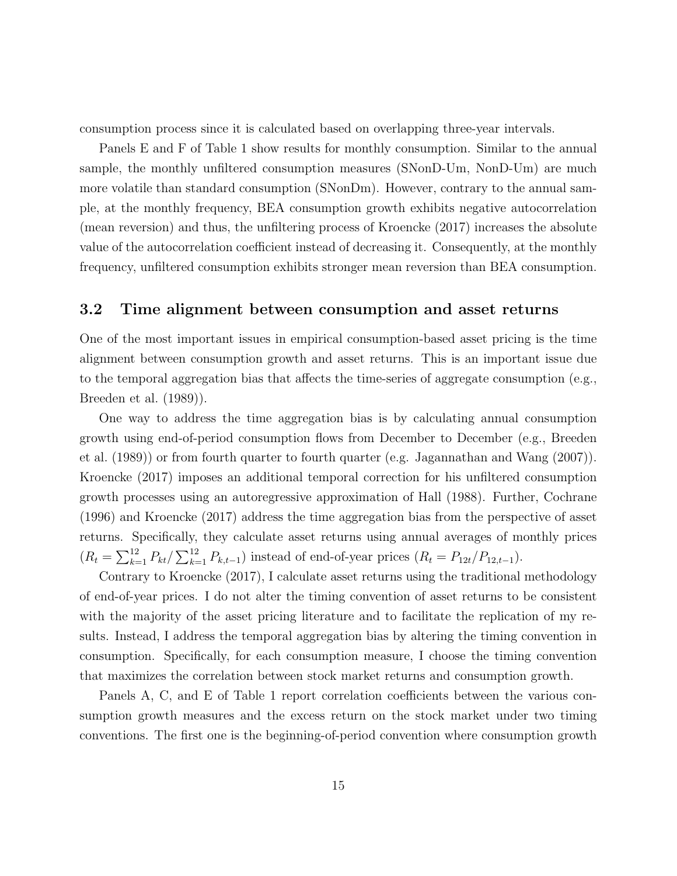consumption process since it is calculated based on overlapping three-year intervals.

Panels E and F of Table 1 show results for monthly consumption. Similar to the annual sample, the monthly unfiltered consumption measures (SNonD-Um, NonD-Um) are much more volatile than standard consumption (SNonDm). However, contrary to the annual sample, at the monthly frequency, BEA consumption growth exhibits negative autocorrelation (mean reversion) and thus, the unfiltering process of Kroencke (2017) increases the absolute value of the autocorrelation coefficient instead of decreasing it. Consequently, at the monthly frequency, unfiltered consumption exhibits stronger mean reversion than BEA consumption.

### 3.2 Time alignment between consumption and asset returns

One of the most important issues in empirical consumption-based asset pricing is the time alignment between consumption growth and asset returns. This is an important issue due to the temporal aggregation bias that affects the time-series of aggregate consumption (e.g., Breeden et al. (1989)).

One way to address the time aggregation bias is by calculating annual consumption growth using end-of-period consumption flows from December to December (e.g., Breeden et al. (1989)) or from fourth quarter to fourth quarter (e.g. Jagannathan and Wang (2007)). Kroencke (2017) imposes an additional temporal correction for his unfiltered consumption growth processes using an autoregressive approximation of Hall (1988). Further, Cochrane (1996) and Kroencke (2017) address the time aggregation bias from the perspective of asset returns. Specifically, they calculate asset returns using annual averages of monthly prices  $(R_t = \sum_{k=1}^{12} P_{kt} / \sum_{k=1}^{12} P_{k,t-1})$  instead of end-of-year prices  $(R_t = P_{12t} / P_{12,t-1})$ .

Contrary to Kroencke (2017), I calculate asset returns using the traditional methodology of end-of-year prices. I do not alter the timing convention of asset returns to be consistent with the majority of the asset pricing literature and to facilitate the replication of my results. Instead, I address the temporal aggregation bias by altering the timing convention in consumption. Specifically, for each consumption measure, I choose the timing convention that maximizes the correlation between stock market returns and consumption growth.

Panels A, C, and E of Table 1 report correlation coefficients between the various consumption growth measures and the excess return on the stock market under two timing conventions. The first one is the beginning-of-period convention where consumption growth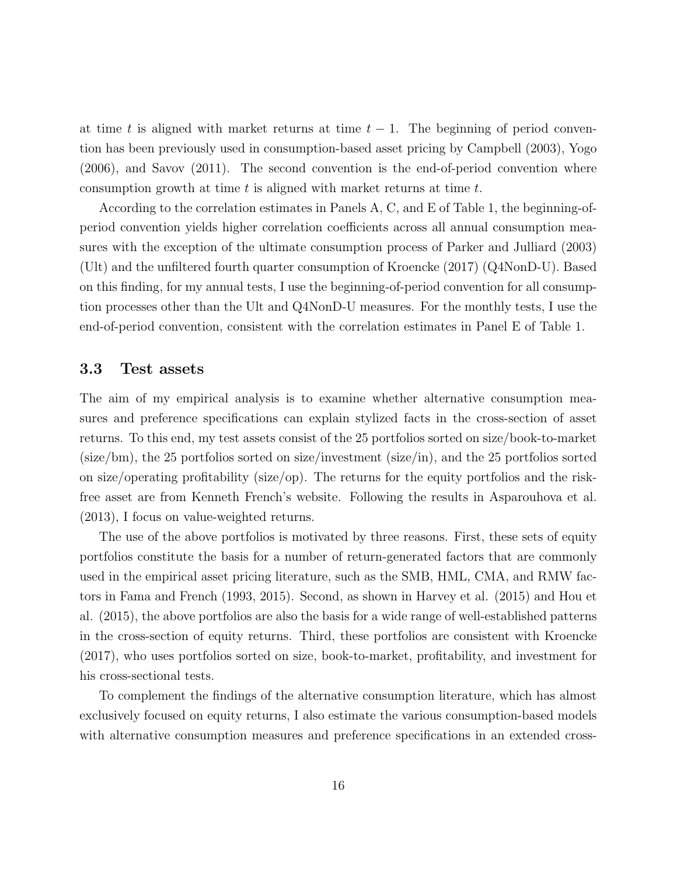at time t is aligned with market returns at time  $t - 1$ . The beginning of period convention has been previously used in consumption-based asset pricing by Campbell (2003), Yogo (2006), and Savov (2011). The second convention is the end-of-period convention where consumption growth at time  $t$  is aligned with market returns at time  $t$ .

According to the correlation estimates in Panels A, C, and E of Table 1, the beginning-ofperiod convention yields higher correlation coefficients across all annual consumption measures with the exception of the ultimate consumption process of Parker and Julliard (2003) (Ult) and the unfiltered fourth quarter consumption of Kroencke (2017) (Q4NonD-U). Based on this finding, for my annual tests, I use the beginning-of-period convention for all consumption processes other than the Ult and Q4NonD-U measures. For the monthly tests, I use the end-of-period convention, consistent with the correlation estimates in Panel E of Table 1.

#### 3.3 Test assets

The aim of my empirical analysis is to examine whether alternative consumption measures and preference specifications can explain stylized facts in the cross-section of asset returns. To this end, my test assets consist of the 25 portfolios sorted on size/book-to-market (size/bm), the 25 portfolios sorted on size/investment (size/in), and the 25 portfolios sorted on size/operating profitability (size/op). The returns for the equity portfolios and the riskfree asset are from Kenneth French's website. Following the results in Asparouhova et al. (2013), I focus on value-weighted returns.

The use of the above portfolios is motivated by three reasons. First, these sets of equity portfolios constitute the basis for a number of return-generated factors that are commonly used in the empirical asset pricing literature, such as the SMB, HML, CMA, and RMW factors in Fama and French (1993, 2015). Second, as shown in Harvey et al. (2015) and Hou et al. (2015), the above portfolios are also the basis for a wide range of well-established patterns in the cross-section of equity returns. Third, these portfolios are consistent with Kroencke (2017), who uses portfolios sorted on size, book-to-market, profitability, and investment for his cross-sectional tests.

To complement the findings of the alternative consumption literature, which has almost exclusively focused on equity returns, I also estimate the various consumption-based models with alternative consumption measures and preference specifications in an extended cross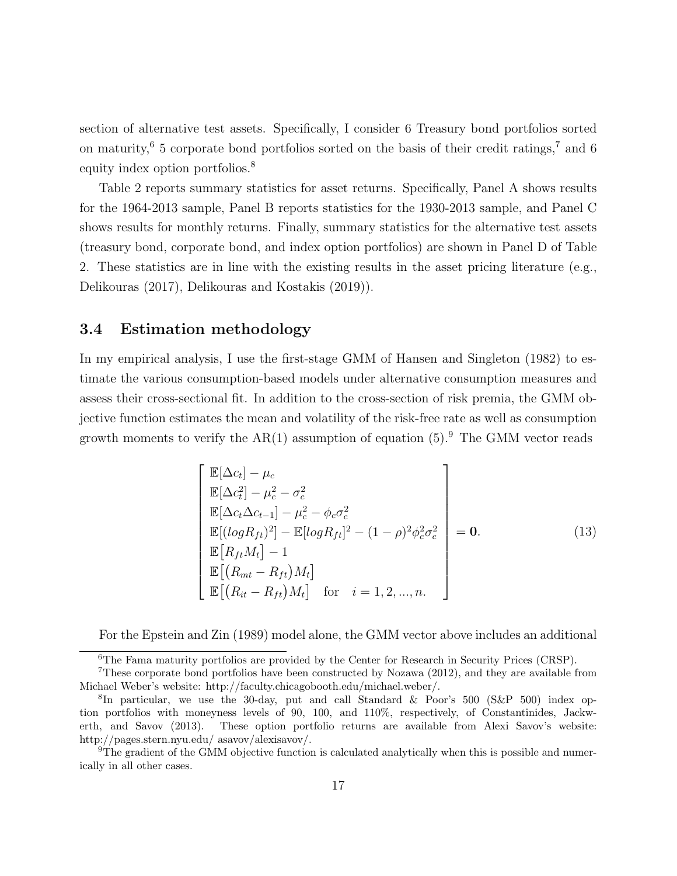section of alternative test assets. Specifically, I consider 6 Treasury bond portfolios sorted on maturity,<sup>6</sup> 5 corporate bond portfolios sorted on the basis of their credit ratings,<sup>7</sup> and 6 equity index option portfolios.<sup>8</sup>

Table 2 reports summary statistics for asset returns. Specifically, Panel A shows results for the 1964-2013 sample, Panel B reports statistics for the 1930-2013 sample, and Panel C shows results for monthly returns. Finally, summary statistics for the alternative test assets (treasury bond, corporate bond, and index option portfolios) are shown in Panel D of Table 2. These statistics are in line with the existing results in the asset pricing literature (e.g., Delikouras (2017), Delikouras and Kostakis (2019)).

#### 3.4 Estimation methodology

In my empirical analysis, I use the first-stage GMM of Hansen and Singleton (1982) to estimate the various consumption-based models under alternative consumption measures and assess their cross-sectional fit. In addition to the cross-section of risk premia, the GMM objective function estimates the mean and volatility of the risk-free rate as well as consumption growth moments to verify the  $AR(1)$  assumption of equation  $(5)$ . The GMM vector reads

$$
\begin{bmatrix}\n\mathbb{E}[\Delta c_t] - \mu_c \\
\mathbb{E}[\Delta c_t^2] - \mu_c^2 - \sigma_c^2 \\
\mathbb{E}[\Delta c_t \Delta c_{t-1}] - \mu_c^2 - \phi_c \sigma_c^2 \\
\mathbb{E}[(\log R_{ft})^2] - \mathbb{E}[\log R_{ft}]^2 - (1 - \rho)^2 \phi_c^2 \sigma_c^2 \\
\mathbb{E}[R_{ft} M_t] - 1 \\
\mathbb{E}[R_{mt} - R_{ft}) M_t] \\
\mathbb{E}[(R_{nt} - R_{ft}) M_t] \quad \text{for} \quad i = 1, 2, ..., n.\n\end{bmatrix}
$$
\n(13)

For the Epstein and Zin (1989) model alone, the GMM vector above includes an additional

 $\overline{6}$ The Fama maturity portfolios are provided by the Center for Research in Security Prices (CRSP).

<sup>7</sup>These corporate bond portfolios have been constructed by Nozawa (2012), and they are available from Michael Weber's website: http://faculty.chicagobooth.edu/michael.weber/.

<sup>8</sup> In particular, we use the 30-day, put and call Standard & Poor's 500 (S&P 500) index option portfolios with moneyness levels of 90, 100, and 110%, respectively, of Constantinides, Jackwerth, and Savov (2013). These option portfolio returns are available from Alexi Savov's website: http://pages.stern.nyu.edu/ asavov/alexisavov/.

<sup>9</sup>The gradient of the GMM objective function is calculated analytically when this is possible and numerically in all other cases.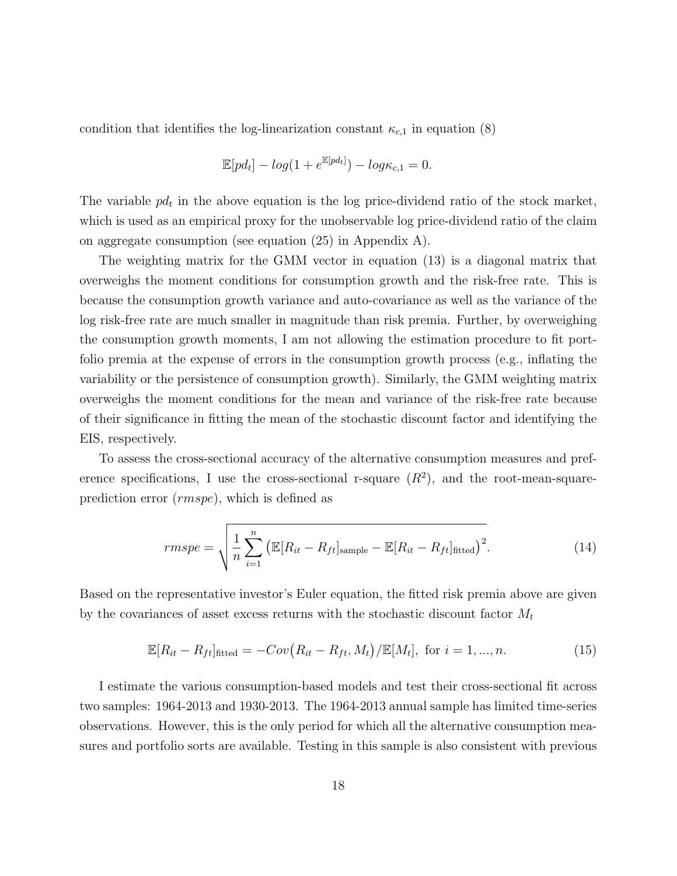condition that identifies the log-linearization constant  $\kappa_{c,1}$  in equation (8)

$$
\mathbb{E}[pd_t] - log(1 + e^{\mathbb{E}[pd_t]}) - log\kappa_{c,1} = 0.
$$

The variable  $pd_t$  in the above equation is the log price-dividend ratio of the stock market, which is used as an empirical proxy for the unobservable log price-dividend ratio of the claim on aggregate consumption (see equation (25) in Appendix A).

The weighting matrix for the GMM vector in equation (13) is a diagonal matrix that overweighs the moment conditions for consumption growth and the risk-free rate. This is because the consumption growth variance and auto-covariance as well as the variance of the log risk-free rate are much smaller in magnitude than risk premia. Further, by overweighing the consumption growth moments, I am not allowing the estimation procedure to fit portfolio premia at the expense of errors in the consumption growth process (e.g., inflating the variability or the persistence of consumption growth). Similarly, the GMM weighting matrix overweighs the moment conditions for the mean and variance of the risk-free rate because of their significance in fitting the mean of the stochastic discount factor and identifying the EIS, respectively.

To assess the cross-sectional accuracy of the alternative consumption measures and preference specifications, I use the cross-sectional r-square  $(R^2)$ , and the root-mean-squareprediction error (rmspe), which is defined as

$$
rmspe = \sqrt{\frac{1}{n} \sum_{i=1}^{n} \left( \mathbb{E}[R_{it} - R_{ft}]_{\text{sample}} - \mathbb{E}[R_{it} - R_{ft}]_{\text{fitted}} \right)^2}.
$$
 (14)

Based on the representative investor's Euler equation, the fitted risk premia above are given by the covariances of asset excess returns with the stochastic discount factor  $M_t$ 

$$
\mathbb{E}[R_{it} - R_{ft}]_{\text{fitted}} = -Cov(R_{it} - R_{ft}, M_t)/\mathbb{E}[M_t], \text{ for } i = 1, ..., n.
$$
 (15)

I estimate the various consumption-based models and test their cross-sectional fit across two samples: 1964-2013 and 1930-2013. The 1964-2013 annual sample has limited time-series observations. However, this is the only period for which all the alternative consumption measures and portfolio sorts are available. Testing in this sample is also consistent with previous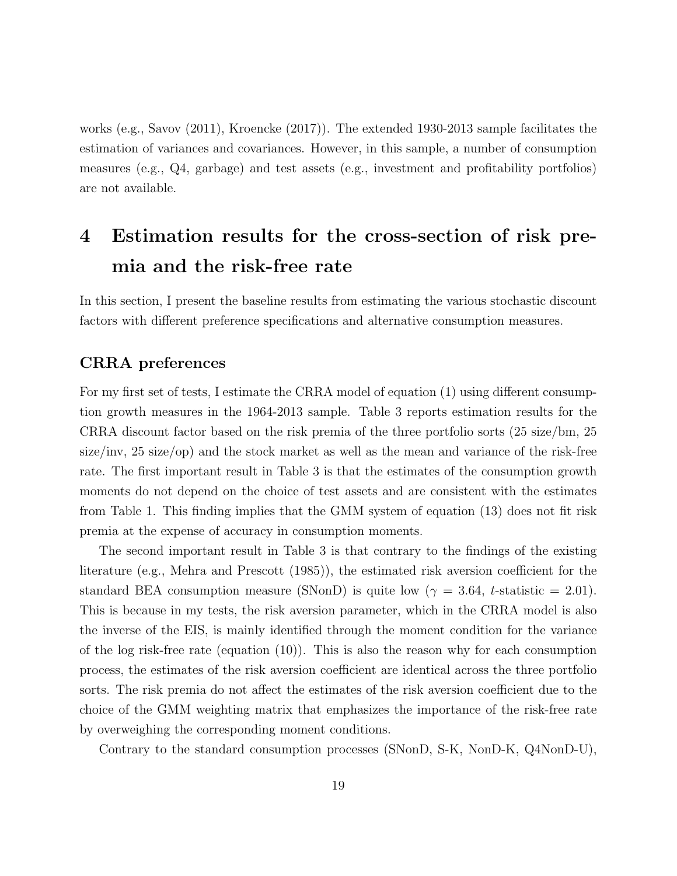works (e.g., Savov (2011), Kroencke (2017)). The extended 1930-2013 sample facilitates the estimation of variances and covariances. However, in this sample, a number of consumption measures (e.g., Q4, garbage) and test assets (e.g., investment and profitability portfolios) are not available.

# 4 Estimation results for the cross-section of risk premia and the risk-free rate

In this section, I present the baseline results from estimating the various stochastic discount factors with different preference specifications and alternative consumption measures.

### CRRA preferences

For my first set of tests, I estimate the CRRA model of equation (1) using different consumption growth measures in the 1964-2013 sample. Table 3 reports estimation results for the CRRA discount factor based on the risk premia of the three portfolio sorts (25 size/bm, 25 size/inv, 25 size/op) and the stock market as well as the mean and variance of the risk-free rate. The first important result in Table 3 is that the estimates of the consumption growth moments do not depend on the choice of test assets and are consistent with the estimates from Table 1. This finding implies that the GMM system of equation (13) does not fit risk premia at the expense of accuracy in consumption moments.

The second important result in Table 3 is that contrary to the findings of the existing literature (e.g., Mehra and Prescott (1985)), the estimated risk aversion coefficient for the standard BEA consumption measure (SNonD) is quite low ( $\gamma = 3.64$ , t-statistic = 2.01). This is because in my tests, the risk aversion parameter, which in the CRRA model is also the inverse of the EIS, is mainly identified through the moment condition for the variance of the log risk-free rate (equation (10)). This is also the reason why for each consumption process, the estimates of the risk aversion coefficient are identical across the three portfolio sorts. The risk premia do not affect the estimates of the risk aversion coefficient due to the choice of the GMM weighting matrix that emphasizes the importance of the risk-free rate by overweighing the corresponding moment conditions.

Contrary to the standard consumption processes (SNonD, S-K, NonD-K, Q4NonD-U),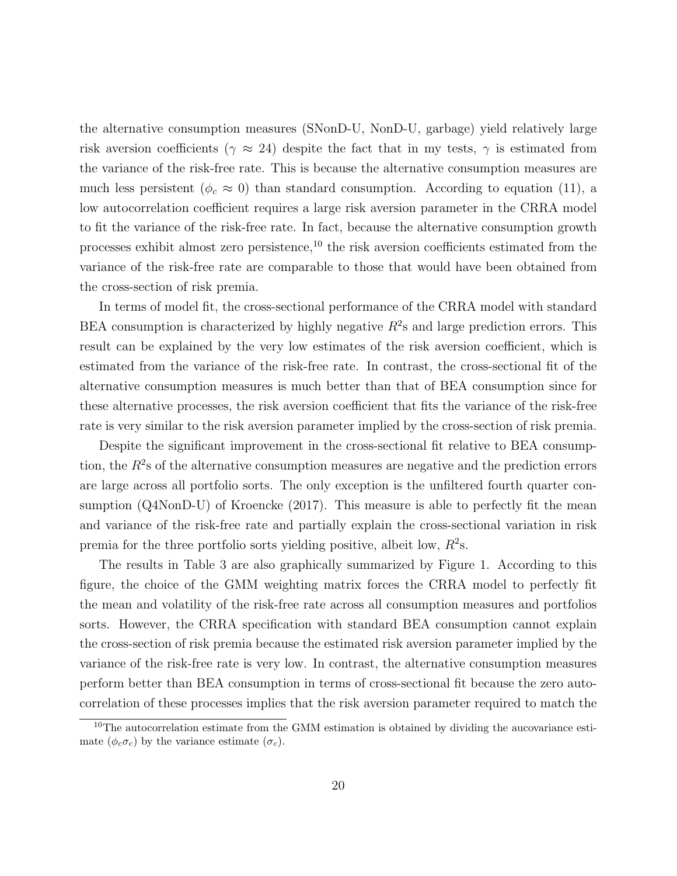the alternative consumption measures (SNonD-U, NonD-U, garbage) yield relatively large risk aversion coefficients ( $\gamma \approx 24$ ) despite the fact that in my tests,  $\gamma$  is estimated from the variance of the risk-free rate. This is because the alternative consumption measures are much less persistent ( $\phi_c \approx 0$ ) than standard consumption. According to equation (11), a low autocorrelation coefficient requires a large risk aversion parameter in the CRRA model to fit the variance of the risk-free rate. In fact, because the alternative consumption growth processes exhibit almost zero persistence, $^{10}$  the risk aversion coefficients estimated from the variance of the risk-free rate are comparable to those that would have been obtained from the cross-section of risk premia.

In terms of model fit, the cross-sectional performance of the CRRA model with standard BEA consumption is characterized by highly negative  $R^2$ s and large prediction errors. This result can be explained by the very low estimates of the risk aversion coefficient, which is estimated from the variance of the risk-free rate. In contrast, the cross-sectional fit of the alternative consumption measures is much better than that of BEA consumption since for these alternative processes, the risk aversion coefficient that fits the variance of the risk-free rate is very similar to the risk aversion parameter implied by the cross-section of risk premia.

Despite the significant improvement in the cross-sectional fit relative to BEA consumption, the  $R^2$ s of the alternative consumption measures are negative and the prediction errors are large across all portfolio sorts. The only exception is the unfiltered fourth quarter consumption (Q4NonD-U) of Kroencke (2017). This measure is able to perfectly fit the mean and variance of the risk-free rate and partially explain the cross-sectional variation in risk premia for the three portfolio sorts yielding positive, albeit low,  $R^2$ s.

The results in Table 3 are also graphically summarized by Figure 1. According to this figure, the choice of the GMM weighting matrix forces the CRRA model to perfectly fit the mean and volatility of the risk-free rate across all consumption measures and portfolios sorts. However, the CRRA specification with standard BEA consumption cannot explain the cross-section of risk premia because the estimated risk aversion parameter implied by the variance of the risk-free rate is very low. In contrast, the alternative consumption measures perform better than BEA consumption in terms of cross-sectional fit because the zero autocorrelation of these processes implies that the risk aversion parameter required to match the

<sup>&</sup>lt;sup>10</sup>The autocorrelation estimate from the GMM estimation is obtained by dividing the aucovariance estimate  $(\phi_c \sigma_c)$  by the variance estimate  $(\sigma_c)$ .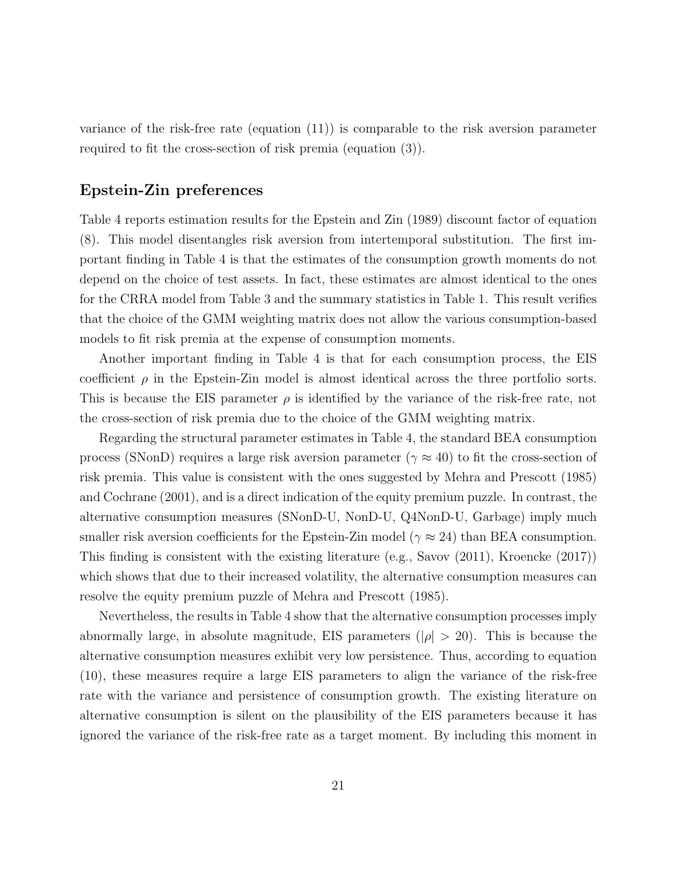variance of the risk-free rate (equation (11)) is comparable to the risk aversion parameter required to fit the cross-section of risk premia (equation (3)).

### Epstein-Zin preferences

Table 4 reports estimation results for the Epstein and Zin (1989) discount factor of equation (8). This model disentangles risk aversion from intertemporal substitution. The first important finding in Table 4 is that the estimates of the consumption growth moments do not depend on the choice of test assets. In fact, these estimates are almost identical to the ones for the CRRA model from Table 3 and the summary statistics in Table 1. This result verifies that the choice of the GMM weighting matrix does not allow the various consumption-based models to fit risk premia at the expense of consumption moments.

Another important finding in Table 4 is that for each consumption process, the EIS coefficient  $\rho$  in the Epstein-Zin model is almost identical across the three portfolio sorts. This is because the EIS parameter  $\rho$  is identified by the variance of the risk-free rate, not the cross-section of risk premia due to the choice of the GMM weighting matrix.

Regarding the structural parameter estimates in Table 4, the standard BEA consumption process (SNonD) requires a large risk aversion parameter ( $\gamma \approx 40$ ) to fit the cross-section of risk premia. This value is consistent with the ones suggested by Mehra and Prescott (1985) and Cochrane (2001), and is a direct indication of the equity premium puzzle. In contrast, the alternative consumption measures (SNonD-U, NonD-U, Q4NonD-U, Garbage) imply much smaller risk aversion coefficients for the Epstein-Zin model ( $\gamma \approx 24$ ) than BEA consumption. This finding is consistent with the existing literature (e.g., Savov (2011), Kroencke (2017)) which shows that due to their increased volatility, the alternative consumption measures can resolve the equity premium puzzle of Mehra and Prescott (1985).

Nevertheless, the results in Table 4 show that the alternative consumption processes imply abnormally large, in absolute magnitude, EIS parameters ( $|\rho| > 20$ ). This is because the alternative consumption measures exhibit very low persistence. Thus, according to equation (10), these measures require a large EIS parameters to align the variance of the risk-free rate with the variance and persistence of consumption growth. The existing literature on alternative consumption is silent on the plausibility of the EIS parameters because it has ignored the variance of the risk-free rate as a target moment. By including this moment in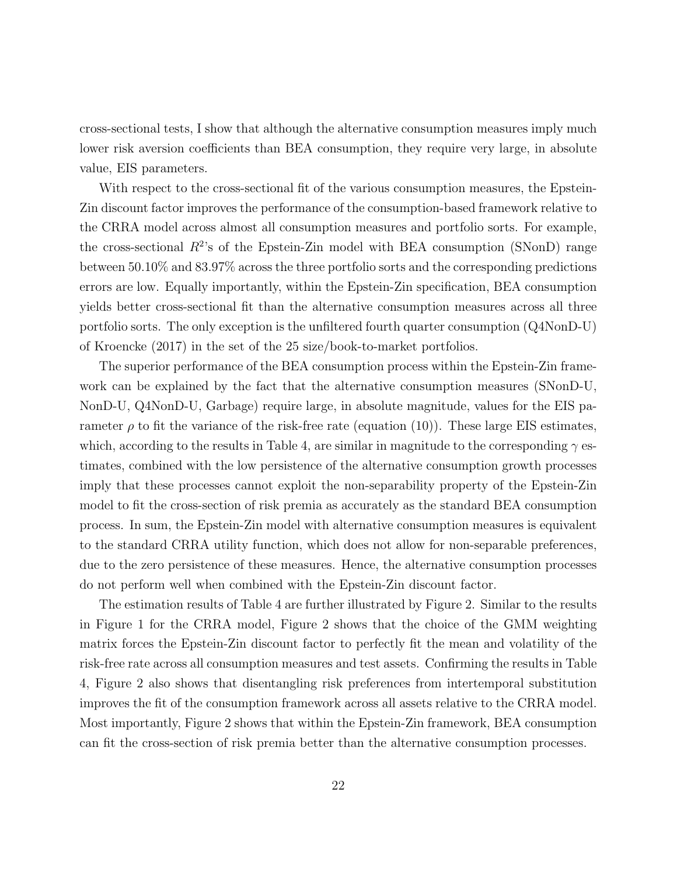cross-sectional tests, I show that although the alternative consumption measures imply much lower risk aversion coefficients than BEA consumption, they require very large, in absolute value, EIS parameters.

With respect to the cross-sectional fit of the various consumption measures, the Epstein-Zin discount factor improves the performance of the consumption-based framework relative to the CRRA model across almost all consumption measures and portfolio sorts. For example, the cross-sectional  $R^2$ 's of the Epstein-Zin model with BEA consumption (SNonD) range between 50.10% and 83.97% across the three portfolio sorts and the corresponding predictions errors are low. Equally importantly, within the Epstein-Zin specification, BEA consumption yields better cross-sectional fit than the alternative consumption measures across all three portfolio sorts. The only exception is the unfiltered fourth quarter consumption (Q4NonD-U) of Kroencke (2017) in the set of the 25 size/book-to-market portfolios.

The superior performance of the BEA consumption process within the Epstein-Zin framework can be explained by the fact that the alternative consumption measures (SNonD-U, NonD-U, Q4NonD-U, Garbage) require large, in absolute magnitude, values for the EIS parameter  $\rho$  to fit the variance of the risk-free rate (equation (10)). These large EIS estimates, which, according to the results in Table 4, are similar in magnitude to the corresponding  $\gamma$  estimates, combined with the low persistence of the alternative consumption growth processes imply that these processes cannot exploit the non-separability property of the Epstein-Zin model to fit the cross-section of risk premia as accurately as the standard BEA consumption process. In sum, the Epstein-Zin model with alternative consumption measures is equivalent to the standard CRRA utility function, which does not allow for non-separable preferences, due to the zero persistence of these measures. Hence, the alternative consumption processes do not perform well when combined with the Epstein-Zin discount factor.

The estimation results of Table 4 are further illustrated by Figure 2. Similar to the results in Figure 1 for the CRRA model, Figure 2 shows that the choice of the GMM weighting matrix forces the Epstein-Zin discount factor to perfectly fit the mean and volatility of the risk-free rate across all consumption measures and test assets. Confirming the results in Table 4, Figure 2 also shows that disentangling risk preferences from intertemporal substitution improves the fit of the consumption framework across all assets relative to the CRRA model. Most importantly, Figure 2 shows that within the Epstein-Zin framework, BEA consumption can fit the cross-section of risk premia better than the alternative consumption processes.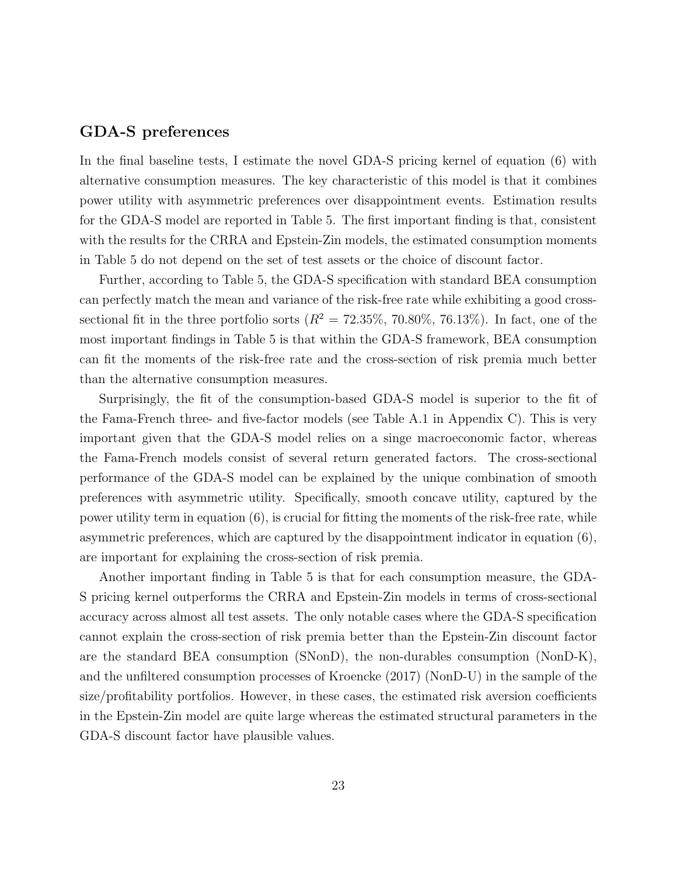### GDA-S preferences

In the final baseline tests, I estimate the novel GDA-S pricing kernel of equation (6) with alternative consumption measures. The key characteristic of this model is that it combines power utility with asymmetric preferences over disappointment events. Estimation results for the GDA-S model are reported in Table 5. The first important finding is that, consistent with the results for the CRRA and Epstein-Zin models, the estimated consumption moments in Table 5 do not depend on the set of test assets or the choice of discount factor.

Further, according to Table 5, the GDA-S specification with standard BEA consumption can perfectly match the mean and variance of the risk-free rate while exhibiting a good crosssectional fit in the three portfolio sorts ( $R^2 = 72.35\%$ , 70.80%, 76.13%). In fact, one of the most important findings in Table 5 is that within the GDA-S framework, BEA consumption can fit the moments of the risk-free rate and the cross-section of risk premia much better than the alternative consumption measures.

Surprisingly, the fit of the consumption-based GDA-S model is superior to the fit of the Fama-French three- and five-factor models (see Table A.1 in Appendix C). This is very important given that the GDA-S model relies on a singe macroeconomic factor, whereas the Fama-French models consist of several return generated factors. The cross-sectional performance of the GDA-S model can be explained by the unique combination of smooth preferences with asymmetric utility. Specifically, smooth concave utility, captured by the power utility term in equation (6), is crucial for fitting the moments of the risk-free rate, while asymmetric preferences, which are captured by the disappointment indicator in equation (6), are important for explaining the cross-section of risk premia.

Another important finding in Table 5 is that for each consumption measure, the GDA-S pricing kernel outperforms the CRRA and Epstein-Zin models in terms of cross-sectional accuracy across almost all test assets. The only notable cases where the GDA-S specification cannot explain the cross-section of risk premia better than the Epstein-Zin discount factor are the standard BEA consumption (SNonD), the non-durables consumption (NonD-K), and the unfiltered consumption processes of Kroencke (2017) (NonD-U) in the sample of the size/profitability portfolios. However, in these cases, the estimated risk aversion coefficients in the Epstein-Zin model are quite large whereas the estimated structural parameters in the GDA-S discount factor have plausible values.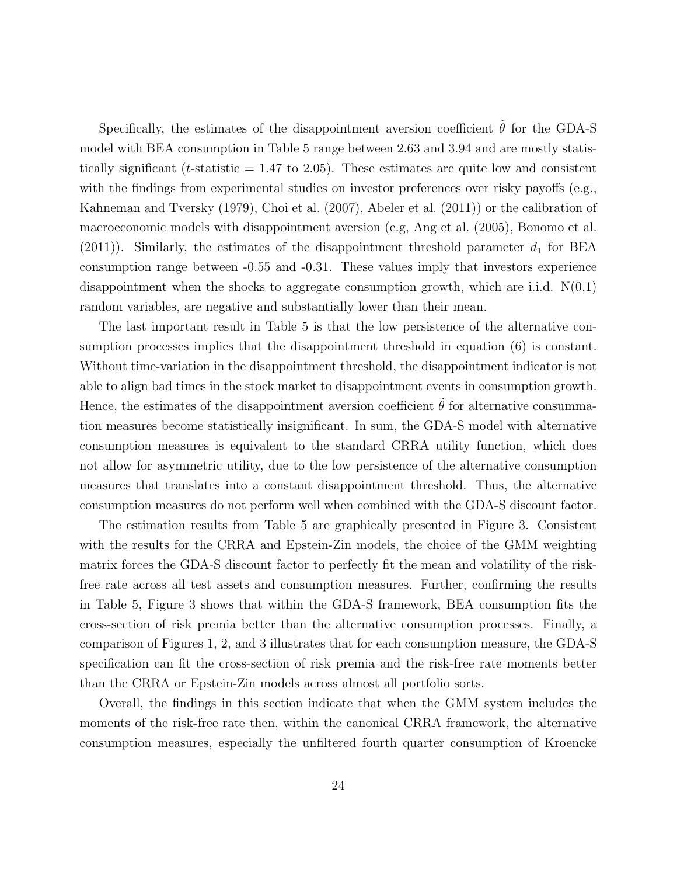Specifically, the estimates of the disappointment aversion coefficient  $\tilde{\theta}$  for the GDA-S model with BEA consumption in Table 5 range between 2.63 and 3.94 and are mostly statistically significant (*t*-statistic  $= 1.47$  to 2.05). These estimates are quite low and consistent with the findings from experimental studies on investor preferences over risky payoffs (e.g., Kahneman and Tversky (1979), Choi et al. (2007), Abeler et al. (2011)) or the calibration of macroeconomic models with disappointment aversion (e.g, Ang et al. (2005), Bonomo et al.  $(2011)$ ). Similarly, the estimates of the disappointment threshold parameter  $d_1$  for BEA consumption range between -0.55 and -0.31. These values imply that investors experience disappointment when the shocks to aggregate consumption growth, which are i.i.d.  $N(0,1)$ random variables, are negative and substantially lower than their mean.

The last important result in Table 5 is that the low persistence of the alternative consumption processes implies that the disappointment threshold in equation (6) is constant. Without time-variation in the disappointment threshold, the disappointment indicator is not able to align bad times in the stock market to disappointment events in consumption growth. Hence, the estimates of the disappointment aversion coefficient  $\tilde{\theta}$  for alternative consummation measures become statistically insignificant. In sum, the GDA-S model with alternative consumption measures is equivalent to the standard CRRA utility function, which does not allow for asymmetric utility, due to the low persistence of the alternative consumption measures that translates into a constant disappointment threshold. Thus, the alternative consumption measures do not perform well when combined with the GDA-S discount factor.

The estimation results from Table 5 are graphically presented in Figure 3. Consistent with the results for the CRRA and Epstein-Zin models, the choice of the GMM weighting matrix forces the GDA-S discount factor to perfectly fit the mean and volatility of the riskfree rate across all test assets and consumption measures. Further, confirming the results in Table 5, Figure 3 shows that within the GDA-S framework, BEA consumption fits the cross-section of risk premia better than the alternative consumption processes. Finally, a comparison of Figures 1, 2, and 3 illustrates that for each consumption measure, the GDA-S specification can fit the cross-section of risk premia and the risk-free rate moments better than the CRRA or Epstein-Zin models across almost all portfolio sorts.

Overall, the findings in this section indicate that when the GMM system includes the moments of the risk-free rate then, within the canonical CRRA framework, the alternative consumption measures, especially the unfiltered fourth quarter consumption of Kroencke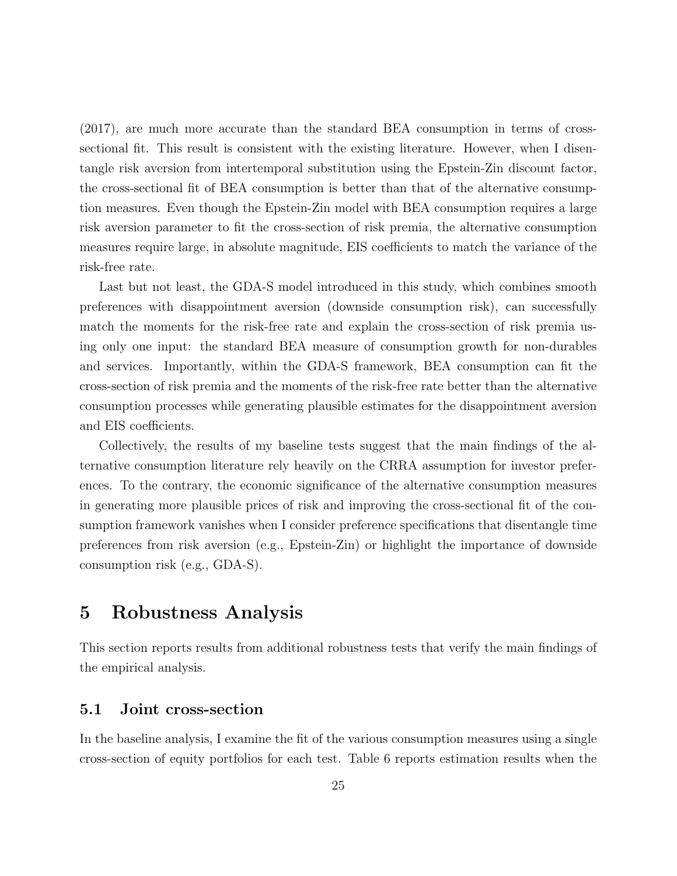(2017), are much more accurate than the standard BEA consumption in terms of crosssectional fit. This result is consistent with the existing literature. However, when I disentangle risk aversion from intertemporal substitution using the Epstein-Zin discount factor, the cross-sectional fit of BEA consumption is better than that of the alternative consumption measures. Even though the Epstein-Zin model with BEA consumption requires a large risk aversion parameter to fit the cross-section of risk premia, the alternative consumption measures require large, in absolute magnitude, EIS coefficients to match the variance of the risk-free rate.

Last but not least, the GDA-S model introduced in this study, which combines smooth preferences with disappointment aversion (downside consumption risk), can successfully match the moments for the risk-free rate and explain the cross-section of risk premia using only one input: the standard BEA measure of consumption growth for non-durables and services. Importantly, within the GDA-S framework, BEA consumption can fit the cross-section of risk premia and the moments of the risk-free rate better than the alternative consumption processes while generating plausible estimates for the disappointment aversion and EIS coefficients.

Collectively, the results of my baseline tests suggest that the main findings of the alternative consumption literature rely heavily on the CRRA assumption for investor preferences. To the contrary, the economic significance of the alternative consumption measures in generating more plausible prices of risk and improving the cross-sectional fit of the consumption framework vanishes when I consider preference specifications that disentangle time preferences from risk aversion (e.g., Epstein-Zin) or highlight the importance of downside consumption risk (e.g., GDA-S).

### 5 Robustness Analysis

This section reports results from additional robustness tests that verify the main findings of the empirical analysis.

#### 5.1 Joint cross-section

In the baseline analysis, I examine the fit of the various consumption measures using a single cross-section of equity portfolios for each test. Table 6 reports estimation results when the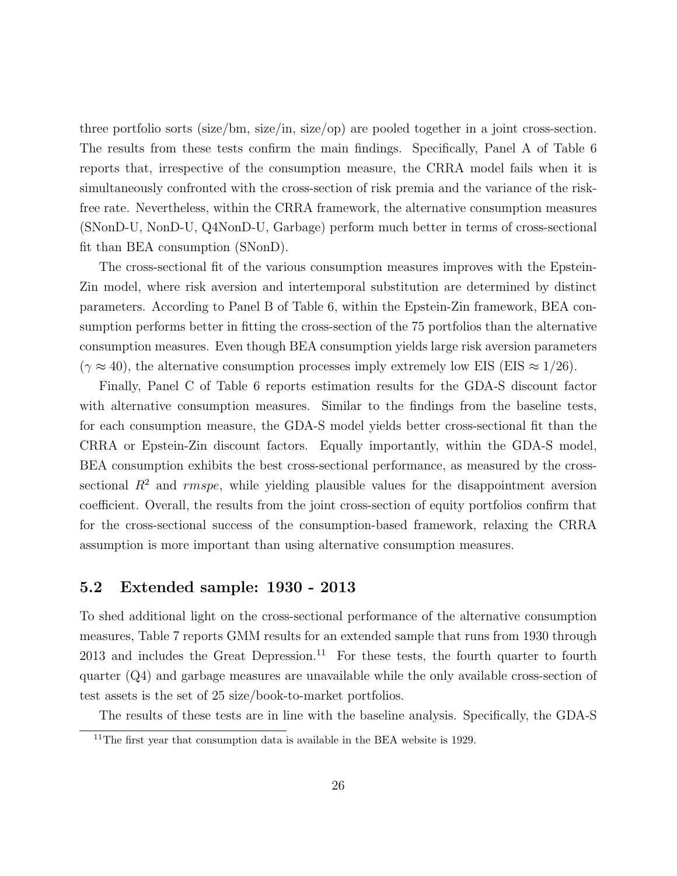three portfolio sorts (size/bm, size/in, size/op) are pooled together in a joint cross-section. The results from these tests confirm the main findings. Specifically, Panel A of Table 6 reports that, irrespective of the consumption measure, the CRRA model fails when it is simultaneously confronted with the cross-section of risk premia and the variance of the riskfree rate. Nevertheless, within the CRRA framework, the alternative consumption measures (SNonD-U, NonD-U, Q4NonD-U, Garbage) perform much better in terms of cross-sectional fit than BEA consumption (SNonD).

The cross-sectional fit of the various consumption measures improves with the Epstein-Zin model, where risk aversion and intertemporal substitution are determined by distinct parameters. According to Panel B of Table 6, within the Epstein-Zin framework, BEA consumption performs better in fitting the cross-section of the 75 portfolios than the alternative consumption measures. Even though BEA consumption yields large risk aversion parameters  $(\gamma \approx 40)$ , the alternative consumption processes imply extremely low EIS (EIS  $\approx 1/26$ ).

Finally, Panel C of Table 6 reports estimation results for the GDA-S discount factor with alternative consumption measures. Similar to the findings from the baseline tests, for each consumption measure, the GDA-S model yields better cross-sectional fit than the CRRA or Epstein-Zin discount factors. Equally importantly, within the GDA-S model, BEA consumption exhibits the best cross-sectional performance, as measured by the crosssectional  $R^2$  and *rmspe*, while yielding plausible values for the disappointment aversion coefficient. Overall, the results from the joint cross-section of equity portfolios confirm that for the cross-sectional success of the consumption-based framework, relaxing the CRRA assumption is more important than using alternative consumption measures.

#### 5.2 Extended sample: 1930 - 2013

To shed additional light on the cross-sectional performance of the alternative consumption measures, Table 7 reports GMM results for an extended sample that runs from 1930 through  $2013$  and includes the Great Depression.<sup>11</sup> For these tests, the fourth quarter to fourth quarter (Q4) and garbage measures are unavailable while the only available cross-section of test assets is the set of 25 size/book-to-market portfolios.

The results of these tests are in line with the baseline analysis. Specifically, the GDA-S

<sup>&</sup>lt;sup>11</sup>The first year that consumption data is available in the BEA website is 1929.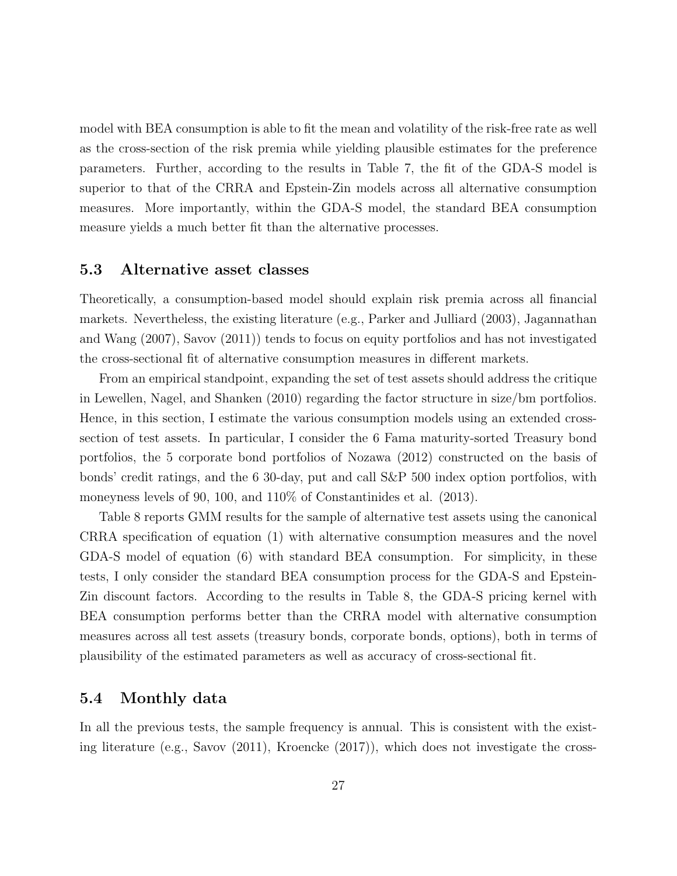model with BEA consumption is able to fit the mean and volatility of the risk-free rate as well as the cross-section of the risk premia while yielding plausible estimates for the preference parameters. Further, according to the results in Table 7, the fit of the GDA-S model is superior to that of the CRRA and Epstein-Zin models across all alternative consumption measures. More importantly, within the GDA-S model, the standard BEA consumption measure yields a much better fit than the alternative processes.

### 5.3 Alternative asset classes

Theoretically, a consumption-based model should explain risk premia across all financial markets. Nevertheless, the existing literature (e.g., Parker and Julliard (2003), Jagannathan and Wang (2007), Savov (2011)) tends to focus on equity portfolios and has not investigated the cross-sectional fit of alternative consumption measures in different markets.

From an empirical standpoint, expanding the set of test assets should address the critique in Lewellen, Nagel, and Shanken (2010) regarding the factor structure in size/bm portfolios. Hence, in this section, I estimate the various consumption models using an extended crosssection of test assets. In particular, I consider the 6 Fama maturity-sorted Treasury bond portfolios, the 5 corporate bond portfolios of Nozawa (2012) constructed on the basis of bonds' credit ratings, and the 6 30-day, put and call S&P 500 index option portfolios, with moneyness levels of 90, 100, and 110% of Constantinides et al. (2013).

Table 8 reports GMM results for the sample of alternative test assets using the canonical CRRA specification of equation (1) with alternative consumption measures and the novel GDA-S model of equation (6) with standard BEA consumption. For simplicity, in these tests, I only consider the standard BEA consumption process for the GDA-S and Epstein-Zin discount factors. According to the results in Table 8, the GDA-S pricing kernel with BEA consumption performs better than the CRRA model with alternative consumption measures across all test assets (treasury bonds, corporate bonds, options), both in terms of plausibility of the estimated parameters as well as accuracy of cross-sectional fit.

### 5.4 Monthly data

In all the previous tests, the sample frequency is annual. This is consistent with the existing literature (e.g., Savov (2011), Kroencke (2017)), which does not investigate the cross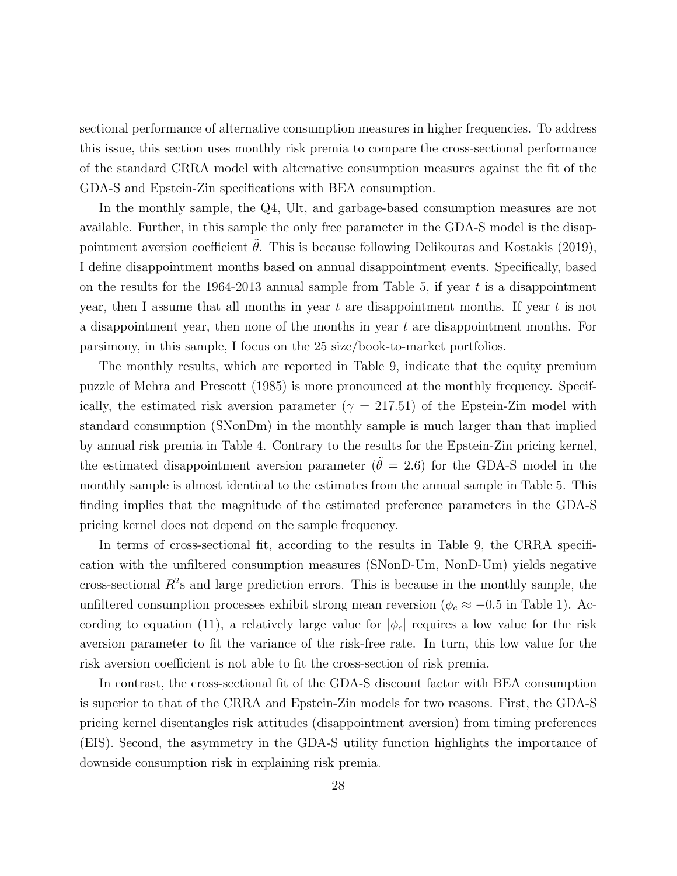sectional performance of alternative consumption measures in higher frequencies. To address this issue, this section uses monthly risk premia to compare the cross-sectional performance of the standard CRRA model with alternative consumption measures against the fit of the GDA-S and Epstein-Zin specifications with BEA consumption.

In the monthly sample, the Q4, Ult, and garbage-based consumption measures are not available. Further, in this sample the only free parameter in the GDA-S model is the disappointment aversion coefficient  $\theta$ . This is because following Delikouras and Kostakis (2019), I define disappointment months based on annual disappointment events. Specifically, based on the results for the 1964-2013 annual sample from Table 5, if year  $t$  is a disappointment year, then I assume that all months in year t are disappointment months. If year t is not a disappointment year, then none of the months in year  $t$  are disappointment months. For parsimony, in this sample, I focus on the 25 size/book-to-market portfolios.

The monthly results, which are reported in Table 9, indicate that the equity premium puzzle of Mehra and Prescott (1985) is more pronounced at the monthly frequency. Specifically, the estimated risk aversion parameter ( $\gamma = 217.51$ ) of the Epstein-Zin model with standard consumption (SNonDm) in the monthly sample is much larger than that implied by annual risk premia in Table 4. Contrary to the results for the Epstein-Zin pricing kernel, the estimated disappointment aversion parameter ( $\tilde{\theta} = 2.6$ ) for the GDA-S model in the monthly sample is almost identical to the estimates from the annual sample in Table 5. This finding implies that the magnitude of the estimated preference parameters in the GDA-S pricing kernel does not depend on the sample frequency.

In terms of cross-sectional fit, according to the results in Table 9, the CRRA specification with the unfiltered consumption measures (SNonD-Um, NonD-Um) yields negative cross-sectional  $R<sup>2</sup>$ s and large prediction errors. This is because in the monthly sample, the unfiltered consumption processes exhibit strong mean reversion ( $\phi_c \approx -0.5$  in Table 1). According to equation (11), a relatively large value for  $|\phi_c|$  requires a low value for the risk aversion parameter to fit the variance of the risk-free rate. In turn, this low value for the risk aversion coefficient is not able to fit the cross-section of risk premia.

In contrast, the cross-sectional fit of the GDA-S discount factor with BEA consumption is superior to that of the CRRA and Epstein-Zin models for two reasons. First, the GDA-S pricing kernel disentangles risk attitudes (disappointment aversion) from timing preferences (EIS). Second, the asymmetry in the GDA-S utility function highlights the importance of downside consumption risk in explaining risk premia.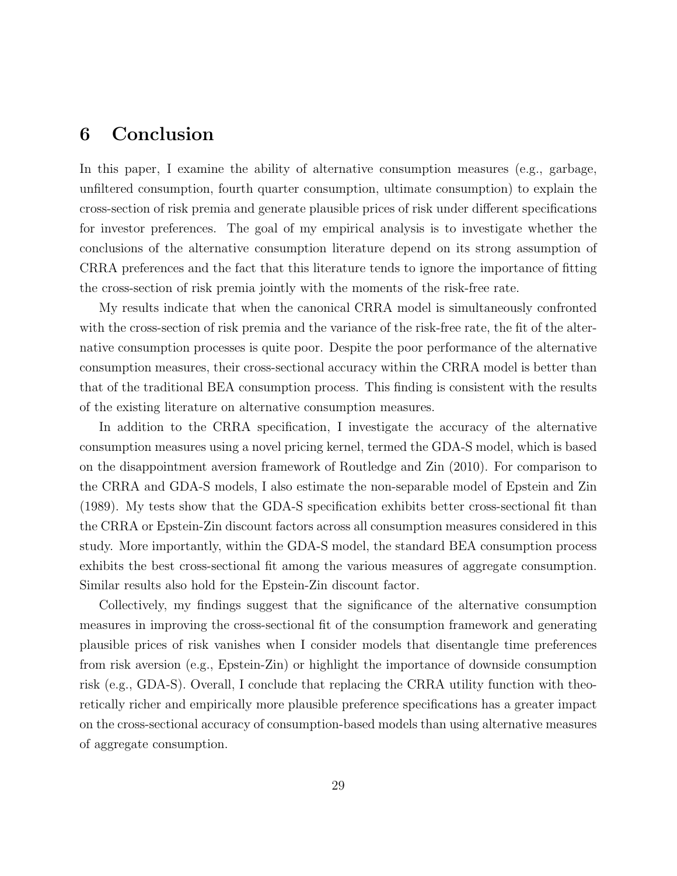## 6 Conclusion

In this paper, I examine the ability of alternative consumption measures (e.g., garbage, unfiltered consumption, fourth quarter consumption, ultimate consumption) to explain the cross-section of risk premia and generate plausible prices of risk under different specifications for investor preferences. The goal of my empirical analysis is to investigate whether the conclusions of the alternative consumption literature depend on its strong assumption of CRRA preferences and the fact that this literature tends to ignore the importance of fitting the cross-section of risk premia jointly with the moments of the risk-free rate.

My results indicate that when the canonical CRRA model is simultaneously confronted with the cross-section of risk premia and the variance of the risk-free rate, the fit of the alternative consumption processes is quite poor. Despite the poor performance of the alternative consumption measures, their cross-sectional accuracy within the CRRA model is better than that of the traditional BEA consumption process. This finding is consistent with the results of the existing literature on alternative consumption measures.

In addition to the CRRA specification, I investigate the accuracy of the alternative consumption measures using a novel pricing kernel, termed the GDA-S model, which is based on the disappointment aversion framework of Routledge and Zin (2010). For comparison to the CRRA and GDA-S models, I also estimate the non-separable model of Epstein and Zin (1989). My tests show that the GDA-S specification exhibits better cross-sectional fit than the CRRA or Epstein-Zin discount factors across all consumption measures considered in this study. More importantly, within the GDA-S model, the standard BEA consumption process exhibits the best cross-sectional fit among the various measures of aggregate consumption. Similar results also hold for the Epstein-Zin discount factor.

Collectively, my findings suggest that the significance of the alternative consumption measures in improving the cross-sectional fit of the consumption framework and generating plausible prices of risk vanishes when I consider models that disentangle time preferences from risk aversion (e.g., Epstein-Zin) or highlight the importance of downside consumption risk (e.g., GDA-S). Overall, I conclude that replacing the CRRA utility function with theoretically richer and empirically more plausible preference specifications has a greater impact on the cross-sectional accuracy of consumption-based models than using alternative measures of aggregate consumption.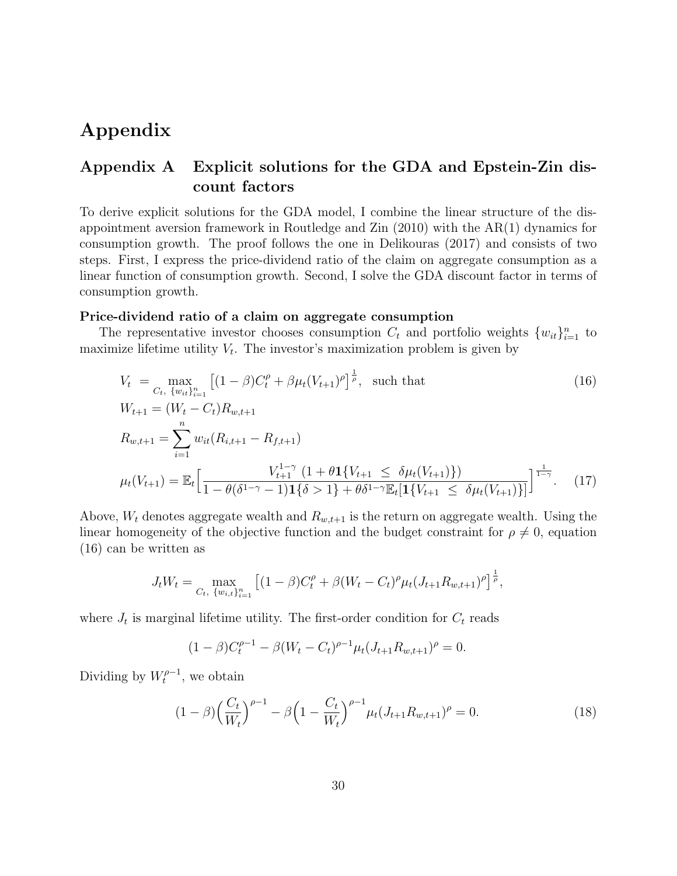# Appendix

### Appendix A Explicit solutions for the GDA and Epstein-Zin discount factors

To derive explicit solutions for the GDA model, I combine the linear structure of the disappointment aversion framework in Routledge and Zin (2010) with the AR(1) dynamics for consumption growth. The proof follows the one in Delikouras (2017) and consists of two steps. First, I express the price-dividend ratio of the claim on aggregate consumption as a linear function of consumption growth. Second, I solve the GDA discount factor in terms of consumption growth.

#### Price-dividend ratio of a claim on aggregate consumption

The representative investor chooses consumption  $C_t$  and portfolio weights  $\{w_{it}\}_{i=1}^n$  to maximize lifetime utility  $V_t$ . The investor's maximization problem is given by

$$
V_t = \max_{C_t, \{w_{it}\}_{i=1}^n} \left[ (1 - \beta)C_t^{\rho} + \beta \mu_t (V_{t+1})^{\rho} \right]^{\frac{1}{\rho}}, \text{ such that}
$$
\n
$$
W_{t+1} = (W_t - C_t)R_{w,t+1}
$$
\n
$$
R_{w,t+1} = \sum_{i=1}^n w_{it}(R_{i,t+1} - R_{f,t+1})
$$
\n
$$
\mu_t(V_{t+1}) = \mathbb{E}_t \left[ \frac{V_{t+1}^{1-\gamma} (1 + \theta \mathbf{1} \{ V_{t+1} \le \delta \mu_t (V_{t+1}) \})}{1 - \theta(\delta^{1-\gamma} - 1) \mathbf{1} \{\delta > 1\} + \theta \delta^{1-\gamma} \mathbb{E}_t [\mathbf{1} \{ V_{t+1} \le \delta \mu_t (V_{t+1}) \}] \right]^{\frac{1}{1-\gamma}}.
$$
\n(17)

Above,  $W_t$  denotes aggregate wealth and  $R_{w,t+1}$  is the return on aggregate wealth. Using the linear homogeneity of the objective function and the budget constraint for  $\rho \neq 0$ , equation (16) can be written as

$$
J_t W_t = \max_{C_t, \{w_{i,t}\}_{i=1}^n} \left[ (1-\beta)C_t^{\rho} + \beta (W_t - C_t)^{\rho} \mu_t (J_{t+1} R_{w,t+1})^{\rho} \right]^{\frac{1}{\rho}},
$$

where  $J_t$  is marginal lifetime utility. The first-order condition for  $C_t$  reads

$$
(1 - \beta)C_t^{\rho - 1} - \beta(W_t - C_t)^{\rho - 1}\mu_t(J_{t+1}R_{w,t+1})^{\rho} = 0.
$$

Dividing by  $W_t^{\rho-1}$  $t^{p-1}$ , we obtain

$$
(1 - \beta) \left(\frac{C_t}{W_t}\right)^{\rho - 1} - \beta \left(1 - \frac{C_t}{W_t}\right)^{\rho - 1} \mu_t (J_{t+1} R_{w, t+1})^\rho = 0. \tag{18}
$$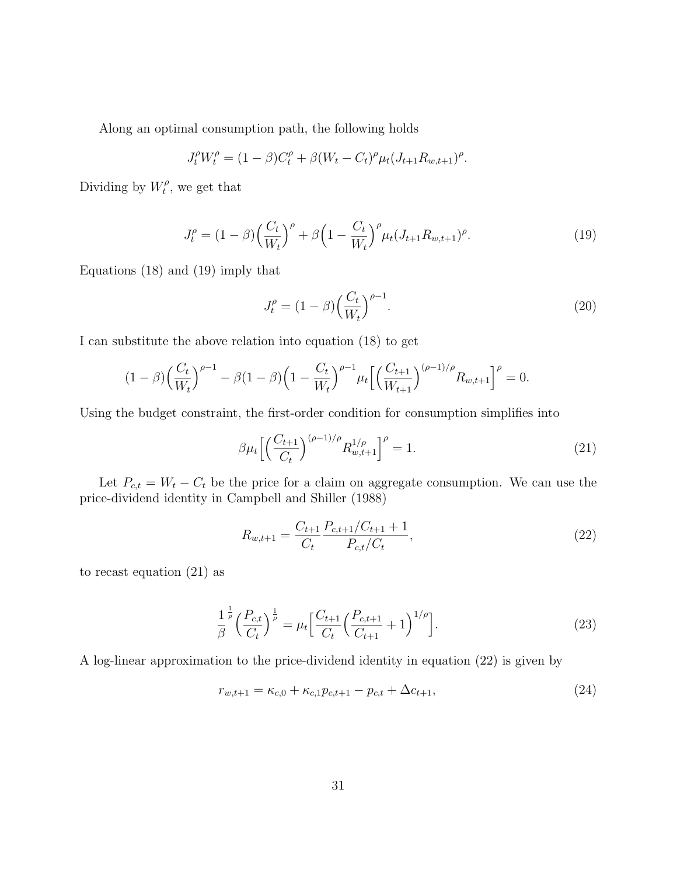Along an optimal consumption path, the following holds

$$
J_t^{\rho} W_t^{\rho} = (1 - \beta)C_t^{\rho} + \beta (W_t - C_t)^{\rho} \mu_t (J_{t+1} R_{w,t+1})^{\rho}.
$$

Dividing by  $W_t^{\rho}$  $t^{\rho}$ , we get that

$$
J_t^{\rho} = (1 - \beta) \left(\frac{C_t}{W_t}\right)^{\rho} + \beta \left(1 - \frac{C_t}{W_t}\right)^{\rho} \mu_t (J_{t+1} R_{w,t+1})^{\rho}.
$$
 (19)

Equations (18) and (19) imply that

$$
J_t^{\rho} = (1 - \beta) \left(\frac{C_t}{W_t}\right)^{\rho - 1}.
$$
\n(20)

I can substitute the above relation into equation (18) to get

$$
(1-\beta)\left(\frac{C_t}{W_t}\right)^{\rho-1} - \beta(1-\beta)\left(1 - \frac{C_t}{W_t}\right)^{\rho-1} \mu_t \left[\left(\frac{C_{t+1}}{W_{t+1}}\right)^{(\rho-1)/\rho} R_{w,t+1}\right]^\rho = 0.
$$

Using the budget constraint, the first-order condition for consumption simplifies into

$$
\beta \mu_t \left[ \left( \frac{C_{t+1}}{C_t} \right)^{(\rho - 1)/\rho} R_{w, t+1}^{1/\rho} \right]^\rho = 1. \tag{21}
$$

Let  $P_{c,t} = W_t - C_t$  be the price for a claim on aggregate consumption. We can use the price-dividend identity in Campbell and Shiller (1988)

$$
R_{w,t+1} = \frac{C_{t+1}}{C_t} \frac{P_{c,t+1}/C_{t+1} + 1}{P_{c,t}/C_t},
$$
\n(22)

to recast equation (21) as

$$
\frac{1}{\beta}^{\frac{1}{\rho}} \left(\frac{P_{c,t}}{C_t}\right)^{\frac{1}{\rho}} = \mu_t \left[\frac{C_{t+1}}{C_t} \left(\frac{P_{c,t+1}}{C_{t+1}} + 1\right)^{1/\rho}\right].
$$
\n(23)

A log-linear approximation to the price-dividend identity in equation (22) is given by

$$
r_{w,t+1} = \kappa_{c,0} + \kappa_{c,1} p_{c,t+1} - p_{c,t} + \Delta c_{t+1},
$$
\n(24)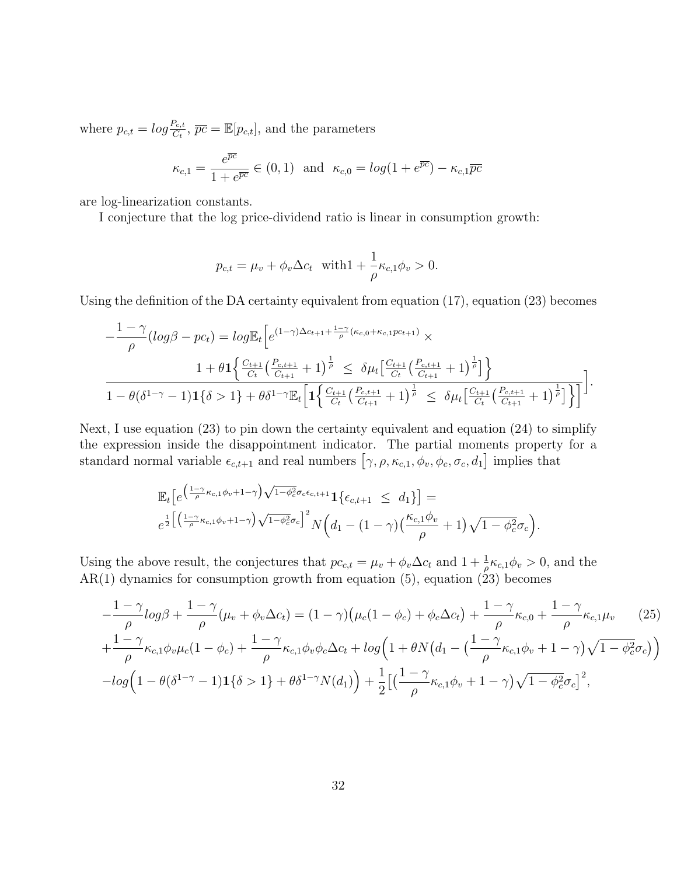where  $p_{c,t} = log \frac{P_{c,t}}{C_t}$ ,  $\overline{pc} = \mathbb{E}[p_{c,t}]$ , and the parameters

$$
\kappa_{c,1} = \frac{e^{\overline{pc}}}{1 + e^{\overline{pc}}} \in (0,1) \text{ and } \kappa_{c,0} = \log(1 + e^{\overline{pc}}) - \kappa_{c,1}\overline{pc}
$$

are log-linearization constants.

I conjecture that the log price-dividend ratio is linear in consumption growth:

$$
p_{c,t} = \mu_v + \phi_v \Delta c_t \quad \text{with} \quad 1 + \frac{1}{\rho} \kappa_{c,1} \phi_v > 0.
$$

Using the definition of the DA certainty equivalent from equation  $(17)$ , equation  $(23)$  becomes

$$
-\frac{1-\gamma}{\rho}(\log \beta - pc_t) = \log \mathbb{E}_t \Big[ e^{(1-\gamma)\Delta c_{t+1} + \frac{1-\gamma}{\rho}(\kappa_{c,0} + \kappa_{c,1}pc_{t+1})} \times
$$
  

$$
\frac{1+\theta \mathbf{1} \Big\{ \frac{C_{t+1}}{C_t} \Big( \frac{P_{c,t+1}}{C_{t+1}} + 1 \Big)^{\frac{1}{\rho}} \Big\} \leq \delta \mu_t \Big[ \frac{C_{t+1}}{C_t} \Big( \frac{P_{c,t+1}}{C_{t+1}} + 1 \Big)^{\frac{1}{\rho}} \Big] \Big\}}{1-\theta(\delta^{1-\gamma}-1) \mathbf{1} \{\delta > 1\} + \theta \delta^{1-\gamma} \mathbb{E}_t \Big[ \mathbf{1} \Big\{ \frac{C_{t+1}}{C_t} \Big( \frac{P_{c,t+1}}{C_{t+1}} + 1 \Big)^{\frac{1}{\rho}} \Big\} \leq \delta \mu_t \Big[ \frac{C_{t+1}}{C_t} \Big( \frac{P_{c,t+1}}{C_{t+1}} + 1 \Big)^{\frac{1}{\rho}} \Big] \Big\} \Big].
$$

Next, I use equation (23) to pin down the certainty equivalent and equation (24) to simplify the expression inside the disappointment indicator. The partial moments property for a standard normal variable  $\epsilon_{c,t+1}$  and real numbers  $[\gamma, \rho, \kappa_{c,1}, \phi_v, \phi_c, \sigma_c, d_1]$  implies that

$$
\mathbb{E}_t \big[ e^{\left(\frac{1-\gamma}{\rho} \kappa_{c,1}\phi_v + 1 - \gamma\right) \sqrt{1-\phi_c^2} \sigma_c \epsilon_{c,t+1}} \mathbf{1}\left\{\epsilon_{c,t+1} \leq d_1\right\} \big] =
$$
  

$$
e^{\frac{1}{2}\left[ \left(\frac{1-\gamma}{\rho} \kappa_{c,1}\phi_v + 1 - \gamma\right) \sqrt{1-\phi_c^2} \sigma_c \right]^2} N\left(d_1 - (1-\gamma)\left(\frac{\kappa_{c,1}\phi_v}{\rho} + 1\right) \sqrt{1-\phi_c^2} \sigma_c\right).
$$

Using the above result, the conjectures that  $pc_{c,t} = \mu_v + \phi_v \Delta c_t$  and  $1 + \frac{1}{\rho} \kappa_{c,1} \phi_v > 0$ , and the  $AR(1)$  dynamics for consumption growth from equation (5), equation (23) becomes

$$
-\frac{1-\gamma}{\rho}\log\beta + \frac{1-\gamma}{\rho}(\mu_v + \phi_v \Delta c_t) = (1-\gamma)\big(\mu_c(1-\phi_c) + \phi_c \Delta c_t\big) + \frac{1-\gamma}{\rho}\kappa_{c,0} + \frac{1-\gamma}{\rho}\kappa_{c,1}\mu_v \qquad (25)
$$
  
+ 
$$
\frac{1-\gamma}{\rho}\kappa_{c,1}\phi_v\mu_c(1-\phi_c) + \frac{1-\gamma}{\rho}\kappa_{c,1}\phi_v\phi_c\Delta c_t + \log\Big(1+\theta N\big(d_1 - \big(\frac{1-\gamma}{\rho}\kappa_{c,1}\phi_v + 1-\gamma\big)\sqrt{1-\phi_c^2}\sigma_c\big)\Big)
$$

$$
-\log\Big(1-\theta(\delta^{1-\gamma}-1)\mathbf{1}\{\delta > 1\} + \theta\delta^{1-\gamma}N(d_1)\Big) + \frac{1}{2}\Big[\big(\frac{1-\gamma}{\rho}\kappa_{c,1}\phi_v + 1-\gamma\big)\sqrt{1-\phi_c^2}\sigma_c\Big]^2,
$$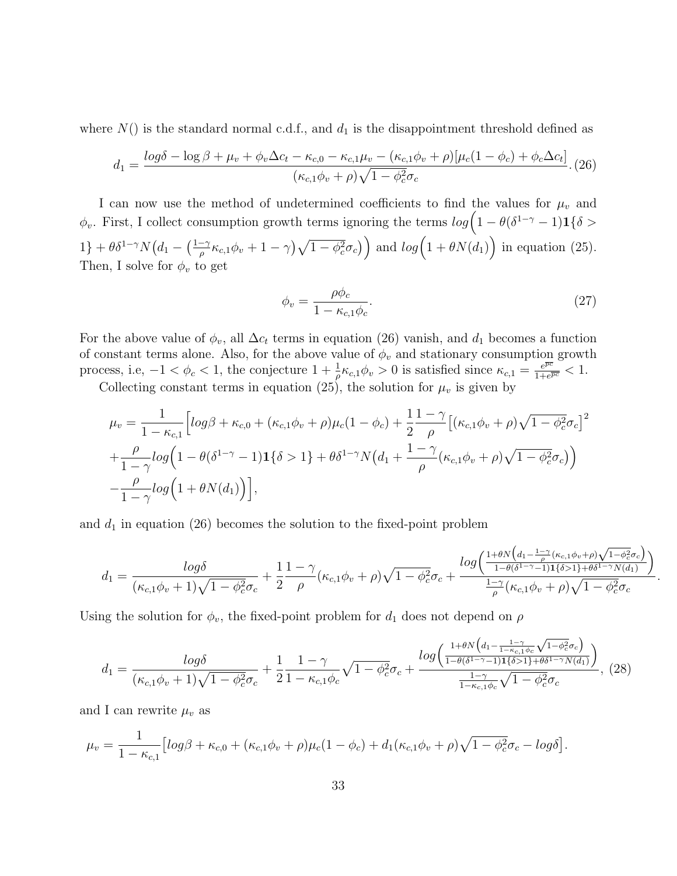where  $N()$  is the standard normal c.d.f., and  $d_1$  is the disappointment threshold defined as

$$
d_1 = \frac{\log \delta - \log \beta + \mu_v + \phi_v \Delta c_t - \kappa_{c,0} - \kappa_{c,1} \mu_v - (\kappa_{c,1} \phi_v + \rho) [\mu_c (1 - \phi_c) + \phi_c \Delta c_t]}{(\kappa_{c,1} \phi_v + \rho) \sqrt{1 - \phi_c^2} \sigma_c}.
$$
 (26)

I can now use the method of undetermined coefficients to find the values for  $\mu_v$  and  $\phi_v$ . First, I collect consumption growth terms ignoring the terms  $log(1 - \theta(\delta^{1-\gamma} - 1)1\{\delta >$  $1\} + \theta \delta^{1-\gamma} N\left(d_1 - \left(\frac{1-\gamma}{\rho}\right)\right)$  $\frac{1}{\rho} \left( \kappa_{c,1} \phi_v + 1 - \gamma \right) \sqrt{1 - \phi_c^2} \sigma_c$ ) and  $log(1 + \theta N(d_1))$  in equation (25). Then, I solve for  $\phi_v$  to get

$$
\phi_v = \frac{\rho \phi_c}{1 - \kappa_{c,1} \phi_c}.\tag{27}
$$

.

For the above value of  $\phi_v$ , all  $\Delta c_t$  terms in equation (26) vanish, and  $d_1$  becomes a function of constant terms alone. Also, for the above value of  $\phi_v$  and stationary consumption growth process, i.e,  $-1 < \phi_c < 1$ , the conjecture  $1 + \frac{1}{\rho} \kappa_{c,1} \phi_v > 0$  is satisfied since  $\kappa_{c,1} = \frac{e^{\overline{pc}}}{1 + e^{\overline{p}}}}$  $\frac{e^{pc}}{1+e^{\overline{pc}}} < 1.$ 

Collecting constant terms in equation (25), the solution for  $\mu_v$  is given by

$$
\mu_v = \frac{1}{1 - \kappa_{c,1}} \Big[ \log \beta + \kappa_{c,0} + (\kappa_{c,1} \phi_v + \rho) \mu_c (1 - \phi_c) + \frac{1}{2} \frac{1 - \gamma}{\rho} \Big[ (\kappa_{c,1} \phi_v + \rho) \sqrt{1 - \phi_c^2} \sigma_c \Big]^2
$$
  
+ 
$$
\frac{\rho}{1 - \gamma} \log \Big( 1 - \theta (\delta^{1 - \gamma} - 1) \mathbf{1} \{ \delta > 1 \} + \theta \delta^{1 - \gamma} N \Big( d_1 + \frac{1 - \gamma}{\rho} (\kappa_{c,1} \phi_v + \rho) \sqrt{1 - \phi_c^2} \sigma_c \Big) \Big)
$$
  
- 
$$
\frac{\rho}{1 - \gamma} \log \Big( 1 + \theta N(d_1) \Big) \Big],
$$

and  $d_1$  in equation (26) becomes the solution to the fixed-point problem

$$
d_1 = \frac{\log \delta}{(\kappa_{c,1}\phi_v+1)\sqrt{1-\phi_c^2}\sigma_c} + \frac{1}{2}\frac{1-\gamma}{\rho}(\kappa_{c,1}\phi_v+\rho)\sqrt{1-\phi_c^2}\sigma_c + \frac{\log\left(\frac{1+\theta N\left(d_1-\frac{1-\gamma}{\rho}(\kappa_{c,1}\phi_v+\rho)\sqrt{1-\phi_c^2}\sigma_c\right)}{1-\theta(\delta^{1-\gamma}-1)1\{\delta > 1\}+\theta\delta^{1-\gamma}N(d_1)}\right)}{\frac{1-\gamma}{\rho}(\kappa_{c,1}\phi_v+\rho)\sqrt{1-\phi_c^2}\sigma_c}
$$

Using the solution for  $\phi_v$ , the fixed-point problem for  $d_1$  does not depend on  $\rho$ 

$$
d_{1} = \frac{\log\delta}{(\kappa_{c,1}\phi_{v}+1)\sqrt{1-\phi_{c}^{2}}\sigma_{c}} + \frac{1}{2}\frac{1-\gamma}{1-\kappa_{c,1}\phi_{c}}\sqrt{1-\phi_{c}^{2}}\sigma_{c} + \frac{\log\left(\frac{1+\theta N\left(d_{1}-\frac{1-\gamma}{1-\kappa_{c,1}\phi_{c}}\sqrt{1-\phi_{c}^{2}}\sigma_{c}\right)}{1-\theta(\delta^{1-\gamma}-1)1\{\delta>1\}+\theta\delta^{1-\gamma}N(d_{1})}\right)}{\frac{1-\gamma}{1-\kappa_{c,1}\phi_{c}}\sqrt{1-\phi_{c}^{2}}\sigma_{c}},
$$
(28)

and I can rewrite  $\mu_v$  as

$$
\mu_v = \frac{1}{1 - \kappa_{c,1}} \left[ log\beta + \kappa_{c,0} + (\kappa_{c,1}\phi_v + \rho)\mu_c (1 - \phi_c) + d_1(\kappa_{c,1}\phi_v + \rho)\sqrt{1 - \phi_c^2}\sigma_c - log\delta \right].
$$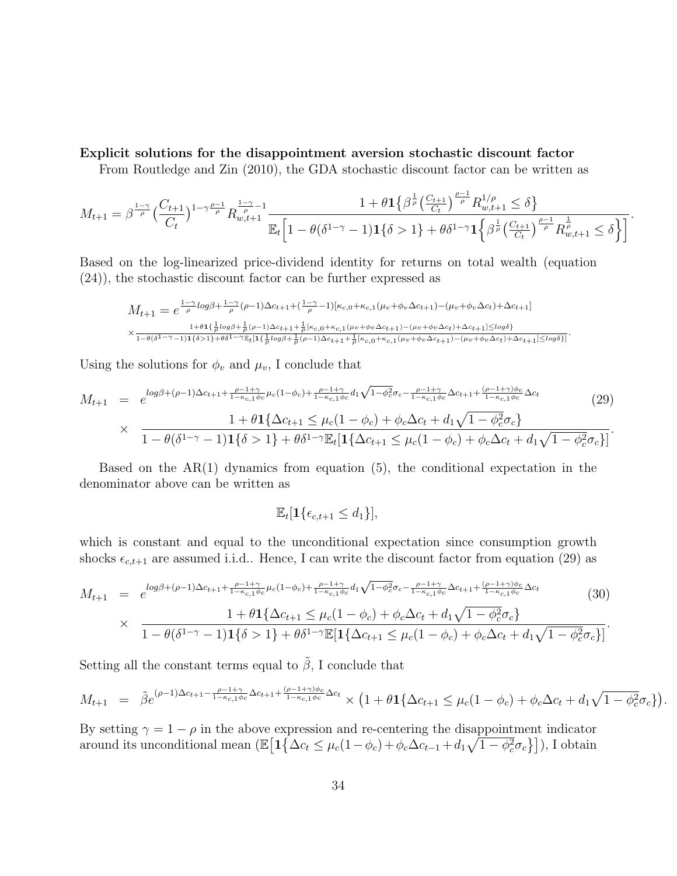#### Explicit solutions for the disappointment aversion stochastic discount factor

From Routledge and Zin (2010), the GDA stochastic discount factor can be written as

$$
M_{t+1} = \beta^{\frac{1-\gamma}{\rho}} \left(\frac{C_{t+1}}{C_t}\right)^{1-\gamma\frac{\rho-1}{\rho}} R_{w,t+1}^{\frac{1-\gamma}{\rho}-1} \frac{1+\theta \mathbf{1}\left\{\beta^{\frac{1}{\rho}}\left(\frac{C_{t+1}}{C_t}\right)^{\frac{\rho-1}{\rho}} R_{w,t+1}^{1/\rho} \le \delta\right\}}{\mathbb{E}_t \left[1-\theta(\delta^{1-\gamma}-1)\mathbf{1}\left\{\delta > 1\right\} + \theta \delta^{1-\gamma} \mathbf{1}\left\{\beta^{\frac{1}{\rho}}\left(\frac{C_{t+1}}{C_t}\right)^{\frac{\rho-1}{\rho}} R_{w,t+1}^{\frac{1}{\rho}} \le \delta\right\}\right]}.
$$

Based on the log-linearized price-dividend identity for returns on total wealth (equation (24)), the stochastic discount factor can be further expressed as

$$
M_{t+1} = e^{\frac{1-\gamma}{\rho} \log \beta + \frac{1-\gamma}{\rho} (\rho - 1) \Delta c_{t+1} + (\frac{1-\gamma}{\rho} - 1) [\kappa_{c,0} + \kappa_{c,1} (\mu_v + \phi_v \Delta c_{t+1}) - (\mu_v + \phi_v \Delta c_t) + \Delta c_{t+1}]}
$$
  
 
$$
\times \frac{1 + \theta \mathbf{1} {\frac{1}{\rho} \log \beta + \frac{1}{\rho} (\rho - 1) \Delta c_{t+1} + \frac{1}{\rho} [\kappa_{c,0} + \kappa_{c,1} (\mu_v + \phi_v \Delta c_{t+1}) - (\mu_v + \phi_v \Delta c_t) + \Delta c_{t+1}] \le \log \delta}}{1 - \theta (\delta^{1 - \gamma} - 1) \mathbf{1} {\frac{1}{\delta} \log \beta + \frac{1}{\rho} (\rho - 1) \Delta c_{t+1} + \frac{1}{\rho} [\kappa_{c,0} + \kappa_{c,1} (\mu_v + \phi_v \Delta c_{t+1}) - (\mu_v + \phi_v \Delta c_t) + \Delta c_{t+1}] \le \log \delta}]}.
$$

Using the solutions for  $\phi_v$  and  $\mu_v$ , I conclude that

$$
M_{t+1} = e^{\log\beta + (\rho-1)\Delta c_{t+1} + \frac{\rho-1+\gamma}{1-\kappa_{c,1}\phi_c}\mu_c(1-\phi_c) + \frac{\rho-1+\gamma}{1-\kappa_{c,1}\phi_c}d_1\sqrt{1-\phi_c^2}\sigma_c - \frac{\rho-1+\gamma}{1-\kappa_{c,1}\phi_c}\Delta c_{t+1} + \frac{(\rho-1+\gamma)\phi_c}{1-\kappa_{c,1}\phi_c}\Delta c_t}{1-\theta(\delta^{1-\gamma}-1)\mathbf{1}\{\delta>1\} + \theta\delta^{1-\gamma}\mathbb{E}_t[\mathbf{1}\{\Delta c_{t+1} \leq \mu_c(1-\phi_c) + \phi_c\Delta c_t + d_1\sqrt{1-\phi_c^2}\sigma_c\}]}\tag{29}
$$

Based on the  $AR(1)$  dynamics from equation  $(5)$ , the conditional expectation in the denominator above can be written as

$$
\mathbb{E}_t[\mathbf{1}\{\epsilon_{c,t+1} \leq d_1\}],
$$

which is constant and equal to the unconditional expectation since consumption growth shocks  $\epsilon_{c,t+1}$  are assumed i.i.d.. Hence, I can write the discount factor from equation (29) as

$$
M_{t+1} = e^{\log\beta + (\rho-1)\Delta c_{t+1} + \frac{\rho-1+\gamma}{1-\kappa_{c,1}\phi_c}\mu_c(1-\phi_c) + \frac{\rho-1+\gamma}{1-\kappa_{c,1}\phi_c}d_1\sqrt{1-\phi_c^2}\sigma_c - \frac{\rho-1+\gamma}{1-\kappa_{c,1}\phi_c}\Delta c_{t+1} + \frac{(\rho-1+\gamma)\phi_c}{1-\kappa_{c,1}\phi_c}\Delta c_t}{1-\theta(\delta^{1-\gamma}-1)\mathbf{1}\{\delta > 1\} + \theta\delta^{1-\gamma}\mathbb{E}[\mathbf{1}\{\Delta c_{t+1} \leq \mu_c(1-\phi_c) + \phi_c\Delta c_t + d_1\sqrt{1-\phi_c^2}\sigma_c\}]}\tag{30}
$$

Setting all the constant terms equal to  $\tilde{\beta}$ , I conclude that

$$
M_{t+1} = \tilde{\beta}e^{(\rho-1)\Delta c_{t+1} - \frac{\rho-1+\gamma}{1-\kappa_{c,1}\phi_c}\Delta c_{t+1} + \frac{(\rho-1+\gamma)\phi_c}{1-\kappa_{c,1}\phi_c}\Delta c_t} \times \left(1 + \theta \mathbf{1}\{\Delta c_{t+1} \leq \mu_c(1-\phi_c) + \phi_c\Delta c_t + d_1\sqrt{1-\phi_c^2}\sigma_c\}\right).
$$

By setting  $\gamma = 1 - \rho$  in the above expression and re-centering the disappointment indicator around its unconditional mean  $(\mathbb{E}\big[\mathbf{1}\big\{\Delta c_t \leq \mu_c(1-\phi_c) + \phi_c\Delta c_{t-1} + d_1\sqrt{1-\phi_c^2}\sigma_c\big\}\big],$  I obtain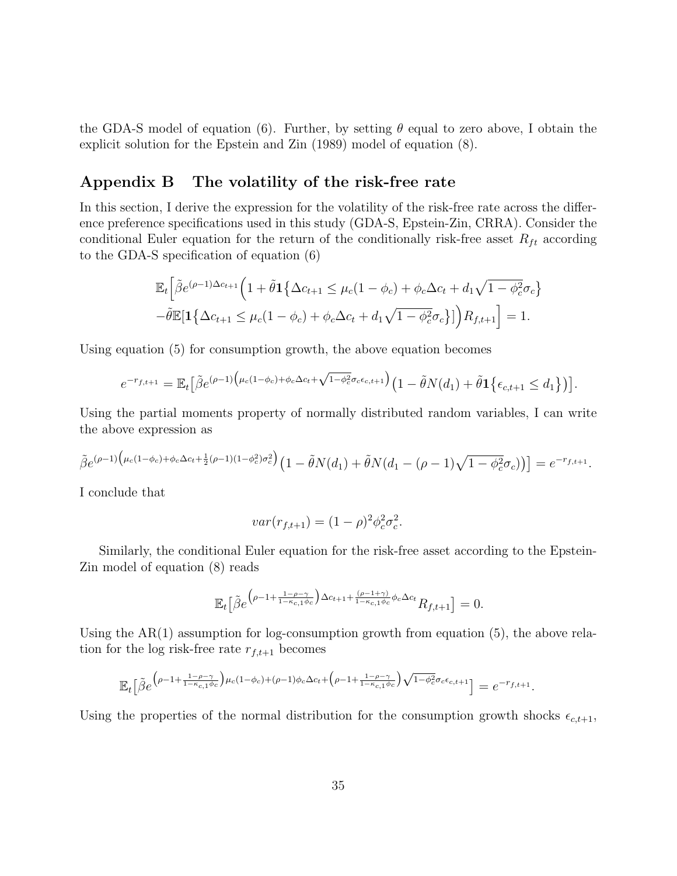the GDA-S model of equation (6). Further, by setting  $\theta$  equal to zero above, I obtain the explicit solution for the Epstein and Zin (1989) model of equation (8).

### Appendix B The volatility of the risk-free rate

In this section, I derive the expression for the volatility of the risk-free rate across the difference preference specifications used in this study (GDA-S, Epstein-Zin, CRRA). Consider the conditional Euler equation for the return of the conditionally risk-free asset  $R_{ft}$  according to the GDA-S specification of equation (6)

$$
\mathbb{E}_t \Big[ \tilde{\beta} e^{(\rho - 1)\Delta c_{t+1}} \Big( 1 + \tilde{\theta} \mathbf{1} \big\{ \Delta c_{t+1} \le \mu_c (1 - \phi_c) + \phi_c \Delta c_t + d_1 \sqrt{1 - \phi_c^2} \sigma_c \big\} - \tilde{\theta} \mathbb{E} [\mathbf{1} \big\{ \Delta c_{t+1} \le \mu_c (1 - \phi_c) + \phi_c \Delta c_t + d_1 \sqrt{1 - \phi_c^2} \sigma_c \big\} ] \Big) R_{f, t+1} \Big] = 1.
$$

Using equation (5) for consumption growth, the above equation becomes

$$
e^{-r_{f,t+1}} = \mathbb{E}_t\big[\tilde{\beta}e^{(\rho-1)\left(\mu_c(1-\phi_c)+\phi_c\Delta c_t+\sqrt{1-\phi_c^2}\sigma_c\epsilon_{c,t+1}\right)}\left(1-\tilde{\theta}N(d_1)+\tilde{\theta}\mathbf{1}\left\{\epsilon_{c,t+1}\leq d_1\right\}\right)\big].
$$

Using the partial moments property of normally distributed random variables, I can write the above expression as

$$
\tilde{\beta}e^{(\rho-1)\left(\mu_c(1-\phi_c)+\phi_c\Delta_{ct}+\frac{1}{2}(\rho-1)(1-\phi_c^2)\sigma_c^2\right)}\left(1-\tilde{\theta}N(d_1)+\tilde{\theta}N(d_1-(\rho-1)\sqrt{1-\phi_c^2}\sigma_c)\right)\right]=e^{-r_{f,t+1}}.
$$

I conclude that

$$
var(r_{f,t+1}) = (1 - \rho)^2 \phi_c^2 \sigma_c^2.
$$

Similarly, the conditional Euler equation for the risk-free asset according to the Epstein-Zin model of equation (8) reads

$$
\mathbb{E}_t\big[\tilde{\beta}e^{\big(\rho-1+\frac{1-\rho-\gamma}{1-\kappa_{c,1}\phi_c}\big)\Delta c_{t+1}+\frac{(\rho-1+\gamma)}{1-\kappa_{c,1}\phi_c}\phi_c\Delta c_t}R_{f,t+1}\big]=0.
$$

Using the  $AR(1)$  assumption for log-consumption growth from equation (5), the above relation for the log risk-free rate  $r_{f,t+1}$  becomes

$$
\mathbb{E}_t\big[\tilde{\beta}e^{\left(\rho-1+\frac{1-\rho-\gamma}{1-\kappa_{c,1}\phi_c}\right)\mu_c(1-\phi_c)+(\rho-1)\phi_c\Delta_{c_t}+\left(\rho-1+\frac{1-\rho-\gamma}{1-\kappa_{c,1}\phi_c}\right)\sqrt{1-\phi_c^2}\sigma_c\epsilon_{c,t+1}}\big] = e^{-r_{f,t+1}}.
$$

Using the properties of the normal distribution for the consumption growth shocks  $\epsilon_{c,t+1}$ ,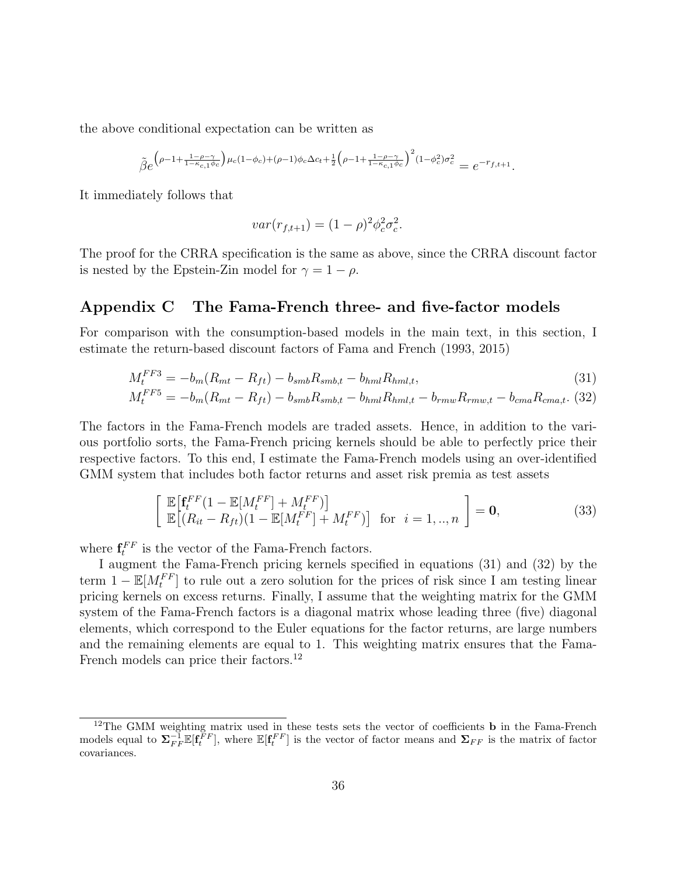the above conditional expectation can be written as

$$
\tilde{\beta}e^{\left(\rho-1+\frac{1-\rho-\gamma}{1-\kappa_{c,1}\phi_c}\right)\mu_c(1-\phi_c)+(\rho-1)\phi_c\Delta c_t+\frac{1}{2}\left(\rho-1+\frac{1-\rho-\gamma}{1-\kappa_{c,1}\phi_c}\right)^2(1-\phi_c^2)\sigma_c^2}=e^{-r_{f,t+1}}.
$$

It immediately follows that

$$
var(r_{f,t+1}) = (1 - \rho)^2 \phi_c^2 \sigma_c^2.
$$

The proof for the CRRA specification is the same as above, since the CRRA discount factor is nested by the Epstein-Zin model for  $\gamma = 1 - \rho$ .

#### Appendix C The Fama-French three- and five-factor models

For comparison with the consumption-based models in the main text, in this section, I estimate the return-based discount factors of Fama and French (1993, 2015)

$$
M_t^{FF3} = -b_m(R_{mt} - R_{ft}) - b_{smb}R_{smb,t} - b_{hml}R_{hml,t},
$$
\n(31)

$$
M_t^{FF5} = -b_m(R_{mt} - R_{ft}) - b_{smb}R_{smb,t} - b_{hml}R_{hml,t} - b_{rmw}R_{rmw,t} - b_{cma}R_{cma,t}.
$$
 (32)

The factors in the Fama-French models are traded assets. Hence, in addition to the various portfolio sorts, the Fama-French pricing kernels should be able to perfectly price their respective factors. To this end, I estimate the Fama-French models using an over-identified GMM system that includes both factor returns and asset risk premia as test assets

$$
\begin{bmatrix}\n\mathbb{E}\left[\mathbf{f}_t^{FF}(1-\mathbb{E}[M_t^{FF}] + M_t^{FF})\right] \\
\mathbb{E}\left[(R_{it} - R_{ft})(1-\mathbb{E}[M_t^{FF}] + M_t^{FF})\right] & \text{for } i = 1,..,n\n\end{bmatrix} = \mathbf{0},
$$
\n(33)

where  $\mathbf{f}_t^{FF}$  is the vector of the Fama-French factors.

I augment the Fama-French pricing kernels specified in equations (31) and (32) by the term  $1 - \mathbb{E}[M_t^{FF}]$  to rule out a zero solution for the prices of risk since I am testing linear pricing kernels on excess returns. Finally, I assume that the weighting matrix for the GMM system of the Fama-French factors is a diagonal matrix whose leading three (five) diagonal elements, which correspond to the Euler equations for the factor returns, are large numbers and the remaining elements are equal to 1. This weighting matrix ensures that the Fama-French models can price their factors.<sup>12</sup>

<sup>&</sup>lt;sup>12</sup>The GMM weighting matrix used in these tests sets the vector of coefficients **b** in the Fama-French models equal to  $\Sigma_{FF}^{-1}\mathbb{E}[\mathbf{f}_t^{FF}]$ , where  $\mathbb{E}[\mathbf{f}_t^{FF}]$  is the vector of factor means and  $\Sigma_{FF}$  is the matrix of factor covariances.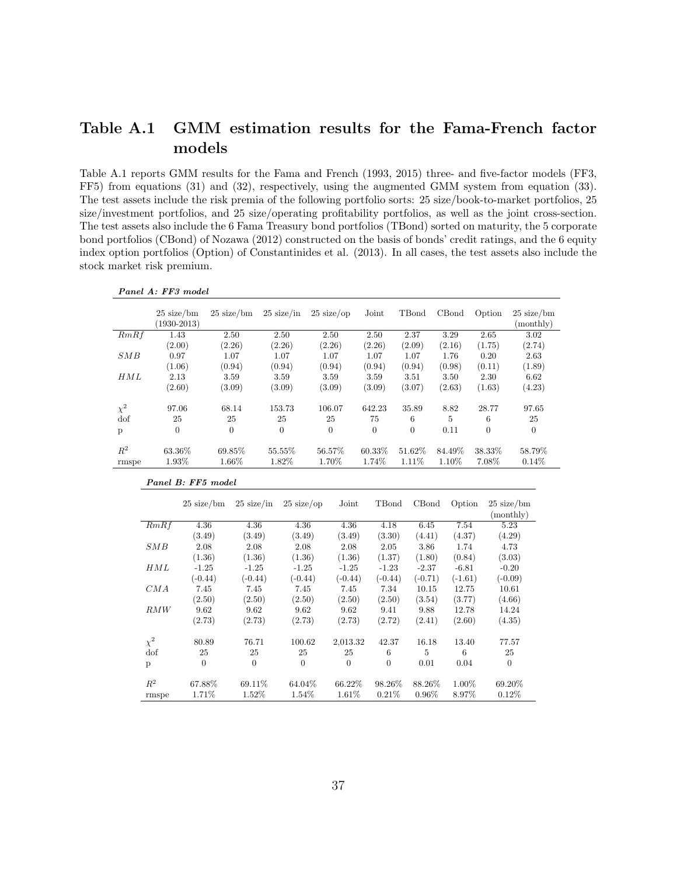## Table A.1 GMM estimation results for the Fama-French factor models

Table A.1 reports GMM results for the Fama and French (1993, 2015) three- and five-factor models (FF3, FF5) from equations (31) and (32), respectively, using the augmented GMM system from equation (33). The test assets include the risk premia of the following portfolio sorts: 25 size/book-to-market portfolios, 25 size/investment portfolios, and 25 size/operating profitability portfolios, as well as the joint cross-section. The test assets also include the 6 Fama Treasury bond portfolios (TBond) sorted on maturity, the 5 corporate bond portfolios (CBond) of Nozawa (2012) constructed on the basis of bonds' credit ratings, and the 6 equity index option portfolios (Option) of Constantinides et al. (2013). In all cases, the test assets also include the stock market risk premium.

|            | $25 \text{ size/bm}$<br>$(1930 - 2013)$ | $25 \text{ size/bm}$ | $25 \text{ size/in}$ | $25 \text{ size}$ /op | Joint    | TBond    | CBond  | Option   | $25 \text{ size/bm}$<br>(monthly) |
|------------|-----------------------------------------|----------------------|----------------------|-----------------------|----------|----------|--------|----------|-----------------------------------|
| RmRf       | 1.43                                    | 2.50                 | 2.50                 | 2.50                  | 2.50     | 2.37     | 3.29   | 2.65     | 3.02                              |
|            | (2.00)                                  | (2.26)               | (2.26)               | (2.26)                | (2.26)   | (2.09)   | (2.16) | (1.75)   | (2.74)                            |
| SMB        | 0.97                                    | 1.07                 | 1.07                 | 1.07                  | 1.07     | 1.07     | 1.76   | 0.20     | 2.63                              |
|            | (1.06)                                  | (0.94)               | (0.94)               | (0.94)                | (0.94)   | (0.94)   | (0.98) | (0.11)   | (1.89)                            |
| HML        | 2.13                                    | 3.59                 | 3.59                 | 3.59                  | 3.59     | 3.51     | 3.50   | 2.30     | 6.62                              |
|            | (2.60)                                  | (3.09)               | (3.09)               | (3.09)                | (3.09)   | (3.07)   | (2.63) | (1.63)   | (4.23)                            |
| $\chi^2$   | 97.06                                   | 68.14                | 153.73               | 106.07                | 642.23   | 35.89    | 8.82   | 28.77    | 97.65                             |
| $\rm{dof}$ | 25                                      | 25                   | 25                   | 25                    | 75       | 6        | 5      | 6        | 25                                |
| p          | $\overline{0}$                          | $\theta$             | $\theta$             | $\overline{0}$        | $\theta$ | $\theta$ | 0.11   | $\theta$ | $\boldsymbol{0}$                  |
| $R^2$      | 63.36%                                  | 69.85%               | 55.55%               | 56.57%                | 60.33%   | 51.62%   | 84.49% | 38.33%   | 58.79%                            |
| rmspe      | 1.93%                                   | 1.66%                | 1.82%                | 1.70%                 | 1.74%    | 1.11%    | 1.10%  | 7.08%    | 0.14%                             |

|  |  |  | Panel B: FF5 model |
|--|--|--|--------------------|
|--|--|--|--------------------|

Panel A: FF3 model

|            | $25 \text{ size/bm}$ | $25 \text{ size/in}$ | $25 \text{ size/op}$ | Joint     | TBond          | CBond        | Option    | $25 \text{ size/bm}$<br>(monthly) |
|------------|----------------------|----------------------|----------------------|-----------|----------------|--------------|-----------|-----------------------------------|
| RmRf       | 4.36                 | 4.36                 | 4.36                 | 4.36      | 4.18           | 6.45         | 7.54      | 5.23                              |
|            | (3.49)               | (3.49)               | (3.49)               | (3.49)    | (3.30)         | (4.41)       | (4.37)    | (4.29)                            |
| SMB        | 2.08                 | 2.08                 | 2.08                 | 2.08      | 2.05           | 3.86         | 1.74      | 4.73                              |
|            | (1.36)               | (1.36)               | (1.36)               | (1.36)    | (1.37)         | (1.80)       | (0.84)    | (3.03)                            |
| HML        | $-1.25$              | $-1.25$              | $-1.25$              | $-1.25$   | $-1.23$        | $-2.37$      | $-6.81$   | $-0.20$                           |
|            | $(-0.44)$            | $(-0.44)$            | $(-0.44)$            | $(-0.44)$ | $(-0.44)$      | $(-0.71)$    | $(-1.61)$ | $(-0.09)$                         |
| CMA        | 7.45                 | 7.45                 | 7.45                 | 7.45      | 7.34           | 10.15        | 12.75     | 10.61                             |
|            | (2.50)               | (2.50)               | (2.50)               | (2.50)    | (2.50)         | (3.54)       | (3.77)    | (4.66)                            |
| RMW        | 9.62                 | 9.62                 | 9.62                 | 9.62      | 9.41           | 9.88         | 12.78     | 14.24                             |
|            | (2.73)               | (2.73)               | (2.73)               | (2.73)    | (2.72)         | (2.41)       | (2.60)    | (4.35)                            |
| $\chi^2$   | 80.89                | 76.71                | 100.62               | 2,013.32  | 42.37          | 16.18        | 13.40     | 77.57                             |
| $\rm{dof}$ | 25                   | 25                   | 25                   | 25        | 6              | $\mathbf{5}$ | 6         | 25                                |
| p          | $\theta$             | $\theta$             | $\theta$             | $\theta$  | $\overline{0}$ | 0.01         | 0.04      | $\theta$                          |
| $R^2$      | 67.88%               | 69.11\%              | 64.04\%              | 66.22\%   | 98.26\%        | 88.26\%      | $1.00\%$  | 69.20%                            |
| rmspe      | 1.71%                | $1.52\%$             | 1.54%                | 1.61%     | 0.21%          | $0.96\%$     | 8.97%     | $0.12\%$                          |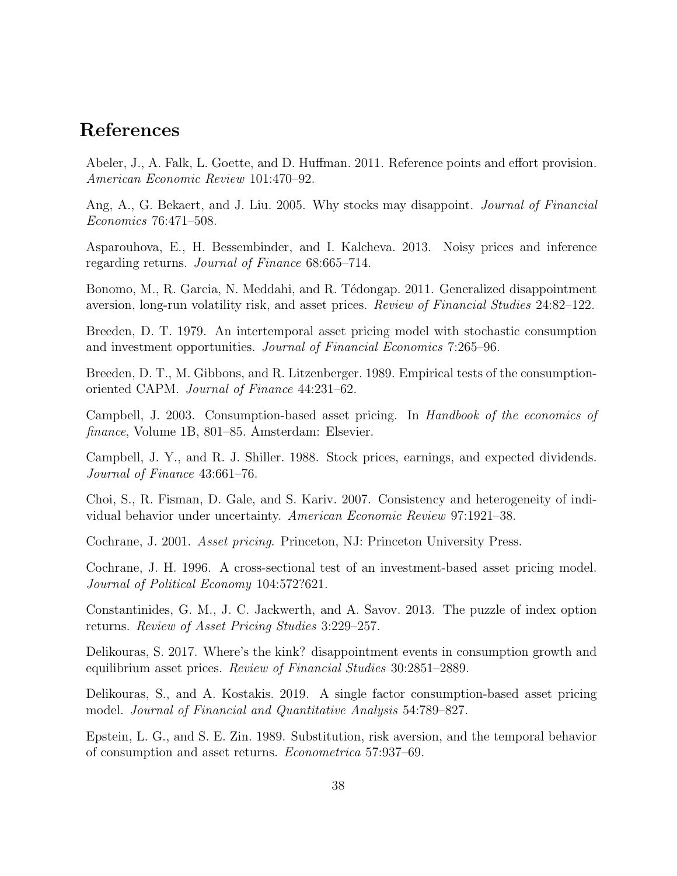# References

Abeler, J., A. Falk, L. Goette, and D. Huffman. 2011. Reference points and effort provision. American Economic Review 101:470–92.

Ang, A., G. Bekaert, and J. Liu. 2005. Why stocks may disappoint. Journal of Financial Economics 76:471–508.

Asparouhova, E., H. Bessembinder, and I. Kalcheva. 2013. Noisy prices and inference regarding returns. Journal of Finance 68:665–714.

Bonomo, M., R. Garcia, N. Meddahi, and R. Tédongap. 2011. Generalized disappointment aversion, long-run volatility risk, and asset prices. Review of Financial Studies 24:82–122.

Breeden, D. T. 1979. An intertemporal asset pricing model with stochastic consumption and investment opportunities. Journal of Financial Economics 7:265–96.

Breeden, D. T., M. Gibbons, and R. Litzenberger. 1989. Empirical tests of the consumptionoriented CAPM. Journal of Finance 44:231–62.

Campbell, J. 2003. Consumption-based asset pricing. In Handbook of the economics of finance, Volume 1B, 801–85. Amsterdam: Elsevier.

Campbell, J. Y., and R. J. Shiller. 1988. Stock prices, earnings, and expected dividends. Journal of Finance 43:661–76.

Choi, S., R. Fisman, D. Gale, and S. Kariv. 2007. Consistency and heterogeneity of individual behavior under uncertainty. American Economic Review 97:1921–38.

Cochrane, J. 2001. Asset pricing. Princeton, NJ: Princeton University Press.

Cochrane, J. H. 1996. A cross-sectional test of an investment-based asset pricing model. Journal of Political Economy 104:572?621.

Constantinides, G. M., J. C. Jackwerth, and A. Savov. 2013. The puzzle of index option returns. Review of Asset Pricing Studies 3:229–257.

Delikouras, S. 2017. Where's the kink? disappointment events in consumption growth and equilibrium asset prices. Review of Financial Studies 30:2851–2889.

Delikouras, S., and A. Kostakis. 2019. A single factor consumption-based asset pricing model. Journal of Financial and Quantitative Analysis 54:789–827.

Epstein, L. G., and S. E. Zin. 1989. Substitution, risk aversion, and the temporal behavior of consumption and asset returns. Econometrica 57:937–69.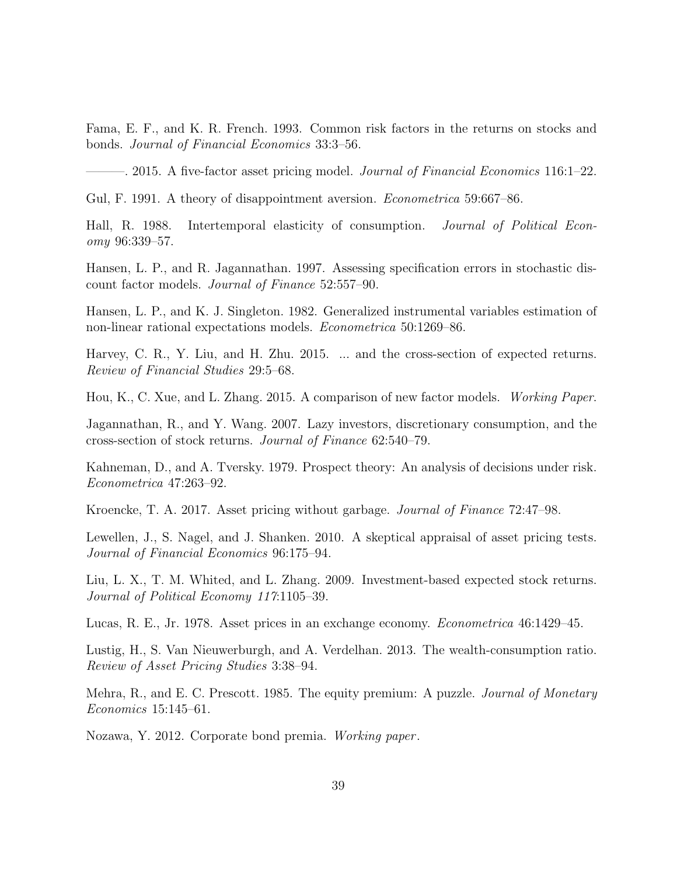Fama, E. F., and K. R. French. 1993. Common risk factors in the returns on stocks and bonds. Journal of Financial Economics 33:3–56.

 $-$ . 2015. A five-factor asset pricing model. *Journal of Financial Economics* 116:1–22.

Gul, F. 1991. A theory of disappointment aversion. *Econometrica* 59:667–86.

Hall, R. 1988. Intertemporal elasticity of consumption. Journal of Political Economy 96:339–57.

Hansen, L. P., and R. Jagannathan. 1997. Assessing specification errors in stochastic discount factor models. Journal of Finance 52:557–90.

Hansen, L. P., and K. J. Singleton. 1982. Generalized instrumental variables estimation of non-linear rational expectations models. Econometrica 50:1269–86.

Harvey, C. R., Y. Liu, and H. Zhu. 2015. ... and the cross-section of expected returns. Review of Financial Studies 29:5–68.

Hou, K., C. Xue, and L. Zhang. 2015. A comparison of new factor models. Working Paper.

Jagannathan, R., and Y. Wang. 2007. Lazy investors, discretionary consumption, and the cross-section of stock returns. Journal of Finance 62:540–79.

Kahneman, D., and A. Tversky. 1979. Prospect theory: An analysis of decisions under risk. Econometrica 47:263–92.

Kroencke, T. A. 2017. Asset pricing without garbage. Journal of Finance 72:47–98.

Lewellen, J., S. Nagel, and J. Shanken. 2010. A skeptical appraisal of asset pricing tests. Journal of Financial Economics 96:175–94.

Liu, L. X., T. M. Whited, and L. Zhang. 2009. Investment-based expected stock returns. Journal of Political Economy 117:1105–39.

Lucas, R. E., Jr. 1978. Asset prices in an exchange economy. Econometrica 46:1429–45.

Lustig, H., S. Van Nieuwerburgh, and A. Verdelhan. 2013. The wealth-consumption ratio. Review of Asset Pricing Studies 3:38–94.

Mehra, R., and E. C. Prescott. 1985. The equity premium: A puzzle. *Journal of Monetary* Economics 15:145–61.

Nozawa, Y. 2012. Corporate bond premia. Working paper .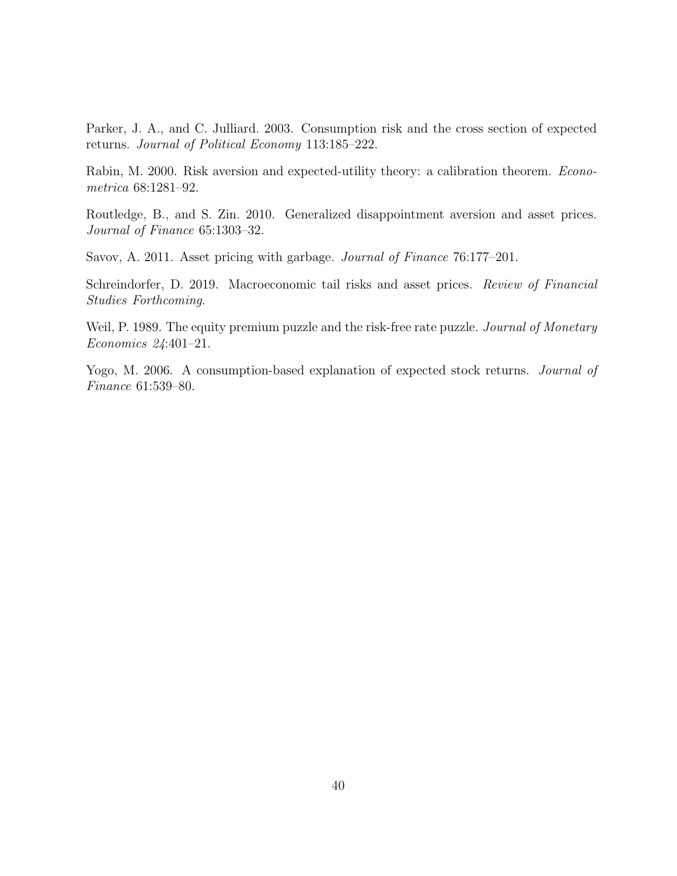Parker, J. A., and C. Julliard. 2003. Consumption risk and the cross section of expected returns. Journal of Political Economy 113:185–222.

Rabin, M. 2000. Risk aversion and expected-utility theory: a calibration theorem. Econometrica 68:1281–92.

Routledge, B., and S. Zin. 2010. Generalized disappointment aversion and asset prices. Journal of Finance 65:1303–32.

Savov, A. 2011. Asset pricing with garbage. Journal of Finance 76:177–201.

Schreindorfer, D. 2019. Macroeconomic tail risks and asset prices. Review of Financial Studies Forthcoming.

Weil, P. 1989. The equity premium puzzle and the risk-free rate puzzle. *Journal of Monetary* Economics 24:401–21.

Yogo, M. 2006. A consumption-based explanation of expected stock returns. *Journal of* Finance 61:539–80.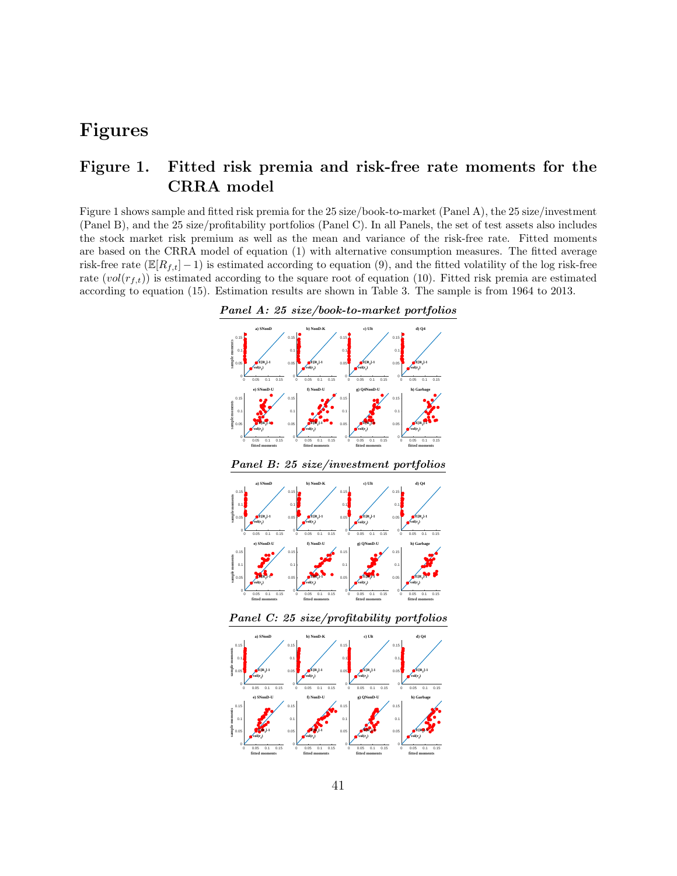# Figures

## Figure 1. Fitted risk premia and risk-free rate moments for the CRRA model

Figure 1 shows sample and fitted risk premia for the 25 size/book-to-market (Panel A), the 25 size/investment (Panel B), and the 25 size/profitability portfolios (Panel C). In all Panels, the set of test assets also includes the stock market risk premium as well as the mean and variance of the risk-free rate. Fitted moments are based on the CRRA model of equation (1) with alternative consumption measures. The fitted average risk-free rate ( $\mathbb{E}[R_{f,t}]-1$ ) is estimated according to equation (9), and the fitted volatility of the log risk-free rate  $(vol(r_{t,t}))$  is estimated according to the square root of equation (10). Fitted risk premia are estimated according to equation (15). Estimation results are shown in Table 3. The sample is from 1964 to 2013.







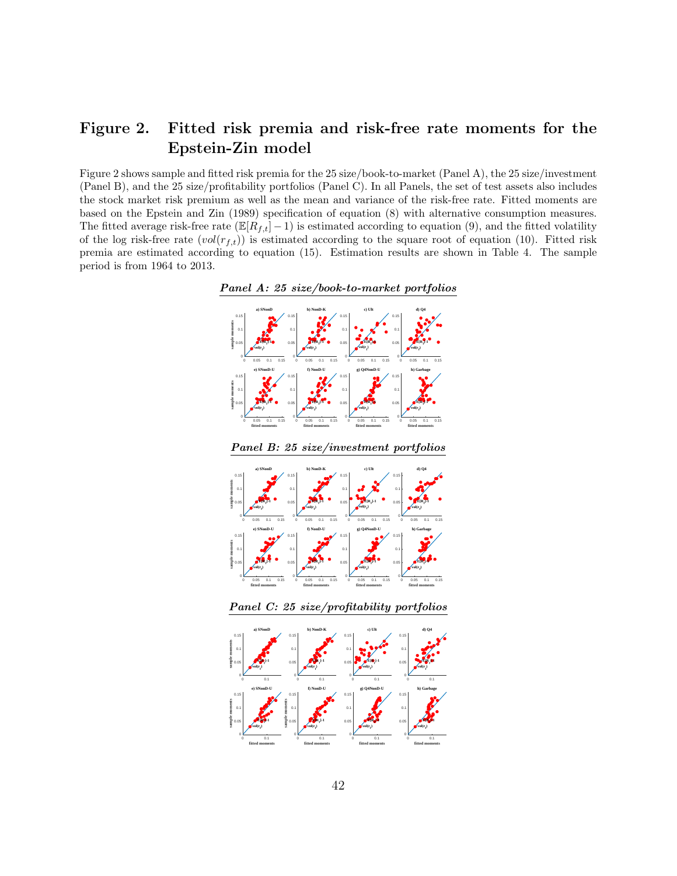# Figure 2. Fitted risk premia and risk-free rate moments for the Epstein-Zin model

Figure 2 shows sample and fitted risk premia for the 25 size/book-to-market (Panel A), the 25 size/investment (Panel B), and the 25 size/profitability portfolios (Panel C). In all Panels, the set of test assets also includes the stock market risk premium as well as the mean and variance of the risk-free rate. Fitted moments are based on the Epstein and Zin (1989) specification of equation (8) with alternative consumption measures. The fitted average risk-free rate ( $\mathbb{E}[R_{f,t}]-1$ ) is estimated according to equation (9), and the fitted volatility of the log risk-free rate  $(vol(r_{f,t}))$  is estimated according to the square root of equation (10). Fitted risk premia are estimated according to equation (15). Estimation results are shown in Table 4. The sample period is from 1964 to 2013.



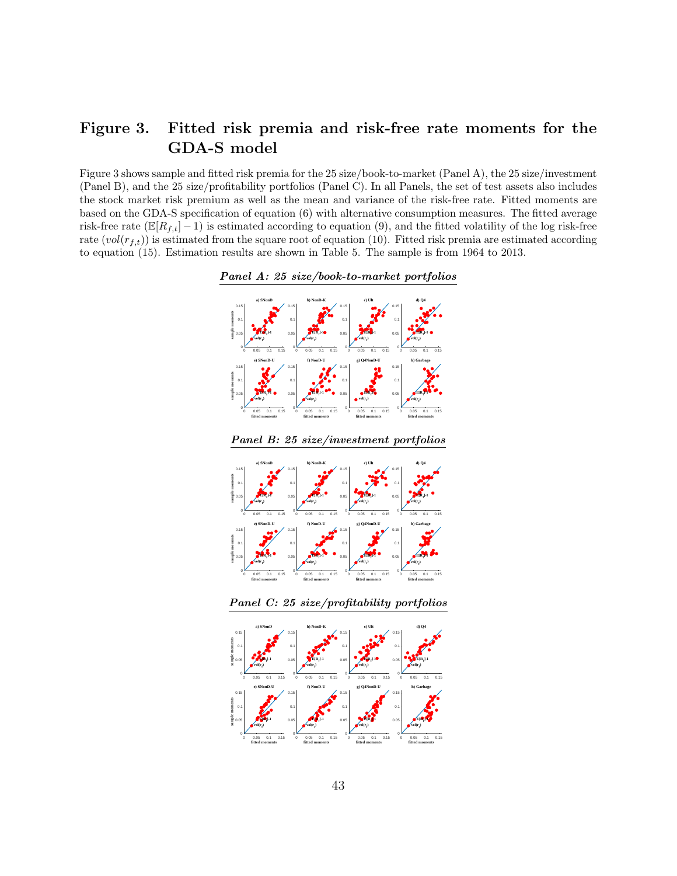# Figure 3. Fitted risk premia and risk-free rate moments for the GDA-S model

Figure 3 shows sample and fitted risk premia for the 25 size/book-to-market (Panel A), the 25 size/investment (Panel B), and the 25 size/profitability portfolios (Panel C). In all Panels, the set of test assets also includes the stock market risk premium as well as the mean and variance of the risk-free rate. Fitted moments are based on the GDA-S specification of equation (6) with alternative consumption measures. The fitted average risk-free rate ( $\mathbb{E}[R_{f,t}]-1$ ) is estimated according to equation (9), and the fitted volatility of the log risk-free rate  $(vol(r_{f,t}))$  is estimated from the square root of equation (10). Fitted risk premia are estimated according to equation (15). Estimation results are shown in Table 5. The sample is from 1964 to 2013.



Panel A: 25 size/book-to-market portfolios

Panel B: 25 size/investment portfolios

0 0.05 0.1 0.15 **fitted moments**

0 0.05 0.1 0.15 **fitted moments**

0 0.05 0.1 0.15 **fitted moments**

0 0.05 0.1 0.15 **fitted moments**





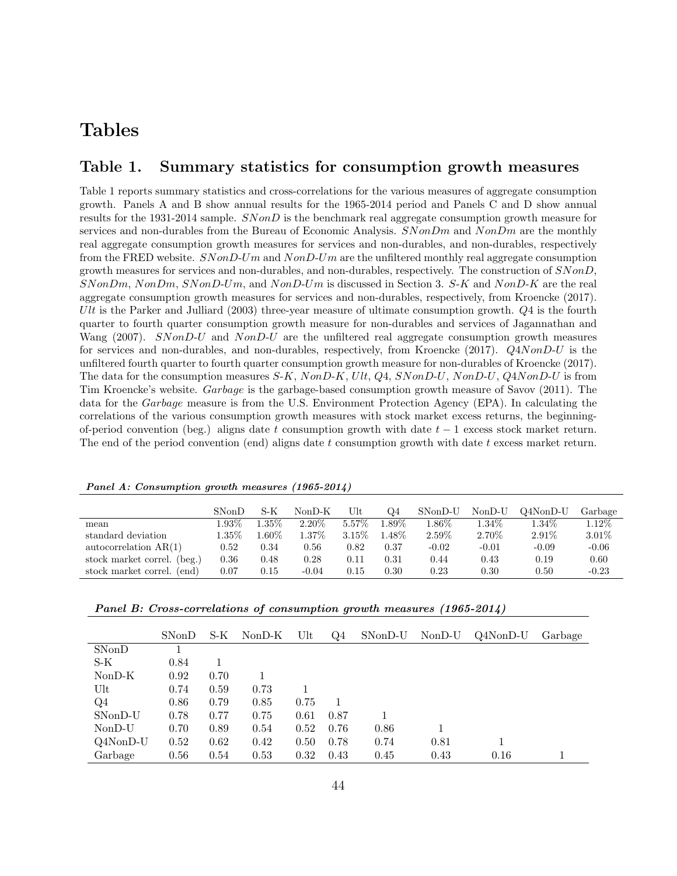# Tables

### Table 1. Summary statistics for consumption growth measures

Table 1 reports summary statistics and cross-correlations for the various measures of aggregate consumption growth. Panels A and B show annual results for the 1965-2014 period and Panels C and D show annual results for the 1931-2014 sample. SNonD is the benchmark real aggregate consumption growth measure for services and non-durables from the Bureau of Economic Analysis.  $SNonDm$  and  $NonDm$  are the monthly real aggregate consumption growth measures for services and non-durables, and non-durables, respectively from the FRED website.  $SNonD-Um$  and  $NonD-Um$  are the unfiltered monthly real aggregate consumption growth measures for services and non-durables, and non-durables, respectively. The construction of SNonD, SNonDm, NonDm, SNonD-Um, and NonD-Um is discussed in Section 3. S-K and NonD-K are the real aggregate consumption growth measures for services and non-durables, respectively, from Kroencke (2017). Ult is the Parker and Julliard (2003) three-year measure of ultimate consumption growth.  $Q_4$  is the fourth quarter to fourth quarter consumption growth measure for non-durables and services of Jagannathan and Wang (2007). SNonD-U and NonD-U are the unfiltered real aggregate consumption growth measures for services and non-durables, and non-durables, respectively, from Kroencke (2017). Q4NonD-U is the unfiltered fourth quarter to fourth quarter consumption growth measure for non-durables of Kroencke (2017). The data for the consumption measures  $S-K$ ,  $NonD-K$ ,  $Ult$ ,  $Q_4$ ,  $SNonD-U$ ,  $NonD-U$ ,  $Q4NonD-U$  is from Tim Kroencke's website. Garbage is the garbage-based consumption growth measure of Savov (2011). The data for the Garbage measure is from the U.S. Environment Protection Agency (EPA). In calculating the correlations of the various consumption growth measures with stock market excess returns, the beginningof-period convention (beg.) aligns date t consumption growth with date  $t - 1$  excess stock market return. The end of the period convention (end) aligns date t consumption growth with date t excess market return.

|                             | <b>SNonD</b> | S-K      | $NonD-K$ | Ult      | Q4     | $SNonD-U$ | $NonD-U$ | Q4NonD-U | Garbage  |
|-----------------------------|--------------|----------|----------|----------|--------|-----------|----------|----------|----------|
| mean                        | 1.93%        | $1.35\%$ | $2.20\%$ | 5.57\%   | 1.89%  | $1.86\%$  | $1.34\%$ | $1.34\%$ | $1.12\%$ |
| standard deviation          | $1.35\%$     | $0.60\%$ | 1.37%    | $3.15\%$ | 1.48\% | 2.59%     | $2.70\%$ | $2.91\%$ | $3.01\%$ |
| autocorrelation $AR(1)$     | 0.52         | 0.34     | 0.56     | 0.82     | 0.37   | $-0.02$   | $-0.01$  | $-0.09$  | $-0.06$  |
| stock market correl. (beg.) | 0.36         | 0.48     | 0.28     | $0.11\,$ | 0.31   | 0.44      | 0.43     | 0.19     | 0.60     |
| stock market correl. (end)  | 0.07         | 0.15     | $-0.04$  | 0.15     | 0.30   | $0.23\,$  | 0.30     | 0.50     | $-0.23$  |

Panel A: Consumption growth measures (1965-2014)

|  |  |  | SNonD S-K NonD-K Ult Q4 SNonD-U NonD-U Q4NonD-U Garbage |  |
|--|--|--|---------------------------------------------------------|--|

Panel B: Cross-correlations of consumption growth measures (1965-2014)

|          | SNonD | S-K  | NonD-K | Ult  | Q4   | SNonD-U | NonD-U | Q4NonD-U | Garbage |
|----------|-------|------|--------|------|------|---------|--------|----------|---------|
| SNonD    |       |      |        |      |      |         |        |          |         |
| S-K      | 0.84  |      |        |      |      |         |        |          |         |
| $NonD-K$ | 0.92  | 0.70 |        |      |      |         |        |          |         |
| Ult      | 0.74  | 0.59 | 0.73   |      |      |         |        |          |         |
| Q4       | 0.86  | 0.79 | 0.85   | 0.75 |      |         |        |          |         |
| SNonD-U  | 0.78  | 0.77 | 0.75   | 0.61 | 0.87 |         |        |          |         |
| $NonD-U$ | 0.70  | 0.89 | 0.54   | 0.52 | 0.76 | 0.86    |        |          |         |
| Q4NonD-U | 0.52  | 0.62 | 0.42   | 0.50 | 0.78 | 0.74    | 0.81   |          |         |
| Garbage  | 0.56  | 0.54 | 0.53   | 0.32 | 0.43 | 0.45    | 0.43   | 0.16     |         |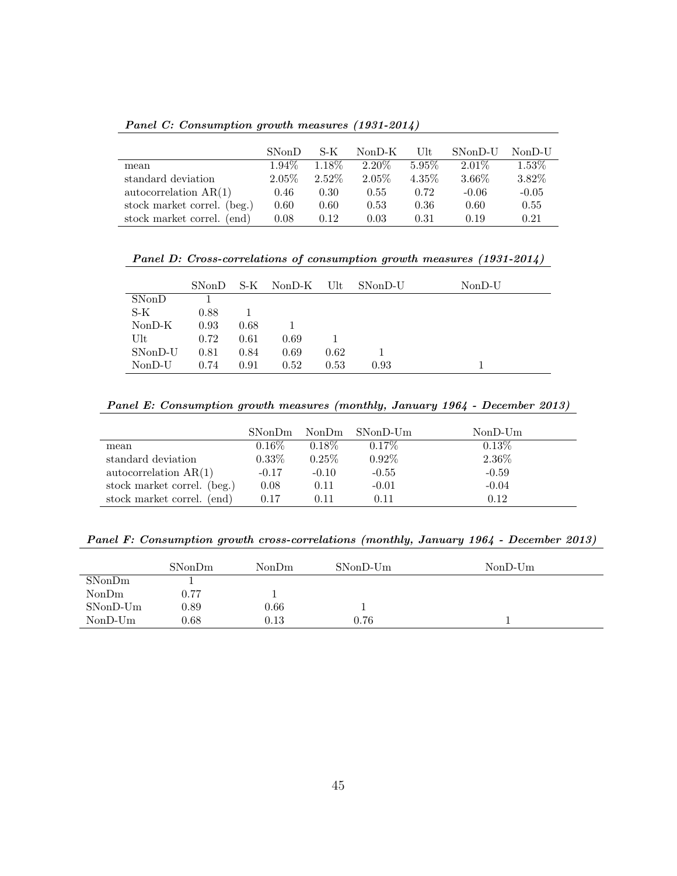Panel C: Consumption growth measures (1931-2014)

|                             | SN <sub>on</sub> D | S-K    | $NonD-K$ | Ult      | SNonD-U  | NonD-U   |
|-----------------------------|--------------------|--------|----------|----------|----------|----------|
| mean                        | $1.94\%$           | 1.18\% | $2.20\%$ | $5.95\%$ | $2.01\%$ | $1.53\%$ |
| standard deviation          | $2.05\%$           | 2.52\% | $2.05\%$ | $4.35\%$ | $3.66\%$ | 3.82%    |
| autocorrelation $AR(1)$     | 0.46               | 0.30   | 0.55     | 0.72     | $-0.06$  | $-0.05$  |
| stock market correl. (beg.) | 0.60               | 0.60   | 0.53     | 0.36     | 0.60     | 0.55     |
| stock market correl. (end)  | 0.08               | 0.12   | 0.03     | 0.31     | 0.19     | 0.21     |

Panel D: Cross-correlations of consumption growth measures (1931-2014)

|          | SN <sub>on</sub> D | S-K  | $NonD-K$ | Ult  | SNonD-U | $NonD-U$ |
|----------|--------------------|------|----------|------|---------|----------|
| SNonD    |                    |      |          |      |         |          |
| S-K      | 0.88               |      |          |      |         |          |
| $NonD-K$ | 0.93               | 0.68 |          |      |         |          |
| Ult      | 0.72               | 0.61 | 0.69     |      |         |          |
| SNonD-U  | 0.81               | 0.84 | 0.69     | 0.62 |         |          |
| $NonD-U$ | 0.74               | 0.91 | 0.52     | 0.53 | 0.93    |          |

Panel E: Consumption growth measures (monthly, January 1964 - December 2013)

|                             | SN <sub>on</sub> D <sub>m</sub> |          | $NonDm$ SNonD-Um | $NonD-Um$ |
|-----------------------------|---------------------------------|----------|------------------|-----------|
| mean                        | $0.16\%$                        | $0.18\%$ | $0.17\%$         | 0.13%     |
| standard deviation          | $0.33\%$                        | $0.25\%$ | 0.92%            | $2.36\%$  |
| autocorrelation $AR(1)$     | $-0.17$                         | $-0.10$  | $-0.55$          | $-0.59$   |
| stock market correl. (beg.) | 0.08                            | 0.11     | $-0.01$          | $-0.04$   |
| stock market correl. (end)  | 0.17                            | O 11     | 0.11             | 0.12      |

Panel F: Consumption growth cross-correlations (monthly, January 1964 - December 2013)

|            | SNonDm   | NonDm    | SNonD-Um | $NonD-Um$ |
|------------|----------|----------|----------|-----------|
| SNonDm     |          |          |          |           |
| NonDm      | 0.77     |          |          |           |
| $SNonD-Um$ | $0.89\,$ | $0.66\,$ |          |           |
| $NonD-Um$  | $0.68\,$ | 0.13     | 0.76     |           |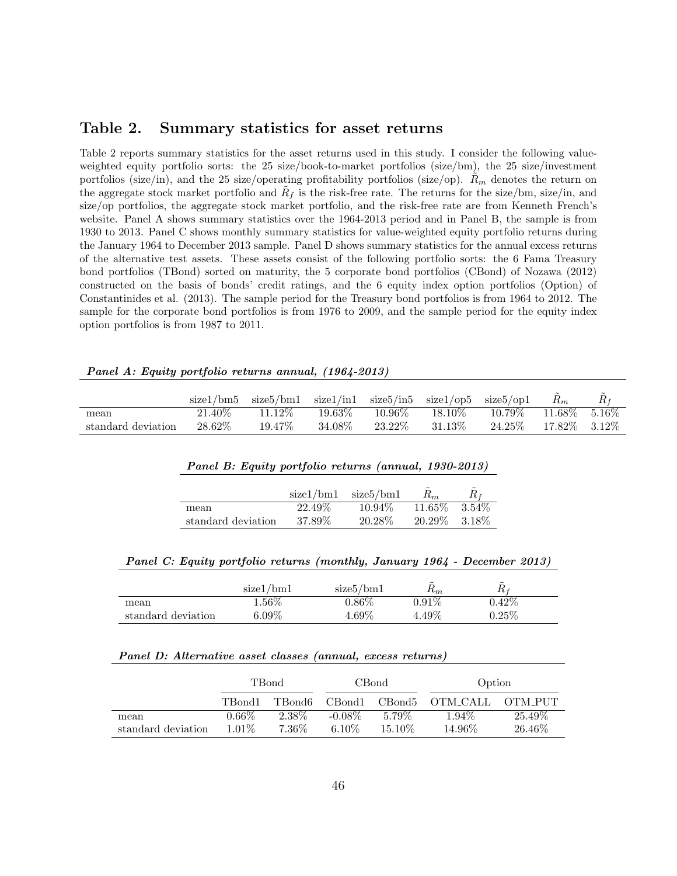### Table 2. Summary statistics for asset returns

Table 2 reports summary statistics for the asset returns used in this study. I consider the following valueweighted equity portfolio sorts: the 25 size/book-to-market portfolios (size/bm), the 25 size/investment portfolios (size/in), and the 25 size/operating profitability portfolios (size/op).  $R_m$  denotes the return on the aggregate stock market portfolio and  $R_f$  is the risk-free rate. The returns for the size/bm, size/in, and size/op portfolios, the aggregate stock market portfolio, and the risk-free rate are from Kenneth French's website. Panel A shows summary statistics over the 1964-2013 period and in Panel B, the sample is from 1930 to 2013. Panel C shows monthly summary statistics for value-weighted equity portfolio returns during the January 1964 to December 2013 sample. Panel D shows summary statistics for the annual excess returns of the alternative test assets. These assets consist of the following portfolio sorts: the 6 Fama Treasury bond portfolios (TBond) sorted on maturity, the 5 corporate bond portfolios (CBond) of Nozawa (2012) constructed on the basis of bonds' credit ratings, and the 6 equity index option portfolios (Option) of Constantinides et al. (2013). The sample period for the Treasury bond portfolios is from 1964 to 2012. The sample for the corporate bond portfolios is from 1976 to 2009, and the sample period for the equity index option portfolios is from 1987 to 2011.

|                    | size1/bm5 | $size5/bm1$ $size1/in1$ $size5/in5$ $size1/op5$ $size5/op1$ |         |           |           |           | $R_m$          | $R_f$    |
|--------------------|-----------|-------------------------------------------------------------|---------|-----------|-----------|-----------|----------------|----------|
| mean               | $21.40\%$ | 11.12\%                                                     | 19.63\% | $10.96\%$ | $18.10\%$ | $10.79\%$ | 11.68\%        | $5.16\%$ |
| standard deviation | 28.62\%   | 19.47\%                                                     | 34.08\% | $23.22\%$ | $31.13\%$ | $24.25\%$ | 17.82\% 3.12\% |          |
|                    |           |                                                             |         |           |           |           |                |          |

#### Panel A: Equity portfolio returns annual, (1964-2013)

#### Panel B: Equity portfolio returns (annual, 1930-2013)

|                    | size1/bm1 | size5/bm1 | $R_m$            | $R_f$    |
|--------------------|-----------|-----------|------------------|----------|
| mean               | 22.49\%   | $10.94\%$ | $11.65\%$        | $3.54\%$ |
| standard deviation | 37.89\%   | 20.28\%   | $20.29\%$ 3.18\% |          |

|  |  |  | Panel C: Equity portfolio returns (monthly, January 1964 - December 2013) |  |
|--|--|--|---------------------------------------------------------------------------|--|
|  |  |  |                                                                           |  |

|                    | size1/bm1 | size5/bm1 | $\tilde{\phantom{a}}$<br>$n_m$ | $\tilde{\phantom{a}}$ |
|--------------------|-----------|-----------|--------------------------------|-----------------------|
| mean               | $1.56\%$  | $0.86\%$  | $0.91\%$                       | $0.42\%$              |
| standard deviation | $6.09\%$  | $4.69\%$  | $4.49\%$                       | $0.25\%$              |

#### Panel D: Alternative asset classes (annual, excess returns)

|                    |                      | TBond   |           | CBond   | Option   |         |  |
|--------------------|----------------------|---------|-----------|---------|----------|---------|--|
|                    | TBond1               | TBond6- | CBond1    | CBond5  | OTM CALL | OTM PUT |  |
| mean               | $0.66\%$             | 2.38\%  | $-0.08\%$ | 5.79%   | 1.94%    | 25.49\% |  |
| standard deviation | $7.36\%$<br>$1.01\%$ |         | $6.10\%$  | 15.10\% | 14.96\%  | 26.46\% |  |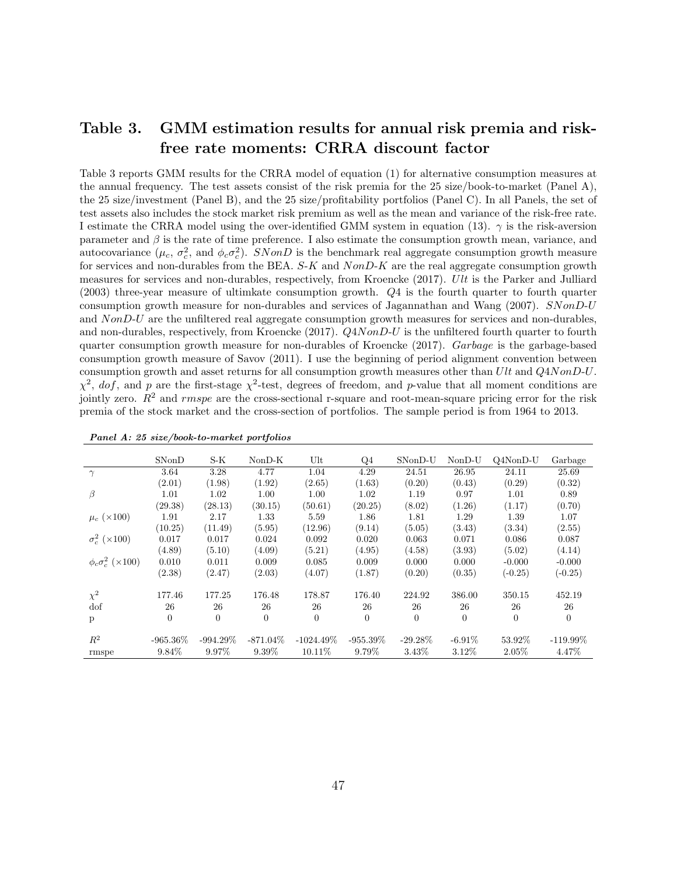## Table 3. GMM estimation results for annual risk premia and riskfree rate moments: CRRA discount factor

Table 3 reports GMM results for the CRRA model of equation (1) for alternative consumption measures at the annual frequency. The test assets consist of the risk premia for the 25 size/book-to-market (Panel A), the 25 size/investment (Panel B), and the 25 size/profitability portfolios (Panel C). In all Panels, the set of test assets also includes the stock market risk premium as well as the mean and variance of the risk-free rate. I estimate the CRRA model using the over-identified GMM system in equation (13).  $\gamma$  is the risk-aversion parameter and  $\beta$  is the rate of time preference. I also estimate the consumption growth mean, variance, and autocovariance  $(\mu_c, \sigma_c^2, \text{ and } \phi_c \sigma_c^2)$ . SNonD is the benchmark real aggregate consumption growth measure for services and non-durables from the BEA.  $S-K$  and  $NonD-K$  are the real aggregate consumption growth measures for services and non-durables, respectively, from Kroencke (2017). Ult is the Parker and Julliard (2003) three-year measure of ultimkate consumption growth. Q4 is the fourth quarter to fourth quarter consumption growth measure for non-durables and services of Jagannathan and Wang (2007). SNonD-U and NonD-U are the unfiltered real aggregate consumption growth measures for services and non-durables, and non-durables, respectively, from Kroencke (2017). Q4NonD-U is the unfiltered fourth quarter to fourth quarter consumption growth measure for non-durables of Kroencke (2017). Garbage is the garbage-based consumption growth measure of Savov (2011). I use the beginning of period alignment convention between consumption growth and asset returns for all consumption growth measures other than Ult and Q4NonD-U.  $\chi^2$ , dof, and p are the first-stage  $\chi^2$ -test, degrees of freedom, and p-value that all moment conditions are jointly zero.  $R^2$  and rmspe are the cross-sectional r-square and root-mean-square pricing error for the risk premia of the stock market and the cross-section of portfolios. The sample period is from 1964 to 2013.

|                              | SNonD       | $S-K$       | $NonD-K$    | Ult            | Q4          | SNonD-U    | NonD-U    | $Q4NonD-U$ | Garbage     |
|------------------------------|-------------|-------------|-------------|----------------|-------------|------------|-----------|------------|-------------|
| $\gamma$                     | 3.64        | 3.28        | 4.77        | 1.04           | 4.29        | 24.51      | 26.95     | 24.11      | 25.69       |
|                              | (2.01)      | (1.98)      | (1.92)      | (2.65)         | (1.63)      | (0.20)     | (0.43)    | (0.29)     | (0.32)      |
| β                            | 1.01        | 1.02        | 1.00        | 1.00           | 1.02        | 1.19       | 0.97      | 1.01       | 0.89        |
|                              | (29.38)     | (28.13)     | (30.15)     | (50.61)        | (20.25)     | (8.02)     | (1.26)    | (1.17)     | (0.70)      |
| $\mu_c$ (×100)               | 1.91        | 2.17        | 1.33        | 5.59           | 1.86        | 1.81       | 1.29      | 1.39       | 1.07        |
|                              | (10.25)     | (11.49)     | (5.95)      | (12.96)        | (9.14)      | (5.05)     | (3.43)    | (3.34)     | (2.55)      |
| $\sigma_c^2$ ( $\times$ 100) | 0.017       | 0.017       | 0.024       | 0.092          | 0.020       | 0.063      | 0.071     | 0.086      | 0.087       |
|                              | (4.89)      | (5.10)      | (4.09)      | (5.21)         | (4.95)      | (4.58)     | (3.93)    | (5.02)     | (4.14)      |
| $\phi_c \sigma_c^2$ (×100)   | 0.010       | 0.011       | 0.009       | 0.085          | 0.009       | 0.000      | 0.000     | $-0.000$   | $-0.000$    |
|                              | (2.38)      | (2.47)      | (2.03)      | (4.07)         | (1.87)      | (0.20)     | (0.35)    | $(-0.25)$  | $(-0.25)$   |
| $\chi^2$                     | 177.46      | 177.25      | 176.48      | 178.87         | 176.40      | 224.92     | 386.00    | 350.15     | 452.19      |
| dof                          | 26          | 26          | 26          | 26             | 26          | 26         | 26        | 26         | 26          |
| p                            | $\theta$    | $\Omega$    | $\Omega$    | $\overline{0}$ | $\Omega$    | $\Omega$   | $\Omega$  | $\theta$   | $\Omega$    |
| $R^2$                        | $-965.36\%$ | $-994.29\%$ | $-871.04\%$ | $-1024.49\%$   | $-955.39\%$ | $-29.28\%$ | $-6.91\%$ | 53.92%     | $-119.99\%$ |
| rmspe                        | 9.84%       | 9.97%       | 9.39%       | 10.11%         | 9.79%       | 3.43%      | 3.12\%    | 2.05%      | 4.47%       |

Panel A: 25 size/book-to-market portfolios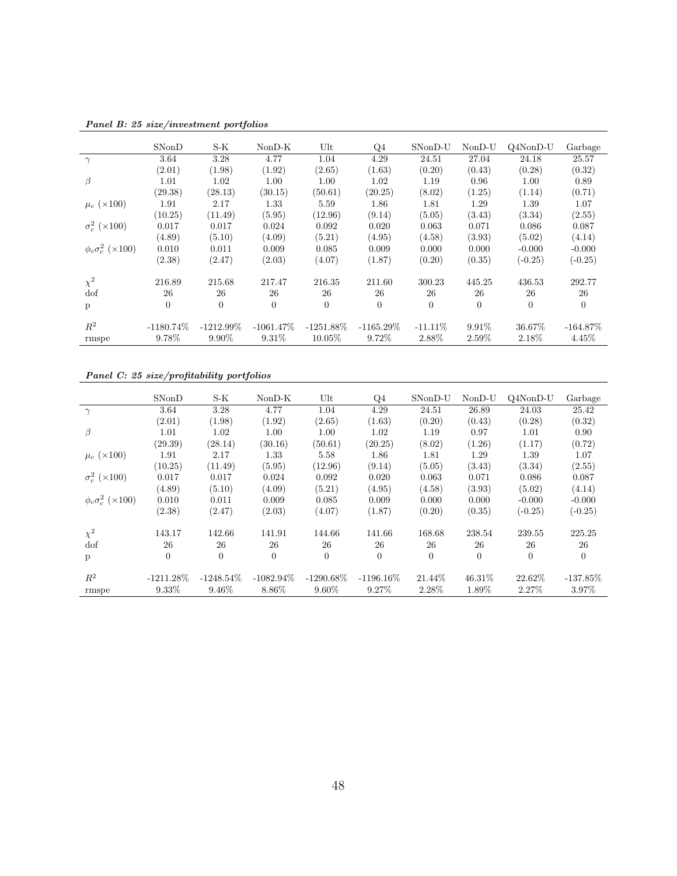|                              | SNonD        | $S-K$        | $NonD-K$       | Ult          | Q4           | $SNonD-U$      | $NonD-U$ | $Q4NonD-U$ | Garbage     |
|------------------------------|--------------|--------------|----------------|--------------|--------------|----------------|----------|------------|-------------|
| $\gamma$                     | 3.64         | 3.28         | 4.77           | 1.04         | 4.29         | 24.51          | 27.04    | 24.18      | 25.57       |
|                              | (2.01)       | (1.98)       | (1.92)         | (2.65)       | (1.63)       | (0.20)         | (0.43)   | (0.28)     | (0.32)      |
| β                            | 1.01         | 1.02         | 1.00           | 1.00         | 1.02         | 1.19           | 0.96     | 1.00       | 0.89        |
|                              | (29.38)      | (28.13)      | (30.15)        | (50.61)      | (20.25)      | (8.02)         | (1.25)   | (1.14)     | (0.71)      |
| $\mu_c$ (×100)               | 1.91         | 2.17         | 1.33           | 5.59         | 1.86         | 1.81           | 1.29     | 1.39       | 1.07        |
|                              | (10.25)      | (11.49)      | (5.95)         | (12.96)      | (9.14)       | (5.05)         | (3.43)   | (3.34)     | (2.55)      |
| $\sigma_c^2$ ( $\times$ 100) | 0.017        | 0.017        | 0.024          | 0.092        | 0.020        | 0.063          | 0.071    | 0.086      | 0.087       |
|                              | (4.89)       | (5.10)       | (4.09)         | (5.21)       | (4.95)       | (4.58)         | (3.93)   | (5.02)     | (4.14)      |
| $\phi_c \sigma_c^2$ (×100)   | 0.010        | 0.011        | 0.009          | 0.085        | 0.009        | 0.000          | 0.000    | $-0.000$   | $-0.000$    |
|                              | (2.38)       | (2.47)       | (2.03)         | (4.07)       | (1.87)       | (0.20)         | (0.35)   | $(-0.25)$  | $(-0.25)$   |
| $\chi^2$                     | 216.89       | 215.68       | 217.47         | 216.35       | 211.60       | 300.23         | 445.25   | 436.53     | 292.77      |
| dof                          | 26           | 26           | 26             | 26           | 26           | 26             | 26       | 26         | 26          |
| p                            | $\theta$     | $\theta$     | $\overline{0}$ | $\Omega$     | $\theta$     | $\overline{0}$ | $\theta$ | $\theta$   | $\Omega$    |
|                              |              |              |                |              |              |                |          |            |             |
| $R^2$                        | $-1180.74\%$ | $-1212.99\%$ | $-1061.47\%$   | $-1251.88\%$ | $-1165.29\%$ | $-11.11\%$     | $9.91\%$ | 36.67%     | $-164.87\%$ |
| rmspe                        | 9.78%        | $9.90\%$     | 9.31%          | $10.05\%$    | 9.72%        | 2.88%          | 2.59%    | 2.18%      | 4.45%       |

Panel B: 25 size/investment portfolios

Panel C: 25 size/profitability portfolios

|                              | SNonD        | S-K          | $NonD-K$       | Ult          | Q4           | SNonD-U        | $NonD-U$  | $Q4NonD-U$ | Garbage     |
|------------------------------|--------------|--------------|----------------|--------------|--------------|----------------|-----------|------------|-------------|
| $\gamma$                     | 3.64         | 3.28         | 4.77           | 1.04         | 4.29         | 24.51          | 26.89     | 24.03      | 25.42       |
|                              | (2.01)       | (1.98)       | (1.92)         | (2.65)       | (1.63)       | (0.20)         | (0.43)    | (0.28)     | (0.32)      |
| β                            | 1.01         | $1.02\,$     | 1.00           | 1.00         | 1.02         | 1.19           | 0.97      | 1.01       | 0.90        |
|                              | (29.39)      | (28.14)      | (30.16)        | (50.61)      | (20.25)      | (8.02)         | (1.26)    | (1.17)     | (0.72)      |
| $\mu_c$ (×100)               | 1.91         | 2.17         | 1.33           | 5.58         | 1.86         | 1.81           | 1.29      | 1.39       | 1.07        |
|                              | (10.25)      | (11.49)      | (5.95)         | (12.96)      | (9.14)       | (5.05)         | (3.43)    | (3.34)     | (2.55)      |
| $\sigma_c^2$ ( $\times$ 100) | 0.017        | 0.017        | 0.024          | 0.092        | 0.020        | 0.063          | 0.071     | 0.086      | 0.087       |
|                              | (4.89)       | (5.10)       | (4.09)         | (5.21)       | (4.95)       | (4.58)         | (3.93)    | (5.02)     | (4.14)      |
| $\phi_c \sigma_c^2$ (×100)   | 0.010        | 0.011        | 0.009          | 0.085        | 0.009        | 0.000          | 0.000     | $-0.000$   | $-0.000$    |
|                              | (2.38)       | (2.47)       | (2.03)         | (4.07)       | (1.87)       | (0.20)         | (0.35)    | $(-0.25)$  | $(-0.25)$   |
| $\chi^2$                     | 143.17       | 142.66       | 141.91         | 144.66       | 141.66       | 168.68         | 238.54    | 239.55     | 225.25      |
| dof                          | 26           | 26           | 26             | 26           | 26           | 26             | 26        | 26         | 26          |
| p                            | $\theta$     | $\theta$     | $\overline{0}$ | $\Omega$     | $\theta$     | $\overline{0}$ | $\theta$  | $\theta$   | $\Omega$    |
|                              |              |              |                |              |              |                |           |            |             |
| $R^2$                        | $-1211.28\%$ | $-1248.54\%$ | $-1082.94\%$   | $-1290.68\%$ | $-1196.16\%$ | 21.44\%        | $46.31\%$ | 22.62\%    | $-137.85\%$ |
| rmspe                        | $9.33\%$     | 9.46%        | 8.86%          | $9.60\%$     | 9.27%        | 2.28%          | 1.89%     | 2.27\%     | 3.97%       |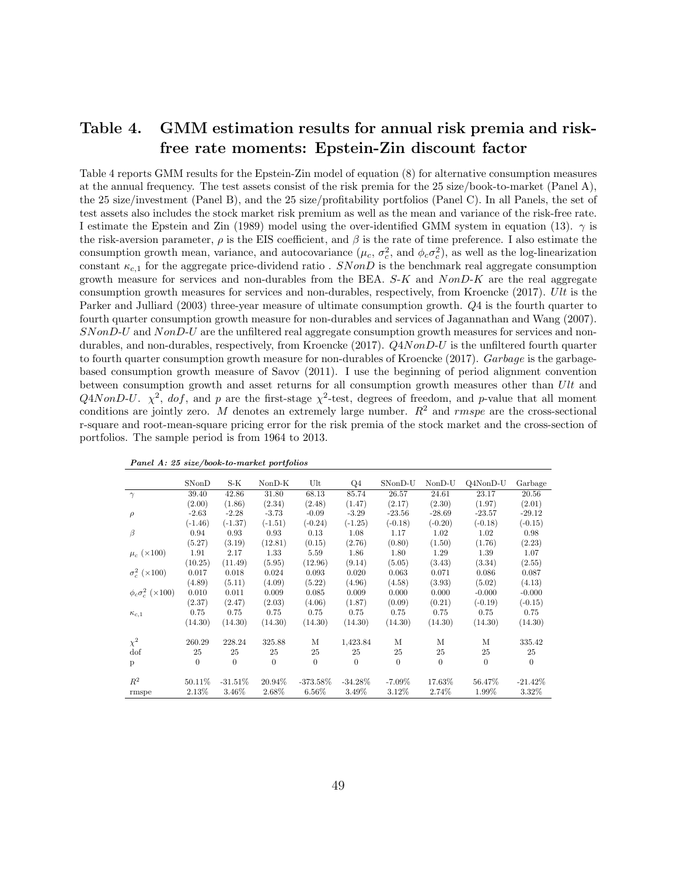## Table 4. GMM estimation results for annual risk premia and riskfree rate moments: Epstein-Zin discount factor

Table 4 reports GMM results for the Epstein-Zin model of equation (8) for alternative consumption measures at the annual frequency. The test assets consist of the risk premia for the 25 size/book-to-market (Panel A), the 25 size/investment (Panel B), and the 25 size/profitability portfolios (Panel C). In all Panels, the set of test assets also includes the stock market risk premium as well as the mean and variance of the risk-free rate. I estimate the Epstein and Zin (1989) model using the over-identified GMM system in equation (13).  $\gamma$  is the risk-aversion parameter,  $\rho$  is the EIS coefficient, and  $\beta$  is the rate of time preference. I also estimate the consumption growth mean, variance, and autocovariance  $(\mu_c, \sigma_c^2)$ , and  $\phi_c \sigma_c^2$ , as well as the log-linearization constant  $\kappa_{c,1}$  for the aggregate price-dividend ratio . SNonD is the benchmark real aggregate consumption growth measure for services and non-durables from the BEA.  $S-K$  and  $NonD-K$  are the real aggregate consumption growth measures for services and non-durables, respectively, from Kroencke (2017). Ult is the Parker and Julliard (2003) three-year measure of ultimate consumption growth. Q4 is the fourth quarter to fourth quarter consumption growth measure for non-durables and services of Jagannathan and Wang (2007). SNonD-U and NonD-U are the unfiltered real aggregate consumption growth measures for services and nondurables, and non-durables, respectively, from Kroencke (2017).  $Q4NonD-U$  is the unfiltered fourth quarter to fourth quarter consumption growth measure for non-durables of Kroencke (2017). Garbage is the garbagebased consumption growth measure of Savov (2011). I use the beginning of period alignment convention between consumption growth and asset returns for all consumption growth measures other than Ult and Q4NonD-U.  $\chi^2$ , dof, and p are the first-stage  $\chi^2$ -test, degrees of freedom, and p-value that all moment conditions are jointly zero. M denotes an extremely large number.  $R^2$  and rmspe are the cross-sectional r-square and root-mean-square pricing error for the risk premia of the stock market and the cross-section of portfolios. The sample period is from 1964 to 2013.

|                              | SNonD     | S-K       | $NonD-K$  | Ult         | Q4         | SNonD-U   | $NonD-U$  | Q4NonD-U  | Garbage   |
|------------------------------|-----------|-----------|-----------|-------------|------------|-----------|-----------|-----------|-----------|
| $\gamma$                     | 39.40     | 42.86     | 31.80     | 68.13       | 85.74      | 26.57     | 24.61     | 23.17     | 20.56     |
|                              | (2.00)    | (1.86)    | (2.34)    | (2.48)      | (1.47)     | (2.17)    | (2.30)    | (1.97)    | (2.01)    |
| $\rho$                       | $-2.63$   | $-2.28$   | $-3.73$   | $-0.09$     | $-3.29$    | $-23.56$  | $-28.69$  | $-23.57$  | $-29.12$  |
|                              | $(-1.46)$ | $(-1.37)$ | $(-1.51)$ | $(-0.24)$   | $(-1.25)$  | $(-0.18)$ | $(-0.20)$ | $(-0.18)$ | $(-0.15)$ |
| $\beta$                      | 0.94      | 0.93      | 0.93      | 0.13        | 1.08       | 1.17      | 1.02      | 1.02      | 0.98      |
|                              | (5.27)    | (3.19)    | (12.81)   | (0.15)      | (2.76)     | (0.80)    | (1.50)    | (1.76)    | (2.23)    |
| $\mu_c$ (×100)               | 1.91      | 2.17      | 1.33      | 5.59        | 1.86       | 1.80      | 1.29      | 1.39      | 1.07      |
|                              | (10.25)   | (11.49)   | (5.95)    | (12.96)     | (9.14)     | (5.05)    | (3.43)    | (3.34)    | (2.55)    |
| $\sigma_c^2$ ( $\times$ 100) | 0.017     | 0.018     | 0.024     | 0.093       | 0.020      | 0.063     | 0.071     | 0.086     | 0.087     |
|                              | (4.89)    | (5.11)    | (4.09)    | (5.22)      | (4.96)     | (4.58)    | (3.93)    | (5.02)    | (4.13)    |
| $\phi_c \sigma_c^2$ (×100)   | 0.010     | 0.011     | 0.009     | 0.085       | 0.009      | 0.000     | 0.000     | $-0.000$  | $-0.000$  |
|                              | (2.37)    | (2.47)    | (2.03)    | (4.06)      | (1.87)     | (0.09)    | (0.21)    | $(-0.19)$ | $(-0.15)$ |
| $\kappa_{c,1}$               | 0.75      | 0.75      | 0.75      | 0.75        | 0.75       | 0.75      | 0.75      | 0.75      | 0.75      |
|                              | (14.30)   | (14.30)   | (14.30)   | (14.30)     | (14.30)    | (14.30)   | (14.30)   | (14.30)   | (14.30)   |
| $\chi^2$                     | 260.29    | 228.24    | 325.88    | М           | 1,423.84   | М         | М         | М         | 335.42    |
| dof                          | 25        | 25        | 25        | 25          | 25         | 25        | 25        | 25        | 25        |
| p                            | $\theta$  | $\Omega$  | $\Omega$  | $\Omega$    | $\Omega$   | $\theta$  | $\theta$  | $\Omega$  | $\theta$  |
| $R^2$                        | 50.11%    | $-31.51%$ | 20.94%    | $-373.58\%$ | $-34.28\%$ | $-7.09%$  | 17.63%    | 56.47%    | $-21.42%$ |
| rmspe                        | 2.13%     | 3.46%     | 2.68%     | 6.56%       | 3.49%      | 3.12%     | 2.74%     | 1.99%     | 3.32%     |

Panel A: 25 size/book-to-market portfolios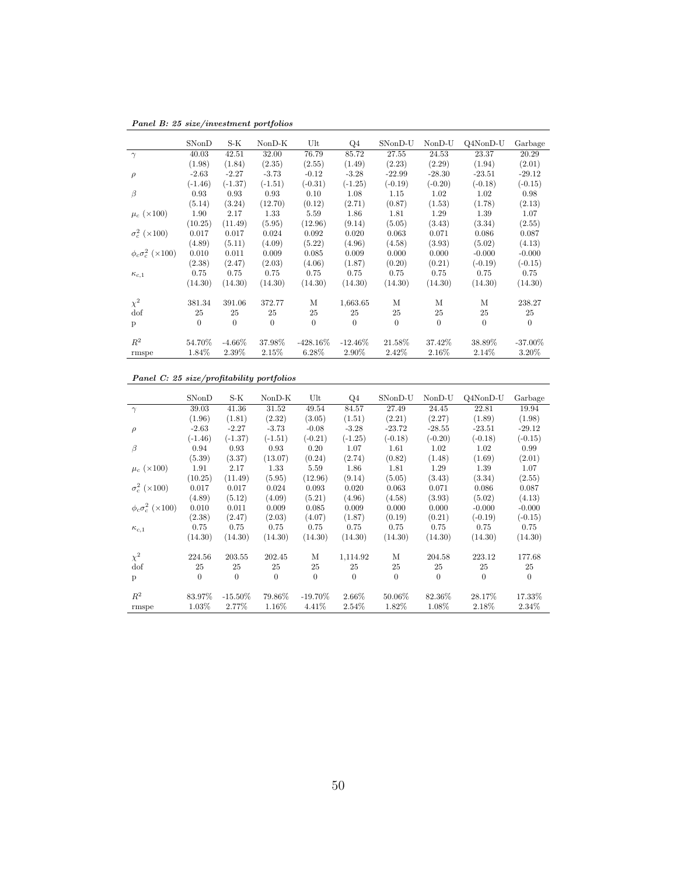Panel B: 25 size/investment portfolios

|                              | SNonD     | S-K       | $NonD-K$  | Ult         | Q4         | SNonD-U   | NonD-U    | Q4NonD-U  | Garbage    |
|------------------------------|-----------|-----------|-----------|-------------|------------|-----------|-----------|-----------|------------|
| $\gamma$                     | 40.03     | 42.51     | 32.00     | 76.79       | 85.72      | 27.55     | 24.53     | 23.37     | 20.29      |
|                              | (1.98)    | (1.84)    | (2.35)    | (2.55)      | (1.49)     | (2.23)    | (2.29)    | (1.94)    | (2.01)     |
| $\rho$                       | $-2.63$   | $-2.27$   | $-3.73$   | $-0.12$     | $-3.28$    | $-22.99$  | $-28.30$  | $-23.51$  | $-29.12$   |
|                              | $(-1.46)$ | $(-1.37)$ | $(-1.51)$ | $(-0.31)$   | $(-1.25)$  | $(-0.19)$ | $(-0.20)$ | $(-0.18)$ | $(-0.15)$  |
| β                            | 0.93      | 0.93      | 0.93      | 0.10        | 1.08       | 1.15      | 1.02      | 1.02      | 0.98       |
|                              | (5.14)    | (3.24)    | (12.70)   | (0.12)      | (2.71)     | (0.87)    | (1.53)    | (1.78)    | (2.13)     |
| $\mu_c$ (×100)               | 1.90      | 2.17      | 1.33      | 5.59        | 1.86       | 1.81      | 1.29      | 1.39      | 1.07       |
|                              | (10.25)   | (11.49)   | (5.95)    | (12.96)     | (9.14)     | (5.05)    | (3.43)    | (3.34)    | (2.55)     |
| $\sigma_c^2$ ( $\times$ 100) | 0.017     | 0.017     | 0.024     | 0.092       | 0.020      | 0.063     | 0.071     | 0.086     | 0.087      |
|                              | (4.89)    | (5.11)    | (4.09)    | (5.22)      | (4.96)     | (4.58)    | (3.93)    | (5.02)    | (4.13)     |
| $\phi_c \sigma_c^2$ (×100)   | 0.010     | 0.011     | 0.009     | 0.085       | 0.009      | 0.000     | 0.000     | $-0.000$  | $-0.000$   |
|                              | (2.38)    | (2.47)    | (2.03)    | (4.06)      | (1.87)     | (0.20)    | (0.21)    | $(-0.19)$ | $(-0.15)$  |
| $\kappa_{c,1}$               | 0.75      | 0.75      | 0.75      | 0.75        | 0.75       | 0.75      | 0.75      | 0.75      | 0.75       |
|                              | (14.30)   | (14.30)   | (14.30)   | (14.30)     | (14.30)    | (14.30)   | (14.30)   | (14.30)   | (14.30)    |
| $\chi^2$                     | 381.34    | 391.06    | 372.77    | М           | 1,663.65   | М         | M         | M         | 238.27     |
| dof                          | 25        | 25        | 25        | 25          | 25         | 25        | 25        | 25        | 25         |
| p                            | $\theta$  | $\theta$  | $\theta$  | $\theta$    | $\theta$   | $\theta$  | $\Omega$  | $\Omega$  | $\theta$   |
| $R^2$                        | 54.70%    | $-4.66\%$ | 37.98%    | $-428.16\%$ | $-12.46\%$ | 21.58%    | 37.42\%   | 38.89%    | $-37.00\%$ |
| rmspe                        | 1.84%     | 2.39%     | 2.15%     | 6.28%       | 2.90%      | 2.42%     | 2.16%     | 2.14%     | 3.20%      |

#### Panel C: 25 size/profitability portfolios

|                              | SNonD     | S-K        | $NonD-K$  | Ult        | Q4        | SNonD-U   | $NonD-U$  | Q4NonD-U  | Garbage   |
|------------------------------|-----------|------------|-----------|------------|-----------|-----------|-----------|-----------|-----------|
| $\gamma$                     | 39.03     | 41.36      | 31.52     | 49.54      | 84.57     | 27.49     | 24.45     | 22.81     | 19.94     |
|                              | (1.96)    | (1.81)     | (2.32)    | (3.05)     | (1.51)    | (2.21)    | (2.27)    | (1.89)    | (1.98)    |
| $\rho$                       | $-2.63$   | $-2.27$    | $-3.73$   | $-0.08$    | $-3.28$   | $-23.72$  | $-28.55$  | $-23.51$  | $-29.12$  |
|                              | $(-1.46)$ | $(-1.37)$  | $(-1.51)$ | $(-0.21)$  | $(-1.25)$ | $(-0.18)$ | $(-0.20)$ | $(-0.18)$ | $(-0.15)$ |
| β                            | 0.94      | 0.93       | 0.93      | 0.20       | 1.07      | 1.61      | 1.02      | 1.02      | 0.99      |
|                              | (5.39)    | (3.37)     | (13.07)   | (0.24)     | (2.74)    | (0.82)    | (1.48)    | (1.69)    | (2.01)    |
| $\mu_c$ ( $\times$ 100)      | 1.91      | 2.17       | 1.33      | 5.59       | 1.86      | 1.81      | 1.29      | 1.39      | 1.07      |
|                              | (10.25)   | (11.49)    | (5.95)    | (12.96)    | (9.14)    | (5.05)    | (3.43)    | (3.34)    | (2.55)    |
| $\sigma_c^2$ ( $\times$ 100) | 0.017     | 0.017      | 0.024     | 0.093      | 0.020     | 0.063     | 0.071     | 0.086     | 0.087     |
|                              | (4.89)    | (5.12)     | (4.09)    | (5.21)     | (4.96)    | (4.58)    | (3.93)    | (5.02)    | (4.13)    |
| $\phi_c \sigma_c^2$ (×100)   | 0.010     | 0.011      | 0.009     | 0.085      | 0.009     | 0.000     | 0.000     | $-0.000$  | $-0.000$  |
|                              | (2.38)    | (2.47)     | (2.03)    | (4.07)     | (1.87)    | (0.19)    | (0.21)    | $(-0.19)$ | $(-0.15)$ |
| $\kappa_{c,1}$               | 0.75      | 0.75       | 0.75      | 0.75       | 0.75      | 0.75      | 0.75      | 0.75      | 0.75      |
|                              | (14.30)   | (14.30)    | (14.30)   | (14.30)    | (14.30)   | (14.30)   | (14.30)   | (14.30)   | (14.30)   |
| $\chi^2$                     | 224.56    | 203.55     | 202.45    | М          | 1,114.92  | М         | 204.58    | 223.12    | 177.68    |
| dof                          | 25        | 25         | 25        | 25         | 25        | 25        | 25        | 25        | 25        |
| p                            | $\theta$  | $\theta$   | $\theta$  | $\theta$   | $\Omega$  | $\theta$  | $\Omega$  | $\Omega$  | $\Omega$  |
| $R^2$                        | 83.97%    | $-15.50\%$ | 79.86%    | $-19.70\%$ | 2.66%     | 50.06%    | 82.36%    | 28.17%    | 17.33%    |
|                              |           |            |           |            |           |           |           |           |           |
| rmspe                        | 1.03%     | 2.77%      | 1.16%     | 4.41\%     | 2.54%     | 1.82%     | 1.08%     | 2.18%     | 2.34\%    |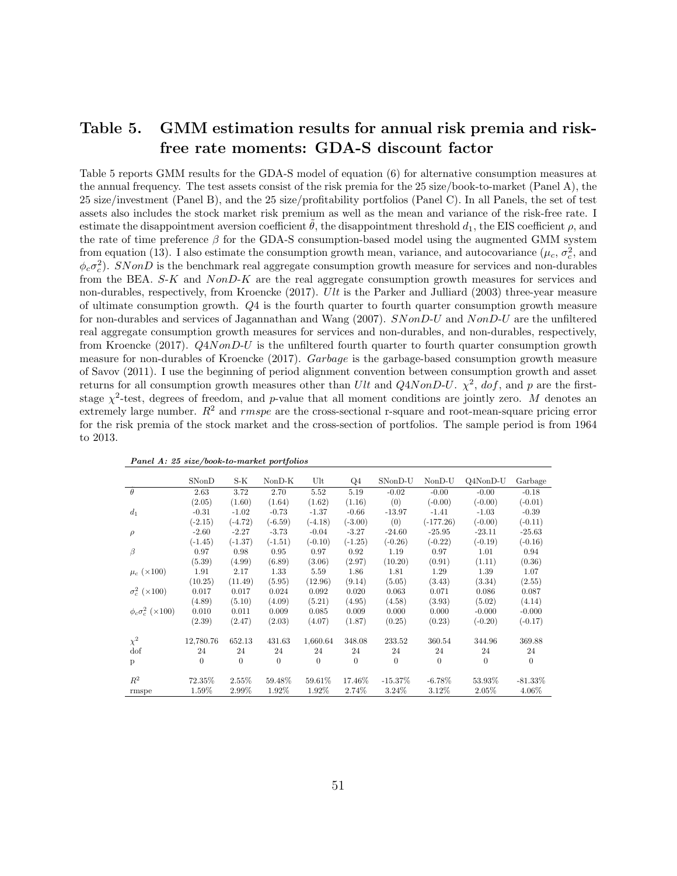# Table 5. GMM estimation results for annual risk premia and riskfree rate moments: GDA-S discount factor

Table 5 reports GMM results for the GDA-S model of equation (6) for alternative consumption measures at the annual frequency. The test assets consist of the risk premia for the 25 size/book-to-market (Panel A), the 25 size/investment (Panel B), and the 25 size/profitability portfolios (Panel C). In all Panels, the set of test assets also includes the stock market risk premium as well as the mean and variance of the risk-free rate. I estimate the disappointment aversion coefficient  $\theta$ , the disappointment threshold  $d_1$ , the EIS coefficient  $\rho$ , and the rate of time preference  $\beta$  for the GDA-S consumption-based model using the augmented GMM system from equation (13). I also estimate the consumption growth mean, variance, and autocovariance  $(\mu_c, \sigma_c^2)$ , and  $\phi_c \sigma_c^2$ ). SNonD is the benchmark real aggregate consumption growth measure for services and non-durables from the BEA. S-K and NonD-K are the real aggregate consumption growth measures for services and non-durables, respectively, from Kroencke (2017). Ult is the Parker and Julliard (2003) three-year measure of ultimate consumption growth. Q4 is the fourth quarter to fourth quarter consumption growth measure for non-durables and services of Jagannathan and Wang (2007). SNonD-U and NonD-U are the unfiltered real aggregate consumption growth measures for services and non-durables, and non-durables, respectively, from Kroencke (2017). Q4NonD-U is the unfiltered fourth quarter to fourth quarter consumption growth measure for non-durables of Kroencke (2017). Garbage is the garbage-based consumption growth measure of Savov (2011). I use the beginning of period alignment convention between consumption growth and asset returns for all consumption growth measures other than Ult and Q4NonD-U.  $\chi^2$ , dof, and p are the firststage  $\chi^2$ -test, degrees of freedom, and p-value that all moment conditions are jointly zero. M denotes an extremely large number.  $R^2$  and *rmspe* are the cross-sectional r-square and root-mean-square pricing error for the risk premia of the stock market and the cross-section of portfolios. The sample period is from 1964 to 2013.

|                              | SNonD     | S-K       | $NonD-K$  | Ult            | Q4        | SNonD-U      | $NonD-U$    | Q4NonD-U  | Garbage    |
|------------------------------|-----------|-----------|-----------|----------------|-----------|--------------|-------------|-----------|------------|
| $\theta$                     | 2.63      | 3.72      | 2.70      | 5.52           | 5.19      | $-0.02$      | $-0.00$     | $-0.00$   | $-0.18$    |
|                              | (2.05)    | (1.60)    | (1.64)    | (1.62)         | (1.16)    | (0)          | $(-0.00)$   | $(-0.00)$ | $(-0.01)$  |
| $d_1$                        | $-0.31$   | $-1.02$   | $-0.73$   | $-1.37$        | $-0.66$   | $-13.97$     | $-1.41$     | $-1.03$   | $-0.39$    |
|                              | $(-2.15)$ | $(-4.72)$ | $(-6.59)$ | $(-4.18)$      | $(-3.00)$ | (0)          | $(-177.26)$ | $(-0.00)$ | $(-0.11)$  |
| $\rho$                       | $-2.60$   | $-2.27$   | $-3.73$   | $-0.04$        | $-3.27$   | $-24.60$     | $-25.95$    | $-23.11$  | $-25.63$   |
|                              | $(-1.45)$ | $(-1.37)$ | $(-1.51)$ | $(-0.10)$      | $(-1.25)$ | $(-0.26)$    | $(-0.22)$   | $(-0.19)$ | $(-0.16)$  |
| $\beta$                      | 0.97      | 0.98      | 0.95      | 0.97           | 0.92      | 1.19         | 0.97        | 1.01      | 0.94       |
|                              | (5.39)    | (4.99)    | (6.89)    | (3.06)         | (2.97)    | (10.20)      | (0.91)      | (1.11)    | (0.36)     |
| $\mu_c$ ( $\times 100$ )     | 1.91      | 2.17      | 1.33      | 5.59           | 1.86      | 1.81         | 1.29        | 1.39      | 1.07       |
|                              | (10.25)   | (11.49)   | (5.95)    | (12.96)        | (9.14)    | (5.05)       | (3.43)      | (3.34)    | (2.55)     |
| $\sigma_c^2$ ( $\times$ 100) | 0.017     | 0.017     | 0.024     | 0.092          | 0.020     | 0.063        | 0.071       | 0.086     | 0.087      |
|                              | (4.89)    | (5.10)    | (4.09)    | (5.21)         | (4.95)    | (4.58)       | (3.93)      | (5.02)    | (4.14)     |
| $\phi_c \sigma_c^2$ (×100)   | 0.010     | 0.011     | 0.009     | 0.085          | 0.009     | 0.000        | 0.000       | $-0.000$  | $-0.000$   |
|                              | (2.39)    | (2.47)    | (2.03)    | (4.07)         | (1.87)    | (0.25)       | (0.23)      | $(-0.20)$ | $(-0.17)$  |
| $\chi^2$                     | 12,780.76 | 652.13    | 431.63    | 1,660.64       | 348.08    | 233.52       | 360.54      | 344.96    | 369.88     |
| dof                          | 24        | 24        | 24        | 24             | 24        | 24           | 24          | 24        | 24         |
| p                            | $\theta$  | $\theta$  | $\theta$  | $\overline{0}$ | $\theta$  | $\mathbf{0}$ | $\theta$    | $\theta$  | $\theta$   |
| $R^2$                        | 72.35%    | 2.55%     | 59.48%    | 59.61%         | 17.46%    | $-15.37\%$   | $-6.78\%$   | 53.93%    | $-81.33\%$ |
| rmspe                        | 1.59%     | 2.99%     | 1.92%     | 1.92%          | 2.74%     | 3.24%        | 3.12%       | 2.05%     | 4.06%      |

Panel A: 25 size/book-to-market portfolios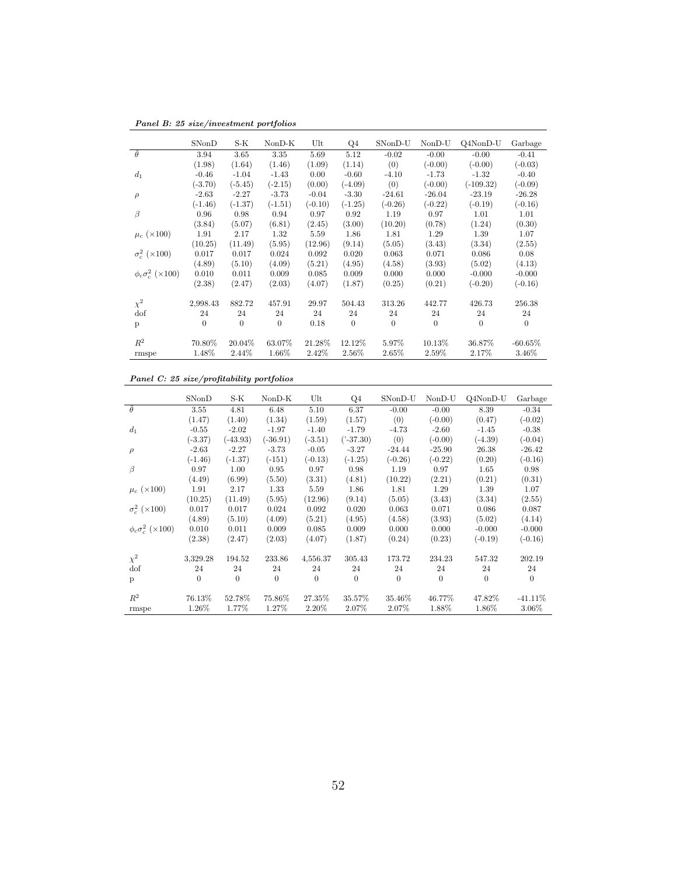Panel B: 25 size/investment portfolios

|                              | SNonD     | S-K       | $NonD-K$  | Ult       | Q4        | SNonD-U   | NonD-U    | Q4NonD-U    | Garbage   |
|------------------------------|-----------|-----------|-----------|-----------|-----------|-----------|-----------|-------------|-----------|
| $\theta$                     | 3.94      | 3.65      | 3.35      | 5.69      | 5.12      | $-0.02$   | $-0.00$   | $-0.00$     | $-0.41$   |
|                              | (1.98)    | (1.64)    | (1.46)    | (1.09)    | (1.14)    | (0)       | $(-0.00)$ | $(-0.00)$   | $(-0.03)$ |
| d <sub>1</sub>               | $-0.46$   | $-1.04$   | $-1.43$   | 0.00      | $-0.60$   | $-4.10$   | $-1.73$   | $-1.32$     | $-0.40$   |
|                              | $(-3.70)$ | $(-5.45)$ | $(-2.15)$ | (0.00)    | $(-4.09)$ | (0)       | $(-0.00)$ | $(-109.32)$ | $(-0.09)$ |
| $\rho$                       | $-2.63$   | $-2.27$   | $-3.73$   | $-0.04$   | $-3.30$   | $-24.61$  | $-26.04$  | $-23.19$    | $-26.28$  |
|                              | $(-1.46)$ | $(-1.37)$ | $(-1.51)$ | $(-0.10)$ | $(-1.25)$ | $(-0.26)$ | $(-0.22)$ | $(-0.19)$   | $(-0.16)$ |
| β                            | 0.96      | 0.98      | 0.94      | 0.97      | 0.92      | 1.19      | 0.97      | 1.01        | 1.01      |
|                              | (3.84)    | (5.07)    | (6.81)    | (2.45)    | (3.00)    | (10.20)   | (0.78)    | (1.24)      | (0.30)    |
| $\mu_c~(\times 100)$         | 1.91      | 2.17      | 1.32      | 5.59      | 1.86      | 1.81      | 1.29      | 1.39        | 1.07      |
|                              | (10.25)   | (11.49)   | (5.95)    | (12.96)   | (9.14)    | (5.05)    | (3.43)    | (3.34)      | (2.55)    |
| $\sigma_c^2$ ( $\times$ 100) | 0.017     | 0.017     | 0.024     | 0.092     | 0.020     | 0.063     | 0.071     | 0.086       | 0.08      |
|                              | (4.89)    | (5.10)    | (4.09)    | (5.21)    | (4.95)    | (4.58)    | (3.93)    | (5.02)      | (4.13)    |
| $\phi_c \sigma_c^2$ (×100)   | 0.010     | 0.011     | 0.009     | 0.085     | 0.009     | 0.000     | 0.000     | $-0.000$    | $-0.000$  |
|                              | (2.38)    | (2.47)    | (2.03)    | (4.07)    | (1.87)    | (0.25)    | (0.21)    | $(-0.20)$   | $(-0.16)$ |
| $\chi^2$                     | 2,998.43  | 882.72    | 457.91    | 29.97     | 504.43    | 313.26    | 442.77    | 426.73      | 256.38    |
| dof                          | 24        | 24        | 24        | 24        | 24        | 24        | 24        | 24          | 24        |
| p                            | $\Omega$  | $\theta$  | $\theta$  | 0.18      | $\theta$  | $\Omega$  | $\Omega$  | $\Omega$    | $\theta$  |
|                              |           |           |           |           |           |           |           |             |           |
| $R^2$                        | 70.80%    | 20.04%    | 63.07%    | 21.28%    | 12.12%    | 5.97%     | 10.13%    | 36.87%      | $-60.65%$ |
| rmspe                        | 1.48%     | 2.44%     | 1.66%     | 2.42%     | 2.56%     | 2.65%     | 2.59%     | 2.17%       | $3.46\%$  |

#### Panel C: 25 size/profitability portfolios

|                              | SNonD     | S-K        | $NonD-K$   | Ult       | Q4             | SNonD-U   | $NonD-U$  | Q4NonD-U  | Garbage   |
|------------------------------|-----------|------------|------------|-----------|----------------|-----------|-----------|-----------|-----------|
| $\tilde{\theta}$             | 3.55      | 4.81       | 6.48       | 5.10      | 6.37           | $-0.00$   | $-0.00$   | 8.39      | $-0.34$   |
|                              | (1.47)    | (1.40)     | (1.34)     | (1.59)    | (1.57)         | (0)       | $(-0.00)$ | (0.47)    | $(-0.02)$ |
| $d_1$                        | $-0.55$   | $-2.02$    | $-1.97$    | $-1.40$   | $-1.79$        | $-4.73$   | $-2.60$   | $-1.45$   | $-0.38$   |
|                              | $(-3.37)$ | $(-43.93)$ | $(-36.91)$ | $(-3.51)$ | $('-37.30)$    | (0)       | $(-0.00)$ | $(-4.39)$ | $(-0.04)$ |
| $\rho$                       | $-2.63$   | $-2.27$    | $-3.73$    | $-0.05$   | $-3.27$        | $-24.44$  | $-25.90$  | 26.38     | $-26.42$  |
|                              | $(-1.46)$ | $(-1.37)$  | $(-151)$   | $(-0.13)$ | $(-1.25)$      | $(-0.26)$ | $(-0.22)$ | (0.20)    | $(-0.16)$ |
| β                            | 0.97      | 1.00       | 0.95       | 0.97      | 0.98           | 1.19      | 0.97      | 1.65      | 0.98      |
|                              | (4.49)    | (6.99)     | (5.50)     | (3.31)    | (4.81)         | (10.22)   | (2.21)    | (0.21)    | (0.31)    |
| $\mu_c$ (×100)               | 1.91      | 2.17       | 1.33       | 5.59      | 1.86           | 1.81      | 1.29      | 1.39      | 1.07      |
|                              | (10.25)   | (11.49)    | (5.95)     | (12.96)   | (9.14)         | (5.05)    | (3.43)    | (3.34)    | (2.55)    |
| $\sigma_c^2$ ( $\times$ 100) | 0.017     | 0.017      | 0.024      | 0.092     | 0.020          | 0.063     | 0.071     | 0.086     | 0.087     |
|                              | (4.89)    | (5.10)     | (4.09)     | (5.21)    | (4.95)         | (4.58)    | (3.93)    | (5.02)    | (4.14)    |
| $\phi_c \sigma_c^2$ (×100)   | 0.010     | 0.011      | 0.009      | 0.085     | 0.009          | 0.000     | 0.000     | $-0.000$  | $-0.000$  |
|                              | (2.38)    | (2.47)     | (2.03)     | (4.07)    | (1.87)         | (0.24)    | (0.23)    | $(-0.19)$ | $(-0.16)$ |
| $\chi^2$                     | 3,329.28  | 194.52     | 233.86     | 4,556.37  | 305.43         | 173.72    | 234.23    | 547.32    | 202.19    |
| dof                          | 24        | 24         | 24         | 24        | 24             | 24        | 24        | 24        | 24        |
| p                            | $\theta$  | $\theta$   | $\theta$   | $\Omega$  | $\overline{0}$ | $\theta$  | $\Omega$  | $\Omega$  | $\Omega$  |
| $R^2$                        | 76.13%    | 52.78%     | 75.86%     | 27.35%    | 35.57%         | 35.46%    | 46.77%    | 47.82%    | $-41.11%$ |
| rmspe                        | 1.26%     | 1.77%      | 1.27%      | 2.20%     | 2.07%          | 2.07%     | 1.88%     | 1.86%     | 3.06%     |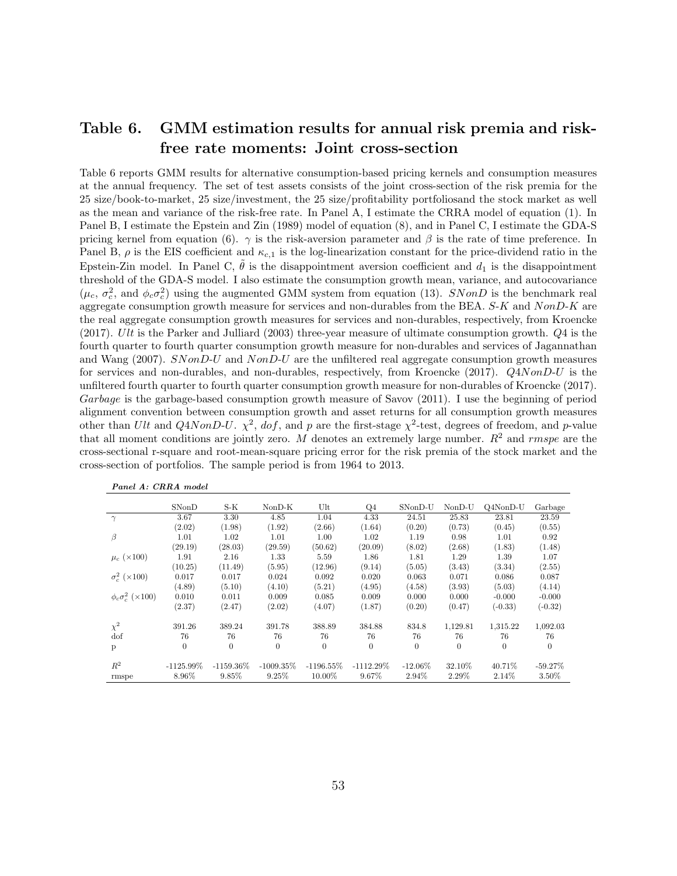# Table 6. GMM estimation results for annual risk premia and riskfree rate moments: Joint cross-section

Table 6 reports GMM results for alternative consumption-based pricing kernels and consumption measures at the annual frequency. The set of test assets consists of the joint cross-section of the risk premia for the 25 size/book-to-market, 25 size/investment, the 25 size/profitability portfoliosand the stock market as well as the mean and variance of the risk-free rate. In Panel A, I estimate the CRRA model of equation (1). In Panel B, I estimate the Epstein and Zin (1989) model of equation (8), and in Panel C, I estimate the GDA-S pricing kernel from equation (6).  $\gamma$  is the risk-aversion parameter and  $\beta$  is the rate of time preference. In Panel B,  $\rho$  is the EIS coefficient and  $\kappa_{c,1}$  is the log-linearization constant for the price-dividend ratio in the Epstein-Zin model. In Panel C,  $\tilde{\theta}$  is the disappointment aversion coefficient and  $d_1$  is the disappointment threshold of the GDA-S model. I also estimate the consumption growth mean, variance, and autocovariance  $(\mu_c, \sigma_c^2, \text{ and } \phi_c \sigma_c^2)$  using the augmented GMM system from equation (13). SNonD is the benchmark real aggregate consumption growth measure for services and non-durables from the BEA. S-K and NonD-K are the real aggregate consumption growth measures for services and non-durables, respectively, from Kroencke  $(2017)$ . Ult is the Parker and Julliard  $(2003)$  three-year measure of ultimate consumption growth.  $Q4$  is the fourth quarter to fourth quarter consumption growth measure for non-durables and services of Jagannathan and Wang (2007). SNonD-U and NonD-U are the unfiltered real aggregate consumption growth measures for services and non-durables, and non-durables, respectively, from Kroencke (2017). Q4NonD-U is the unfiltered fourth quarter to fourth quarter consumption growth measure for non-durables of Kroencke (2017). Garbage is the garbage-based consumption growth measure of Savov (2011). I use the beginning of period alignment convention between consumption growth and asset returns for all consumption growth measures other than Ult and Q4NonD-U.  $\chi^2$ , dof, and p are the first-stage  $\chi^2$ -test, degrees of freedom, and p-value that all moment conditions are jointly zero. M denotes an extremely large number.  $R^2$  and rmspe are the cross-sectional r-square and root-mean-square pricing error for the risk premia of the stock market and the cross-section of portfolios. The sample period is from 1964 to 2013.

|                              | SNonD          | $S-K$        | $NonD-K$       | Ult          | $Q_4$        | SNonD-U    | NonD-U   | $Q4NonD-U$ | Garbage    |
|------------------------------|----------------|--------------|----------------|--------------|--------------|------------|----------|------------|------------|
| $\gamma$                     | 3.67           | 3.30         | 4.85           | 1.04         | 4.33         | 24.51      | 25.83    | 23.81      | 23.59      |
|                              | (2.02)         | (1.98)       | (1.92)         | (2.66)       | (1.64)       | (0.20)     | (0.73)   | (0.45)     | (0.55)     |
| β                            | 1.01           | 1.02         | 1.01           | 1.00         | 1.02         | 1.19       | 0.98     | 1.01       | 0.92       |
|                              | (29.19)        | (28.03)      | (29.59)        | (50.62)      | (20.09)      | (8.02)     | (2.68)   | (1.83)     | (1.48)     |
| $\mu_c$ (×100)               | 1.91           | 2.16         | 1.33           | 5.59         | 1.86         | 1.81       | 1.29     | 1.39       | 1.07       |
|                              | (10.25)        | (11.49)      | (5.95)         | (12.96)      | (9.14)       | (5.05)     | (3.43)   | (3.34)     | (2.55)     |
| $\sigma_c^2$ ( $\times$ 100) | 0.017          | 0.017        | 0.024          | 0.092        | 0.020        | 0.063      | 0.071    | 0.086      | 0.087      |
|                              | (4.89)         | (5.10)       | (4.10)         | (5.21)       | (4.95)       | (4.58)     | (3.93)   | (5.03)     | (4.14)     |
| $\phi_c \sigma_c^2$ (×100)   | 0.010          | 0.011        | 0.009          | 0.085        | 0.009        | 0.000      | 0.000    | $-0.000$   | $-0.000$   |
|                              | (2.37)         | (2.47)       | (2.02)         | (4.07)       | (1.87)       | (0.20)     | (0.47)   | $(-0.33)$  | $(-0.32)$  |
| $\chi^2$                     | 391.26         | 389.24       | 391.78         | 388.89       | 384.88       | 834.8      | 1,129.81 | 1,315.22   | 1,092.03   |
| dof                          | 76             | 76           | 76             | 76           | 76           | 76         | 76       | 76         | 76         |
| p                            | $\overline{0}$ | $\theta$     | $\overline{0}$ | $\theta$     | $\theta$     | $\theta$   | $\theta$ | $\theta$   | $\Omega$   |
|                              |                |              |                |              |              |            |          |            |            |
| $R^2$                        | $-1125.99\%$   | $-1159.36\%$ | $-1009.35\%$   | $-1196.55\%$ | $-1112.29\%$ | $-12.06\%$ | 32.10\%  | 40.71\%    | $-59.27\%$ |
| rmspe                        | 8.96%          | 9.85%        | 9.25%          | 10.00%       | 9.67%        | 2.94%      | 2.29%    | 2.14%      | 3.50%      |

|  | Panel A: CRRA model |  |
|--|---------------------|--|
|  |                     |  |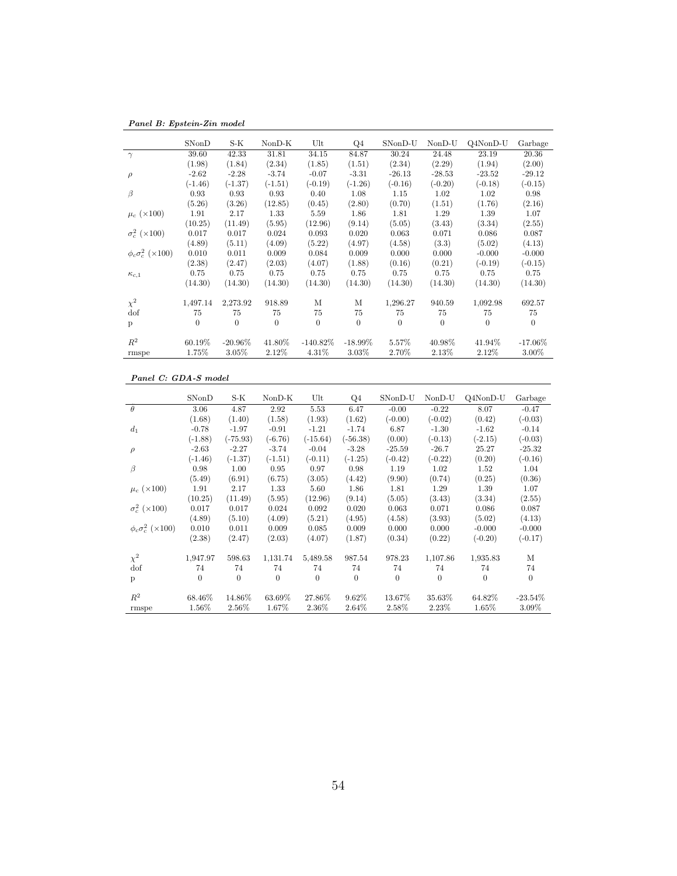Panel B: Epstein-Zin model

|                              | SNonD     | S-K        | $NonD-K$       | Ult         | Q4         | SNonD-U   | NonD-U    | Q4NonD-U  | Garbage    |
|------------------------------|-----------|------------|----------------|-------------|------------|-----------|-----------|-----------|------------|
| $\gamma$                     | 39.60     | 42.33      | 31.81          | 34.15       | 84.87      | 30.24     | 24.48     | 23.19     | 20.36      |
|                              | (1.98)    | (1.84)     | (2.34)         | (1.85)      | (1.51)     | (2.34)    | (2.29)    | (1.94)    | (2.00)     |
| $\rho$                       | $-2.62$   | $-2.28$    | $-3.74$        | $-0.07$     | $-3.31$    | $-26.13$  | $-28.53$  | $-23.52$  | $-29.12$   |
|                              | $(-1.46)$ | $(-1.37)$  | $(-1.51)$      | $(-0.19)$   | $(-1.26)$  | $(-0.16)$ | $(-0.20)$ | $(-0.18)$ | $(-0.15)$  |
| $\beta$                      | 0.93      | 0.93       | 0.93           | 0.40        | 1.08       | 1.15      | 1.02      | 1.02      | 0.98       |
|                              | (5.26)    | (3.26)     | (12.85)        | (0.45)      | (2.80)     | (0.70)    | (1.51)    | (1.76)    | (2.16)     |
| $\mu_c$ (×100)               | 1.91      | 2.17       | 1.33           | 5.59        | 1.86       | 1.81      | 1.29      | 1.39      | 1.07       |
|                              | (10.25)   | (11.49)    | (5.95)         | (12.96)     | (9.14)     | (5.05)    | (3.43)    | (3.34)    | (2.55)     |
| $\sigma_c^2$ ( $\times$ 100) | 0.017     | 0.017      | 0.024          | 0.093       | 0.020      | 0.063     | 0.071     | 0.086     | 0.087      |
|                              | (4.89)    | (5.11)     | (4.09)         | (5.22)      | (4.97)     | (4.58)    | (3.3)     | (5.02)    | (4.13)     |
| $\phi_c \sigma_c^2$ (×100)   | 0.010     | 0.011      | 0.009          | 0.084       | 0.009      | 0.000     | 0.000     | $-0.000$  | $-0.000$   |
|                              | (2.38)    | (2.47)     | (2.03)         | (4.07)      | (1.88)     | (0.16)    | (0.21)    | $(-0.19)$ | $(-0.15)$  |
| $\kappa_{c,1}$               | 0.75      | 0.75       | 0.75           | 0.75        | 0.75       | 0.75      | 0.75      | 0.75      | 0.75       |
|                              | (14.30)   | (14.30)    | (14.30)        | (14.30)     | (14.30)    | (14.30)   | (14.30)   | (14.30)   | (14.30)    |
| $\chi^2$                     | 1,497.14  | 2,273.92   | 918.89         | М           | М          | 1,296.27  | 940.59    | 1,092.98  | 692.57     |
| dof                          | 75        | 75         | 75             | 75          | 75         | 75        | 75        | 75        | 75         |
| p                            | $\Omega$  | $\Omega$   | $\overline{0}$ | $\Omega$    | $\Omega$   | $\theta$  | $\Omega$  | $\Omega$  | $\theta$   |
| $R^2$                        | 60.19%    | $-20.96\%$ | 41.80%         | $-140.82\%$ | $-18.99\%$ | 5.57%     | 40.98%    | 41.94%    | $-17.06\%$ |
| rmspe                        | 1.75%     | 3.05%      | 2.12%          | 4.31%       | 3.03%      | 2.70%     | 2.13%     | 2.12%     | $3.00\%$   |

#### Panel C: GDA-S model

|                              | SNonD     | S-K       | $NonD-K$  | Ult        | $Q_4$      | SNonD-U   | NonD-U    | Q4NonD-U  | Garbage    |
|------------------------------|-----------|-----------|-----------|------------|------------|-----------|-----------|-----------|------------|
| $\theta$                     | 3.06      | 4.87      | 2.92      | 5.53       | 6.47       | $-0.00$   | $-0.22$   | 8.07      | $-0.47$    |
|                              | (1.68)    | (1.40)    | (1.58)    | (1.93)     | (1.62)     | $(-0.00)$ | $(-0.02)$ | (0.42)    | $(-0.03)$  |
| $d_1$                        | $-0.78$   | $-1.97$   | $-0.91$   | $-1.21$    | $-1.74$    | 6.87      | $-1.30$   | $-1.62$   | $-0.14$    |
|                              | $(-1.88)$ | (-75.93)  | $(-6.76)$ | $(-15.64)$ | $(-56.38)$ | (0.00)    | $(-0.13)$ | $(-2.15)$ | $(-0.03)$  |
| $\rho$                       | $-2.63$   | $-2.27$   | $-3.74$   | $-0.04$    | $-3.28$    | $-25.59$  | $-26.7$   | 25.27     | $-25.32$   |
|                              | $(-1.46)$ | $(-1.37)$ | $(-1.51)$ | $(-0.11)$  | $(-1.25)$  | $(-0.42)$ | $(-0.22)$ | (0.20)    | $(-0.16)$  |
| $\beta$                      | 0.98      | 1.00      | 0.95      | 0.97       | 0.98       | 1.19      | 1.02      | 1.52      | 1.04       |
|                              | (5.49)    | (6.91)    | (6.75)    | (3.05)     | (4.42)     | (9.90)    | (0.74)    | (0.25)    | (0.36)     |
| $\mu_c$ (×100)               | 1.91      | 2.17      | 1.33      | 5.60       | 1.86       | 1.81      | 1.29      | 1.39      | 1.07       |
|                              | (10.25)   | (11.49)   | (5.95)    | (12.96)    | (9.14)     | (5.05)    | (3.43)    | (3.34)    | (2.55)     |
| $\sigma_c^2$ ( $\times$ 100) | 0.017     | 0.017     | 0.024     | 0.092      | 0.020      | 0.063     | 0.071     | 0.086     | 0.087      |
|                              | (4.89)    | (5.10)    | (4.09)    | (5.21)     | (4.95)     | (4.58)    | (3.93)    | (5.02)    | (4.13)     |
| $\phi_c \sigma_c^2$ (×100)   | 0.010     | 0.011     | 0.009     | 0.085      | 0.009      | 0.000     | 0.000     | $-0.000$  | $-0.000$   |
|                              | (2.38)    | (2.47)    | (2.03)    | (4.07)     | (1.87)     | (0.34)    | (0.22)    | $(-0.20)$ | $(-0.17)$  |
| $\chi^2$                     | 1,947.97  | 598.63    | 1,131.74  | 5,489.58   | 987.54     | 978.23    | 1,107.86  | 1,935.83  | М          |
| dof                          | 74        | 74        | 74        | 74         | 74         | 74        | 74        | 74        | 74         |
| p                            | $\theta$  | $\Omega$  | $\Omega$  | $\Omega$   | $\theta$   | $\theta$  | $\Omega$  | $\Omega$  | $\Omega$   |
| $R^2$                        | 68.46%    | 14.86%    | 63.69%    | 27.86%     | 9.62%      | 13.67%    | 35.63%    | 64.82%    | $-23.54\%$ |
| rmspe                        | 1.56%     | 2.56%     | 1.67%     | 2.36%      | 2.64%      | 2.58%     | 2.23%     | 1.65%     | 3.09%      |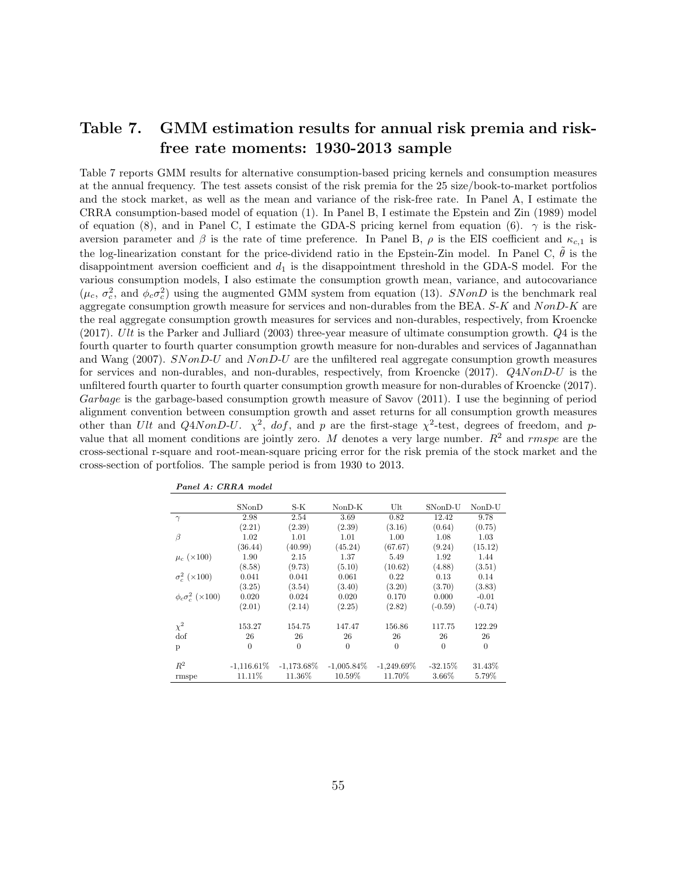# Table 7. GMM estimation results for annual risk premia and riskfree rate moments: 1930-2013 sample

Table 7 reports GMM results for alternative consumption-based pricing kernels and consumption measures at the annual frequency. The test assets consist of the risk premia for the 25 size/book-to-market portfolios and the stock market, as well as the mean and variance of the risk-free rate. In Panel A, I estimate the CRRA consumption-based model of equation (1). In Panel B, I estimate the Epstein and Zin (1989) model of equation (8), and in Panel C, I estimate the GDA-S pricing kernel from equation (6).  $\gamma$  is the riskaversion parameter and  $\beta$  is the rate of time preference. In Panel B,  $\rho$  is the EIS coefficient and  $\kappa_{c,1}$  is the log-linearization constant for the price-dividend ratio in the Epstein-Zin model. In Panel C,  $\theta$  is the disappointment aversion coefficient and  $d_1$  is the disappointment threshold in the GDA-S model. For the various consumption models, I also estimate the consumption growth mean, variance, and autocovariance  $(\mu_c, \sigma_c^2, \text{ and } \phi_c \sigma_c^2)$  using the augmented GMM system from equation (13). SNonD is the benchmark real aggregate consumption growth measure for services and non-durables from the BEA. S-K and NonD-K are the real aggregate consumption growth measures for services and non-durables, respectively, from Kroencke  $(2017)$ . Ult is the Parker and Julliard  $(2003)$  three-year measure of ultimate consumption growth.  $Q4$  is the fourth quarter to fourth quarter consumption growth measure for non-durables and services of Jagannathan and Wang (2007). SNonD-U and NonD-U are the unfiltered real aggregate consumption growth measures for services and non-durables, and non-durables, respectively, from Kroencke (2017). Q4NonD-U is the unfiltered fourth quarter to fourth quarter consumption growth measure for non-durables of Kroencke (2017). Garbage is the garbage-based consumption growth measure of Savov (2011). I use the beginning of period alignment convention between consumption growth and asset returns for all consumption growth measures other than Ult and Q4NonD-U.  $\chi^2$ , dof, and p are the first-stage  $\chi^2$ -test, degrees of freedom, and pvalue that all moment conditions are jointly zero. M denotes a very large number.  $R^2$  and rmspe are the cross-sectional r-square and root-mean-square pricing error for the risk premia of the stock market and the cross-section of portfolios. The sample period is from 1930 to 2013.

|                              | SNonD         | S-K           | $NonD-K$      | Ult           | SNonD-U    | $NonD-U$  |
|------------------------------|---------------|---------------|---------------|---------------|------------|-----------|
| $\gamma$                     | 2.98          | 2.54          | 3.69          | 0.82          | 12.42      | 9.78      |
|                              | (2.21)        | (2.39)        | (2.39)        | (3.16)        | (0.64)     | (0.75)    |
| $\beta$                      | 1.02          | 1.01          | 1.01          | 1.00          | 1.08       | 1.03      |
|                              | (36.44)       | (40.99)       | (45.24)       | (67.67)       | (9.24)     | (15.12)   |
| $\mu_c$ (×100)               | 1.90          | 2.15          | 1.37          | 5.49          | 1.92       | 1.44      |
|                              | (8.58)        | (9.73)        | (5.10)        | (10.62)       | (4.88)     | (3.51)    |
| $\sigma_c^2$ ( $\times$ 100) | 0.041         | 0.041         | 0.061         | 0.22          | 0.13       | 0.14      |
|                              | (3.25)        | (3.54)        | (3.40)        | (3.20)        | (3.70)     | (3.83)    |
| $\phi_c \sigma_c^2$ (×100)   | 0.020         | 0.024         | 0.020         | 0.170         | 0.000      | $-0.01$   |
|                              | (2.01)        | (2.14)        | (2.25)        | (2.82)        | $(-0.59)$  | $(-0.74)$ |
|                              | 153.27        | 154.75        | 147.47        | 156.86        | 117.75     | 122.29    |
| $\chi^2$                     |               |               |               |               |            |           |
| dof                          | 26            | 26            | 26            | 26            | 26         | 26        |
| p                            | $\theta$      | $\theta$      | $\Omega$      | $\theta$      | $\theta$   | $\theta$  |
|                              |               |               |               |               |            |           |
| $R^2$                        | $-1,116.61\%$ | $-1,173.68\%$ | $-1,005.84\%$ | $-1,249.69\%$ | $-32.15\%$ | 31.43%    |
| rmspe                        | 11.11%        | 11.36%        | 10.59%        | 11.70%        | 3.66%      | 5.79%     |

Panel A: CRRA model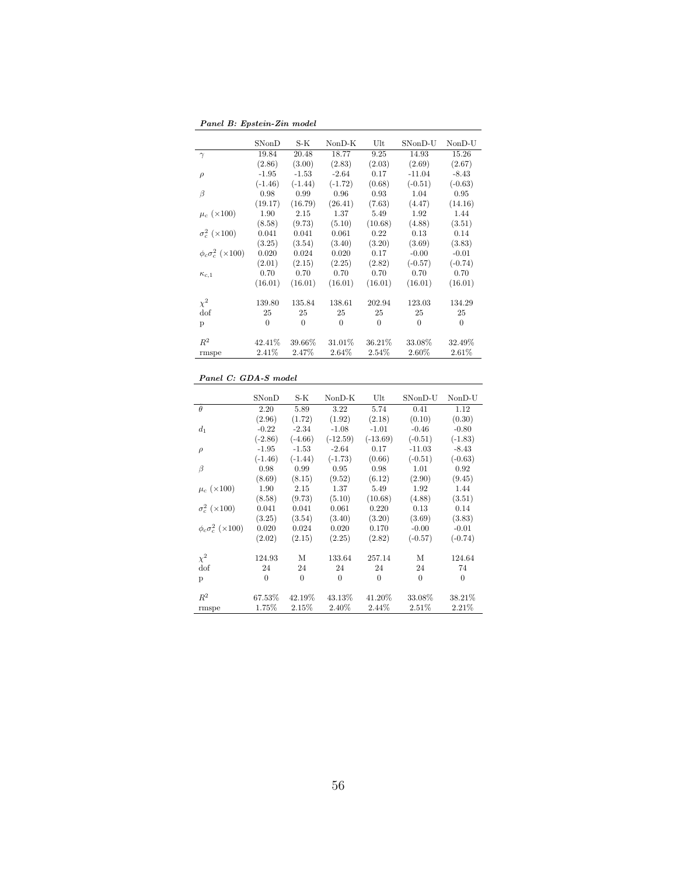Panel B: Epstein-Zin model

|                              | SNonD          | S-K       | $NonD-K$  | Ult      | SNonD-U   | NonD-U    |
|------------------------------|----------------|-----------|-----------|----------|-----------|-----------|
| $\gamma$                     | 19.84          | 20.48     | 18.77     | 9.25     | 14.93     | 15.26     |
|                              | (2.86)         | (3.00)    | (2.83)    | (2.03)   | (2.69)    | (2.67)    |
| $\rho$                       | $-1.95$        | $-1.53$   | $-2.64$   | 0.17     | $-11.04$  | $-8.43$   |
|                              | $(-1.46)$      | $(-1.44)$ | $(-1.72)$ | (0.68)   | $(-0.51)$ | $(-0.63)$ |
| β                            | 0.98           | 0.99      | 0.96      | 0.93     | 1.04      | 0.95      |
|                              | (19.17)        | (16.79)   | (26.41)   | (7.63)   | (4.47)    | (14.16)   |
| $\mu_c~(\times 100)$         | 1.90           | 2.15      | 1.37      | 5.49     | 1.92      | 1.44      |
|                              | (8.58)         | (9.73)    | (5.10)    | (10.68)  | (4.88)    | (3.51)    |
| $\sigma_c^2$ ( $\times$ 100) | 0.041          | 0.041     | 0.061     | 0.22     | 0.13      | 0.14      |
|                              | (3.25)         | (3.54)    | (3.40)    | (3.20)   | (3.69)    | (3.83)    |
| $\phi_c \sigma_c^2$ (×100)   | 0.020          | 0.024     | 0.020     | 0.17     | $-0.00$   | $-0.01$   |
|                              | (2.01)         | (2.15)    | (2.25)    | (2.82)   | $(-0.57)$ | $(-0.74)$ |
| $\kappa_{c,1}$               | 0.70           | 0.70      | 0.70      | 0.70     | 0.70      | 0.70      |
|                              | (16.01)        | (16.01)   | (16.01)   | (16.01)  | (16.01)   | (16.01)   |
| $\chi^2$                     | 139.80         | 135.84    | 138.61    | 202.94   | 123.03    | 134.29    |
| dof                          | 25             | 25        | 25        | 25       | 25        | 25        |
| p                            | $\overline{0}$ | $\Omega$  | $\theta$  | $\theta$ | $\Omega$  | $\Omega$  |
|                              |                |           |           |          |           |           |
| $R^2$                        | 42.41\%        | 39.66%    | 31.01%    | 36.21%   | 33.08%    | 32.49%    |
| rmspe                        | 2.41%          | 2.47%     | 2.64%     | 2.54%    | 2.60%     | 2.61%     |

#### Panel C: GDA-S model

|                              | SNonD     | S-K            | $NonD-K$   | Ult        | SNonD-U   | NonD-U    |
|------------------------------|-----------|----------------|------------|------------|-----------|-----------|
| $\theta$                     | 2.20      | 5.89           | 3.22       | 5.74       | 0.41      | 1.12      |
|                              | (2.96)    | (1.72)         | (1.92)     | (2.18)     | (0.10)    | (0.30)    |
| d <sub>1</sub>               | $-0.22$   | $-2.34$        | $-1.08$    | $-1.01$    | $-0.46$   | $-0.80$   |
|                              | $(-2.86)$ | $(-4.66)$      | $(-12.59)$ | $(-13.69)$ | $(-0.51)$ | $(-1.83)$ |
| $\rho$                       | $-1.95$   | $-1.53$        | $-2.64$    | 0.17       | $-11.03$  | $-8.43$   |
|                              | $(-1.46)$ | $(-1.44)$      | $(-1.73)$  | (0.66)     | $(-0.51)$ | $(-0.63)$ |
| β                            | 0.98      | 0.99           | 0.95       | 0.98       | 1.01      | 0.92      |
|                              | (8.69)    | (8.15)         | (9.52)     | (6.12)     | (2.90)    | (9.45)    |
| $\mu_c~(\times 100)$         | 1.90      | 2.15           | 1.37       | 5.49       | 1.92      | 1.44      |
|                              | (8.58)    | (9.73)         | (5.10)     | (10.68)    | (4.88)    | (3.51)    |
| $\sigma_c^2$ ( $\times$ 100) | 0.041     | 0.041          | 0.061      | 0.220      | 0.13      | 0.14      |
|                              | (3.25)    | (3.54)         | (3.40)     | (3.20)     | (3.69)    | (3.83)    |
| $\phi_c \sigma_c^2$ (×100)   | 0.020     | 0.024          | 0.020      | 0.170      | $-0.00$   | $-0.01$   |
|                              | (2.02)    | (2.15)         | (2.25)     | (2.82)     | $(-0.57)$ | $(-0.74)$ |
| $\chi^2$                     | 124.93    | М              | 133.64     | 257.14     | М         | 124.64    |
| dof                          | 24        | 24             | 24         | 24         | 24        | 74        |
| p                            | $\theta$  | $\overline{0}$ | $\Omega$   | $\Omega$   | $\Omega$  | $\Omega$  |
| $R^2$                        | 67.53%    | 42.19%         | 43.13%     | 41.20%     | 33.08%    | 38.21%    |
| rmspe                        | 1.75%     | 2.15%          | 2.40%      | 2.44%      | 2.51%     | 2.21%     |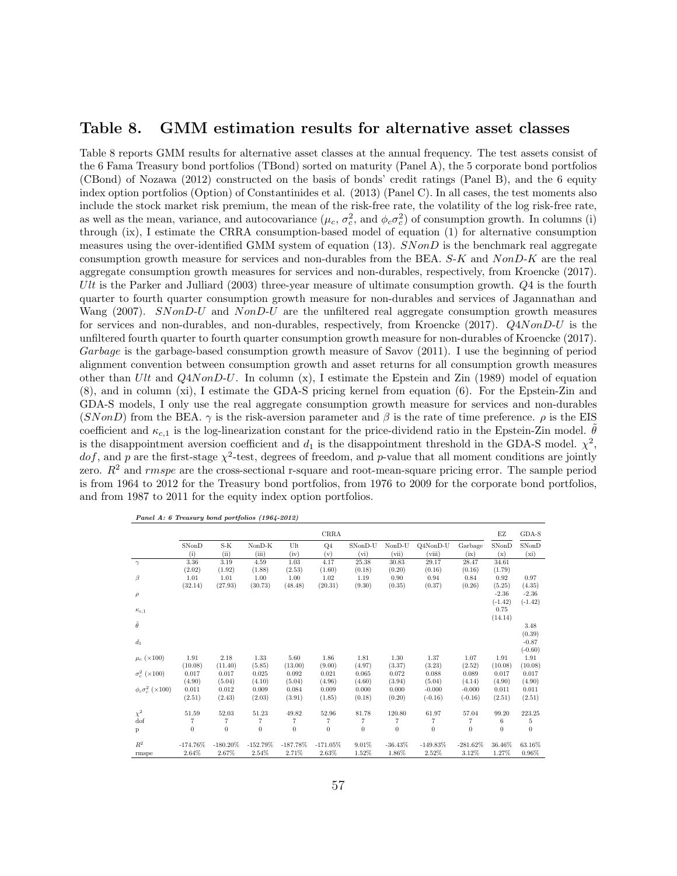### Table 8. GMM estimation results for alternative asset classes

Table 8 reports GMM results for alternative asset classes at the annual frequency. The test assets consist of the 6 Fama Treasury bond portfolios (TBond) sorted on maturity (Panel A), the 5 corporate bond portfolios (CBond) of Nozawa (2012) constructed on the basis of bonds' credit ratings (Panel B), and the 6 equity index option portfolios (Option) of Constantinides et al. (2013) (Panel C). In all cases, the test moments also include the stock market risk premium, the mean of the risk-free rate, the volatility of the log risk-free rate, as well as the mean, variance, and autocovariance  $(\mu_c, \sigma_c^2, \text{ and } \phi_c \sigma_c^2)$  of consumption growth. In columns (i) through (ix), I estimate the CRRA consumption-based model of equation (1) for alternative consumption measures using the over-identified GMM system of equation  $(13)$ .  $SNonD$  is the benchmark real aggregate consumption growth measure for services and non-durables from the BEA. S-K and NonD-K are the real aggregate consumption growth measures for services and non-durables, respectively, from Kroencke (2017). Ult is the Parker and Julliard (2003) three-year measure of ultimate consumption growth.  $Q_4$  is the fourth quarter to fourth quarter consumption growth measure for non-durables and services of Jagannathan and Wang (2007). SNonD-U and NonD-U are the unfiltered real aggregate consumption growth measures for services and non-durables, and non-durables, respectively, from Kroencke (2017). Q4NonD-U is the unfiltered fourth quarter to fourth quarter consumption growth measure for non-durables of Kroencke (2017). Garbage is the garbage-based consumption growth measure of Savov (2011). I use the beginning of period alignment convention between consumption growth and asset returns for all consumption growth measures other than  $Ult$  and  $Q4NonD-U$ . In column  $(x)$ , I estimate the Epstein and Zin (1989) model of equation (8), and in column (xi), I estimate the GDA-S pricing kernel from equation (6). For the Epstein-Zin and GDA-S models, I only use the real aggregate consumption growth measure for services and non-durables (SNonD) from the BEA.  $\gamma$  is the risk-aversion parameter and  $\beta$  is the rate of time preference.  $\rho$  is the EIS coefficient and  $\kappa_{c,1}$  is the log-linearization constant for the price-dividend ratio in the Epstein-Zin model.  $\hat{\theta}$ is the disappointment aversion coefficient and  $d_1$  is the disappointment threshold in the GDA-S model.  $\chi^2$ , dof, and p are the first-stage  $\chi^2$ -test, degrees of freedom, and p-value that all moment conditions are jointly zero.  $R^2$  and rmspe are the cross-sectional r-square and root-mean-square pricing error. The sample period is from 1964 to 2012 for the Treasury bond portfolios, from 1976 to 2009 for the corporate bond portfolios, and from 1987 to 2011 for the equity index option portfolios.

| Panel A: 6 Treasury bond portfolios (1964-2012) |  |
|-------------------------------------------------|--|
|-------------------------------------------------|--|

|                              |                |                   |                |                   | CRRA           |                |                  |                |                | ΕZ             | GDA-S     |
|------------------------------|----------------|-------------------|----------------|-------------------|----------------|----------------|------------------|----------------|----------------|----------------|-----------|
|                              | SNonD          | $S-K$             | $NonD-K$       | Ult               | Q <sub>4</sub> | SNonD-U        | $NonD-U$         | O4NonD-U       | Garbage        | SNonD          | SNonD     |
|                              | (i)            | (ii)              | (iii)          | (iv)              | (v)            | (vi)           | (vii)            | (viii)         | (ix)           | (x)            | (xi)      |
| $\gamma$                     | 3.36           | 3.19              | 4.59           | 1.03              | 4.17           | 25.38          | 30.83            | 29.17          | 28.47          | 34.61          |           |
|                              | (2.02)         | (1.92)            | (1.88)         | (2.53)            | (1.60)         | (0.18)         | (0.20)           | (0.16)         | (0.16)         | (1.79)         |           |
| $\beta$                      | 1.01           | 1.01              | 1.00           | 1.00              | 1.02           | 1.19           | 0.90             | 0.94           | 0.84           | 0.92           | 0.97      |
|                              | (32.14)        | (27.93)           | (30.73)        | (48.48)           | (20.31)        | (9.30)         | (0.35)           | (0.37)         | (0.26)         | (5.25)         | (4.35)    |
| $\rho$                       |                |                   |                |                   |                |                |                  |                |                | $-2.36$        | $-2.36$   |
|                              |                |                   |                |                   |                |                |                  |                |                | $(-1.42)$      | $(-1.42)$ |
| $\kappa_{c,1}$               |                |                   |                |                   |                |                |                  |                |                | 0.75           |           |
|                              |                |                   |                |                   |                |                |                  |                |                | (14.14)        |           |
| $\tilde{\theta}$             |                |                   |                |                   |                |                |                  |                |                |                | 3.48      |
|                              |                |                   |                |                   |                |                |                  |                |                |                | (0.39)    |
| $d_1$                        |                |                   |                |                   |                |                |                  |                |                |                | $-0.87$   |
|                              |                |                   |                |                   |                |                |                  |                |                |                | $(-0.60)$ |
| $\mu_c$ (×100)               | 1.91           | 2.18              | 1.33           | 5.60              | 1.86           | 1.81           | 1.30             | 1.37           | 1.07           | 1.91           | 1.91      |
|                              | (10.08)        | (11.40)           | (5.85)         | (13.00)           | (9.00)         | (4.97)         | (3.37)           | (3.23)         | (2.52)         | (10.08)        | (10.08)   |
| $\sigma_c^2$ ( $\times$ 100) | 0.017          | 0.017             | 0.025          | 0.092             | 0.021          | 0.065          | 0.072            | 0.088          | 0.089          | 0.017          | 0.017     |
|                              | (4.90)         | (5.04)            | (4.10)         | (5.04)            | (4.96)         | (4.60)         | (3.94)           | (5.04)         | (4.14)         | (4.90)         | (4.90)    |
| $\phi_c \sigma_c^2$ (×100)   | 0.011          | 0.012             | 0.009          | 0.084             | 0.009          | 0.000          | 0.000            | $-0.000$       | $-0.000$       | 0.011          | 0.011     |
|                              | (2.51)         | (2.43)            | (2.03)         | (3.91)            | (1.85)         | (0.18)         | (0.20)           | $(-0.16)$      | $(-0.16)$      | (2.51)         | (2.51)    |
|                              |                |                   |                |                   |                |                |                  |                |                |                |           |
| $\chi^2$                     | 51.59          | 52.03             | 51.23          | 49.82             | 52.96          | 81.78          | 120.80           | 61.97          | 57.04          | 99.20          | 223.25    |
| dof                          | $\overline{7}$ | $\scriptstyle{7}$ | $\overline{7}$ | $\scriptstyle{7}$ | $\overline{7}$ | 7              | $\overline{7}$   | $\overline{7}$ | $\overline{7}$ | 6              | 5         |
| P                            | $\overline{0}$ | $\overline{0}$    | $\overline{0}$ | $\theta$          | $\theta$       | $\overline{0}$ | $\boldsymbol{0}$ | $\overline{0}$ | $\overline{0}$ | $\overline{0}$ | $\theta$  |
|                              |                |                   |                |                   |                |                |                  |                |                |                |           |
| $R^2$                        | $-174.76\%$    | $-180.20\%$       | $-152.79\%$    | $-187.78\%$       | $-171.05\%$    | 9.01%          | $-36.43\%$       | $-149.83\%$    | $-281.62\%$    | 36.46%         | 63.16%    |
| rmspe                        | 2.64%          | 2.67%             | 2.54%          | 2.71%             | 2.63%          | 1.52%          | 1.86%            | 2.52%          | 3.12%          | 1.27%          | 0.96%     |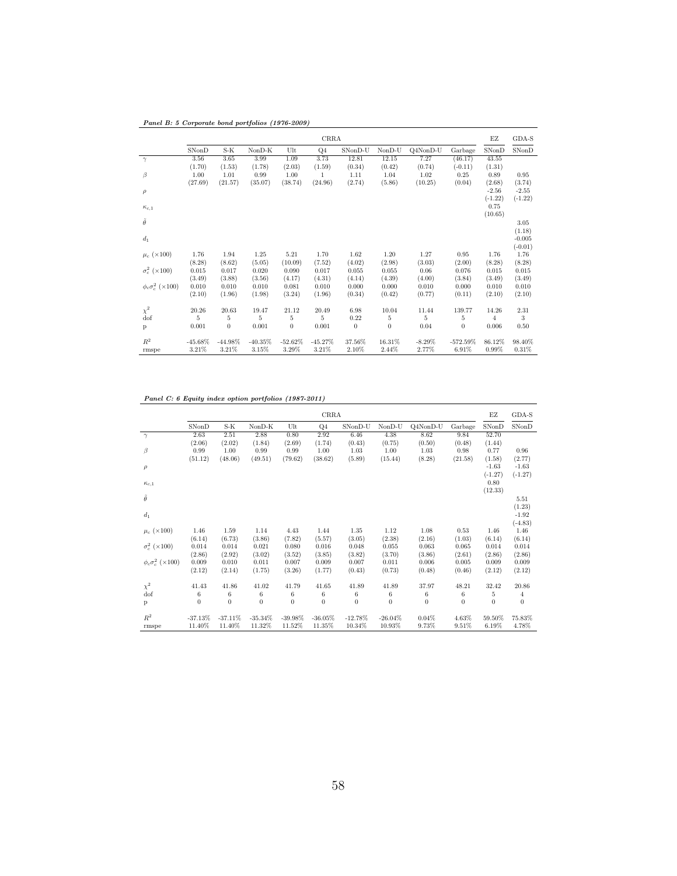|                              | CRRA       |                |           |            |                |          |                |           |             |                | GDA-S     |
|------------------------------|------------|----------------|-----------|------------|----------------|----------|----------------|-----------|-------------|----------------|-----------|
|                              | SNonD      | S-K            | $NonD-K$  | $U$ lt     | Q <sub>4</sub> | SNonD-U  | $NonD-U$       | Q4NonD-U  | Garbage     | SNonD          | SNonD     |
| $\gamma$                     | 3.56       | 3.65           | 3.99      | 1.09       | 3.73           | 12.81    | 12.15          | 7.27      | (46.17)     | 43.55          |           |
|                              | (1.70)     | (1.53)         | (1.78)    | (2.03)     | (1.59)         | (0.34)   | (0.42)         | (0.74)    | $(-0.11)$   | (1.31)         |           |
| $\beta$                      | 1.00       | 1.01           | 0.99      | 1.00       | 1              | 1.11     | 1.04           | 1.02      | 0.25        | 0.89           | 0.95      |
|                              | (27.69)    | (21.57)        | (35.07)   | (38.74)    | (24.96)        | (2.74)   | (5.86)         | (10.25)   | (0.04)      | (2.68)         | (3.74)    |
| $\rho$                       |            |                |           |            |                |          |                |           |             | $-2.56$        | $-2.55$   |
|                              |            |                |           |            |                |          |                |           |             | $(-1.22)$      | $(-1.22)$ |
| $\kappa_{c,1}$               |            |                |           |            |                |          |                |           |             | 0.75           |           |
|                              |            |                |           |            |                |          |                |           |             | (10.65)        |           |
| $\tilde{\theta}$             |            |                |           |            |                |          |                |           |             |                | 3.05      |
|                              |            |                |           |            |                |          |                |           |             |                | (1.18)    |
| $d_1$                        |            |                |           |            |                |          |                |           |             |                | $-0.005$  |
|                              |            |                |           |            |                |          |                |           |             |                | $(-0.01)$ |
| $\mu_c$ (×100)               | 1.76       | 1.94           | 1.25      | 5.21       | 1.70           | 1.62     | 1.20           | 1.27      | 0.95        | 1.76           | 1.76      |
|                              | (8.28)     | (8.62)         | (5.05)    | (10.09)    | (7.52)         | (4.02)   | (2.98)         | (3.03)    | (2.00)      | (8.28)         | (8.28)    |
| $\sigma_c^2$ ( $\times$ 100) | 0.015      | 0.017          | 0.020     | 0.090      | 0.017          | 0.055    | 0.055          | 0.06      | 0.076       | 0.015          | 0.015     |
|                              | (3.49)     | (3.88)         | (3.56)    | (4.17)     | (4.31)         | (4.14)   | (4.39)         | (4.00)    | (3.84)      | (3.49)         | (3.49)    |
| $\phi_c \sigma_c^2$ (×100)   | 0.010      | 0.010          | 0.010     | 0.081      | 0.010          | 0.000    | 0.000          | 0.010     | 0.000       | 0.010          | 0.010     |
|                              | (2.10)     | (1.96)         | (1.98)    | (3.24)     | (1.96)         | (0.34)   | (0.42)         | (0.77)    | (0.11)      | (2.10)         | (2.10)    |
| $\chi^2$                     | 20.26      | 20.63          | 19.47     | 21.12      | 20.49          | 6.98     | 10.04          | 11.44     | 139.77      | 14.26          | 2.31      |
| dof                          | 5          | 5              | 5         | 5          | 5              | 0.22     | $\overline{5}$ | 5         | 5           | $\overline{4}$ | 3         |
|                              | 0.001      | $\overline{0}$ | 0.001     | $\theta$   | 0.001          | $\theta$ | $\overline{0}$ | 0.04      | $\theta$    | 0.006          | 0.50      |
| P                            |            |                |           |            |                |          |                |           |             |                |           |
| $R^2$                        | $-45.68\%$ | $-44.98\%$     | $-40.35%$ | $-52.62\%$ | $-45.27%$      | 37.56%   | 16.31%         | $-8.29\%$ | $-572.59\%$ | 86.12%         | 98.40%    |
| rmspe                        | 3.21%      | 3.21%          | 3.15%     | 3.29%      | 3.21%          | 2.10%    | 2.44%          | 2.77%     | 6.91%       | 0.99%          | 0.31%     |

Panel C: 6 Equity index option portfolios (1987-2011)

|                              | CRRA             |              |              |                |                |              |            |                  |              | EZ             | GDA-S            |
|------------------------------|------------------|--------------|--------------|----------------|----------------|--------------|------------|------------------|--------------|----------------|------------------|
|                              | SNonD            | S-K          | $NonD-K$     | Ult            | Q <sub>4</sub> | SNonD-U      | $NonD-U$   | Q4NonD-U         | Garbage      | SNonD          | SNonD            |
| $\gamma$                     | 2.63             | 2.51         | 2.88         | 0.80           | 2.92           | 6.46         | 4.38       | 8.62             | 9.84         | 52.70          |                  |
|                              | (2.06)           | (2.02)       | (1.84)       | (2.69)         | (1.74)         | (0.43)       | (0.75)     | (0.50)           | (0.48)       | (1.44)         |                  |
| $\beta$                      | 0.99             | 1.00         | 0.99         | 0.99           | 1.00           | 1.03         | 1.00       | 1.03             | 0.98         | 0.77           | 0.96             |
|                              | (51.12)          | (48.06)      | (49.51)      | (79.62)        | (38.62)        | (5.89)       | (15.44)    | (8.28)           | (21.58)      | (1.58)         | (2.77)           |
| $\rho$                       |                  |              |              |                |                |              |            |                  |              | $-1.63$        | $-1.63$          |
|                              |                  |              |              |                |                |              |            |                  |              | $(-1.27)$      | $(-1.27)$        |
| $\kappa_{c,1}$               |                  |              |              |                |                |              |            |                  |              | 0.80           |                  |
|                              |                  |              |              |                |                |              |            |                  |              | (12.33)        |                  |
| $\tilde{\theta}$             |                  |              |              |                |                |              |            |                  |              |                | 5.51             |
|                              |                  |              |              |                |                |              |            |                  |              |                | (1.23)           |
| $d_1$                        |                  |              |              |                |                |              |            |                  |              |                | $-1.92$          |
|                              |                  |              |              |                |                |              |            |                  |              |                | $(-4.83)$        |
| $\mu_c$ ( $\times$ 100)      | 1.46             | 1.59         | 1.14         | 4.43           | 1.44           | 1.35         | 1.12       | 1.08             | 0.53         | 1.46           | 1.46             |
|                              | (6.14)           | (6.73)       | (3.86)       | (7.82)         | (5.57)         | (3.05)       | (2.38)     | (2.16)           | (1.03)       | (6.14)         | (6.14)           |
| $\sigma_c^2$ ( $\times$ 100) | 0.014            | 0.014        | 0.021        | 0.080          | 0.016          | 0.048        | 0.055      | 0.063            | 0.065        | 0.014          | 0.014            |
|                              | (2.86)           | (2.92)       | (3.02)       | (3.52)         | (3.85)         | (3.82)       | (3.70)     | (3.86)           | (2.61)       | (2.86)         | (2.86)           |
| $\phi_c \sigma_c^2$ (×100)   | 0.009            | 0.010        | 0.011        | 0.007          | 0.009          | 0.007        | 0.011      | 0.006            | 0.005        | 0.009          | 0.009            |
|                              | (2.12)           | (2.14)       | (1.75)       | (3.26)         | (1.77)         | (0.43)       | (0.73)     | (0.48)           | (0.46)       | (2.12)         | (2.12)           |
|                              |                  |              |              |                |                |              |            |                  |              |                |                  |
| $\chi^2$                     | 41.43            | 41.86        | 41.02        | 41.79          | 41.65          | 41.89        | 41.89      | 37.97            | 48.21        | 32.42          | 20.86            |
| dof                          | $\,6\,$          | 6            | 6            | 6              | 6              | 6            | 6          | 6                | 6            | 5              | $\overline{4}$   |
| P                            | $\boldsymbol{0}$ | $\mathbf{0}$ | $\mathbf{0}$ | $\overline{0}$ | $\bf{0}$       | $\mathbf{0}$ | $\theta$   | $\boldsymbol{0}$ | $\mathbf{0}$ | $\overline{0}$ | $\boldsymbol{0}$ |
| $R^2$                        | $-37.13%$        | $-37.11%$    | $-35.34\%$   | $-39.98%$      | $-36.05%$      | $-12.78%$    | $-26.04\%$ | 0.04%            |              | 59.50%         |                  |
|                              |                  |              |              |                |                |              |            |                  | 4.63%        |                | 75.83%           |
| rmspe                        | 11.40%           | 11.40%       | 11.32%       | 11.52%         | 11.35%         | 10.34%       | 10.93%     | 9.73%            | 9.51%        | 6.19%          | 4.78%            |